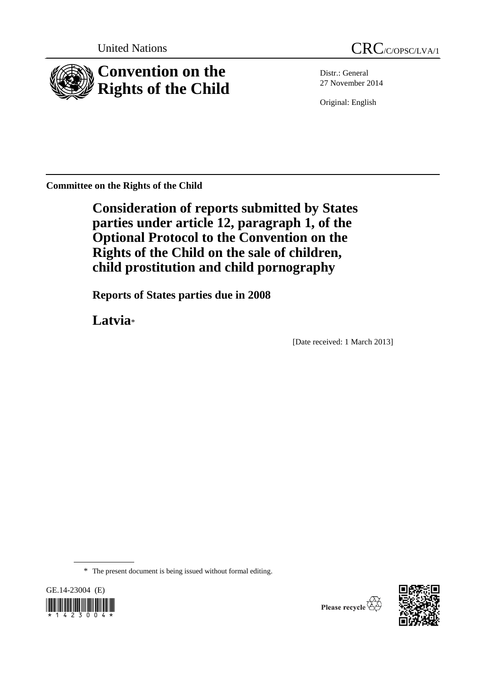

Distr.: General 27 November 2014

Original: English

**Committee on the Rights of the Child**

**Consideration of reports submitted by States parties under article 12, paragraph 1, of the Optional Protocol to the Convention on the Rights of the Child on the sale of children, child prostitution and child pornography**

**Reports of States parties due in 2008**

**Latvia**\*

[Date received: 1 March 2013]

\* The present document is being issued without formal editing.



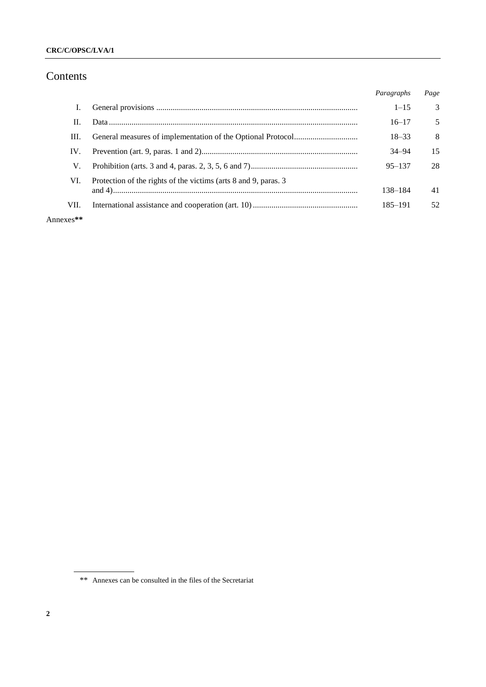# Contents

|      |                                                                 | Paragraphs | Page          |
|------|-----------------------------------------------------------------|------------|---------------|
| I.   |                                                                 | $1 - 15$   | $\mathcal{R}$ |
| Н.   |                                                                 | $16 - 17$  | .5            |
| Ш.   |                                                                 | $18 - 33$  | 8             |
| IV.  |                                                                 | $34 - 94$  | 15            |
| V.   |                                                                 | $95 - 137$ | 28            |
| VI.  | Protection of the rights of the victims (arts 8 and 9, paras. 3 |            |               |
|      |                                                                 | 138-184    | 41            |
| VII. |                                                                 | 185–191    | 52            |
|      |                                                                 |            |               |

Annexes**\*\***

<sup>\*\*</sup> Annexes can be consulted in the files of the Secretariat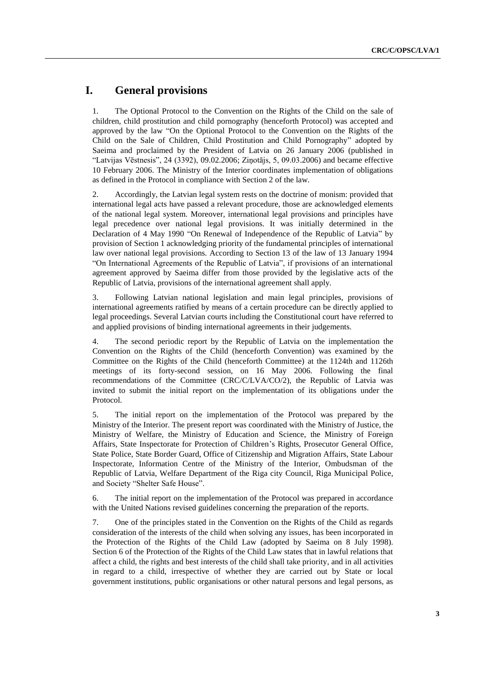## **I. General provisions**

1. The Optional Protocol to the Convention on the Rights of the Child on the sale of children, child prostitution and child pornography (henceforth Protocol) was accepted and approved by the law "On the Optional Protocol to the Convention on the Rights of the Child on the Sale of Children, Child Prostitution and Child Pornography" adopted by Saeima and proclaimed by the President of Latvia on 26 January 2006 (published in "Latvijas Vēstnesis", 24 (3392), 09.02.2006; Ziņotājs, 5, 09.03.2006) and became effective 10 February 2006. The Ministry of the Interior coordinates implementation of obligations as defined in the Protocol in compliance with Section 2 of the law.

2. Accordingly, the Latvian legal system rests on the doctrine of monism: provided that international [legal acts](http://www.l2d.lv/l.php?doc_id=212800) have passed a relevant procedure, those are acknowledged elements of the national legal system. Moreover, international legal provisions and principles have legal precedence over national legal provisions. It was initially determined in the [Declaration](http://www.l2d.lv/l.php?doc_id=51717) of 4 May 1990 ["On Renewal of Independence of the Republic of Latvia"](http://www.l2d.lv/l.php?doc_id=75539) by provision of Section 1 acknowledging priority of the fundamental principles of international law over national legal provisions. According to Section 13 of the law of 13 January 1994 "On International Agreements of the Republic of Latvia", if provisions of an international agreement approved by Saeima differ from those provided by the legislative acts of the Republic of Latvia, provisions of the [international agreement](http://www.l2d.lv/l.php?doc_id=57840) shall apply.

3. Following Latvian national legislation and main legal principles, provisions of [international agreements](http://www.l2d.lv/l.php?doc_id=244657) ratified by means of a certain procedure can be directly applied to legal proceedings. Several Latvian courts including the [Constitutional court](http://www.l2d.lv/l.php?doc_id=63354) have referred to and applied provisions of binding [international agreements](http://www.l2d.lv/l.php?doc_id=244657) in their judgements.

4. The second periodic report by the Republic of Latvia on the implementation the Convention on the Rights of the Child (henceforth Convention) was examined by the Committee on the Rights of the Child (henceforth Committee) at the 1124th and 1126th meetings of its forty-second session, on 16 May 2006. Following the final recommendations of the Committee (CRC/C/LVA/CO/2), the Republic of Latvia was invited to submit the initial report on the implementation of its obligations under the Protocol.

5. The initial report on the implementation of the Protocol was prepared by the Ministry of the Interior. The present report was coordinated with the Ministry of Justice, the Ministry of Welfare, the Ministry of Education and Science, the Ministry of Foreign Affairs, State Inspectorate for Protection of Children's Rights, Prosecutor General Office, State Police, State Border Guard, Office of Citizenship and Migration Affairs, State Labour Inspectorate, Information Centre of the Ministry of the Interior, Ombudsman of the Republic of Latvia, Welfare Department of the Riga city Council, Riga Municipal Police, and Society "Shelter Safe House".

6. The initial report on the implementation of the Protocol was prepared in accordance with the United Nations revised guidelines concerning the preparation of the reports.

7. One of the principles stated in the Convention on the Rights of the Child as regards consideration of the interests of the child when solving any issues, has been incorporated in the Protection of the Rights of the Child Law (adopted by Saeima on 8 July 1998). Section 6 of the Protection of the Rights of the Child Law states that in lawful relations that affect a child, the rights and best interests of the child shall take priority, and in all activities in regard to a child, irrespective of whether they are carried out by State or local government institutions, public organisations or other natural persons and legal persons, as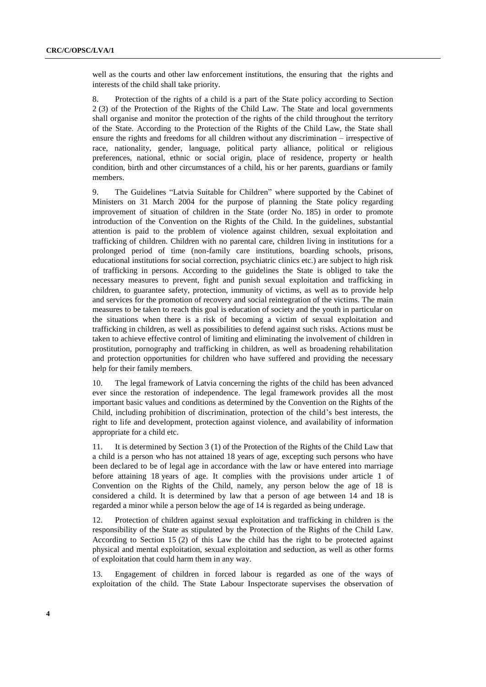well as the courts and other law enforcement institutions, the ensuring that the rights and interests of the child shall take priority.

8. Protection of the rights of a child is a part of the State policy according to Section 2 (3) of the Protection of the Rights of the Child Law. The State and local governments shall organise and monitor the protection of the rights of the child throughout the territory of the State. According to the Protection of the Rights of the Child Law, the State shall ensure the rights and freedoms for all children without any discrimination – irrespective of race, nationality, gender, language, political party alliance, political or religious preferences, national, ethnic or social origin, place of residence, property or health condition, birth and other circumstances of a child, his or her parents, guardians or family members.

9. The Guidelines "Latvia Suitable for Children" where supported by the Cabinet of Ministers on 31 March 2004 for the purpose of planning the State policy regarding improvement of situation of children in the State (order No. 185) in order to promote introduction of the Convention on the Rights of the Child. In the guidelines, substantial attention is paid to the problem of violence against children, sexual exploitation and trafficking of children. Children with no parental care, children living in institutions for a prolonged period of time (non-family care institutions, boarding schools, prisons, educational institutions for social correction, psychiatric clinics etc.) are subject to high risk of trafficking in persons. According to the guidelines the State is obliged to take the necessary measures to prevent, fight and punish sexual exploitation and trafficking in children, to guarantee safety, protection, immunity of victims, as well as to provide help and services for the promotion of recovery and social reintegration of the victims. The main measures to be taken to reach this goal is education of society and the youth in particular on the situations when there is a risk of becoming a victim of sexual exploitation and trafficking in children, as well as possibilities to defend against such risks. Actions must be taken to achieve effective control of limiting and eliminating the involvement of children in prostitution, pornography and trafficking in children, as well as broadening rehabilitation and protection opportunities for children who have suffered and providing the necessary help for their family members.

10. The legal framework of Latvia concerning the rights of the child has been advanced ever since the restoration of independence. The legal framework provides all the most important basic values and conditions as determined by the Convention on the Rights of the Child, including prohibition of discrimination, protection of the child's best interests, the right to life and development, protection against violence, and availability of information appropriate for a child etc.

11. It is determined by Section 3 (1) of the Protection of the Rights of the Child Law that a child is a person who has not attained 18 years of age, excepting such persons who have been declared to be of legal age in accordance with the law or have entered into marriage before attaining 18 years of age. It complies with the provisions under article 1 of Convention on the Rights of the Child, namely, any person below the age of 18 is considered a child. It is determined by law that a person of age between 14 and 18 is regarded a minor while a person below the age of 14 is regarded as being underage.

12. Protection of children against sexual exploitation and trafficking in children is the responsibility of the State as stipulated by the Protection of the Rights of the Child Law. According to Section 15 (2) of this Law the child has the right to be protected against physical and mental exploitation, sexual exploitation and seduction, as well as other forms of exploitation that could harm them in any way.

13. Engagement of children in forced labour is regarded as one of the ways of exploitation of the child. The State Labour Inspectorate supervises the observation of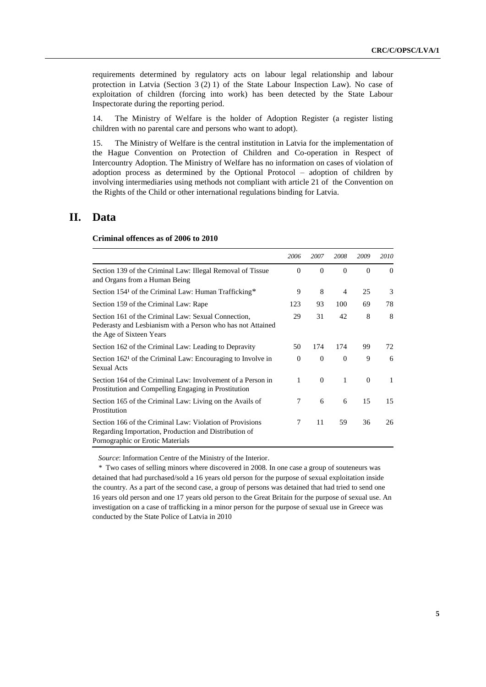requirements determined by regulatory acts on labour legal relationship and labour protection in Latvia (Section 3 (2) 1) of the State Labour Inspection Law). No case of exploitation of children (forcing into work) has been detected by the State Labour Inspectorate during the reporting period.

14. The Ministry of Welfare is the holder of Adoption Register (a register listing children with no parental care and persons who want to adopt).

15. The Ministry of Welfare is the central institution in Latvia for the implementation of the Hague Convention on Protection of Children and Co-operation in Respect of Intercountry Adoption. The Ministry of Welfare has no information on cases of violation of adoption process as determined by the Optional Protocol – adoption of children by involving intermediaries using methods not compliant with article 21 of the Convention on the Rights of the Child or other international regulations binding for Latvia.

### **II. Data**

**Criminal offences as of 2006 to 2010**

|                                                                                                                                                       | 2006         | 2007     | 2008     | 2009     | 2010     |
|-------------------------------------------------------------------------------------------------------------------------------------------------------|--------------|----------|----------|----------|----------|
| Section 139 of the Criminal Law: Illegal Removal of Tissue<br>and Organs from a Human Being                                                           | $\Omega$     | $\Omega$ | $\Omega$ | $\Omega$ | $\Omega$ |
| Section 154 <sup>1</sup> of the Criminal Law: Human Trafficking*                                                                                      | 9            | 8        | 4        | 25       | 3        |
| Section 159 of the Criminal Law: Rape                                                                                                                 | 123          | 93       | 100      | 69       | 78       |
| Section 161 of the Criminal Law: Sexual Connection,<br>Pederasty and Lesbianism with a Person who has not Attained<br>the Age of Sixteen Years        | 29           | 31       | 42       | 8        | 8        |
| Section 162 of the Criminal Law: Leading to Depravity                                                                                                 | 50           | 174      | 174      | 99       | 72       |
| Section 162 <sup>1</sup> of the Criminal Law: Encouraging to Involve in<br>Sexual Acts                                                                | $\Omega$     | $\Omega$ | $\theta$ | 9        | 6        |
| Section 164 of the Criminal Law: Involvement of a Person in<br>Prostitution and Compelling Engaging in Prostitution                                   | $\mathbf{1}$ | $\Omega$ | 1        | $\Omega$ | 1        |
| Section 165 of the Criminal Law: Living on the Avails of<br>Prostitution                                                                              | 7            | 6        | 6        | 15       | 15       |
| Section 166 of the Criminal Law: Violation of Provisions<br>Regarding Importation, Production and Distribution of<br>Pornographic or Erotic Materials | 7            | 11       | 59       | 36       | 26       |

*Source*: Information Centre of the Ministry of the Interior.

*\** Two cases of selling minors where discovered in 2008. In one case a group of souteneurs was detained that had purchased/sold a 16 years old person for the purpose of sexual exploitation inside the country. As a part of the second case, a group of persons was detained that had tried to send one 16 years old person and one 17 years old person to the Great Britain for the purpose of sexual use. An investigation on a case of trafficking in a minor person for the purpose of sexual use in Greece was conducted by the State Police of Latvia in 2010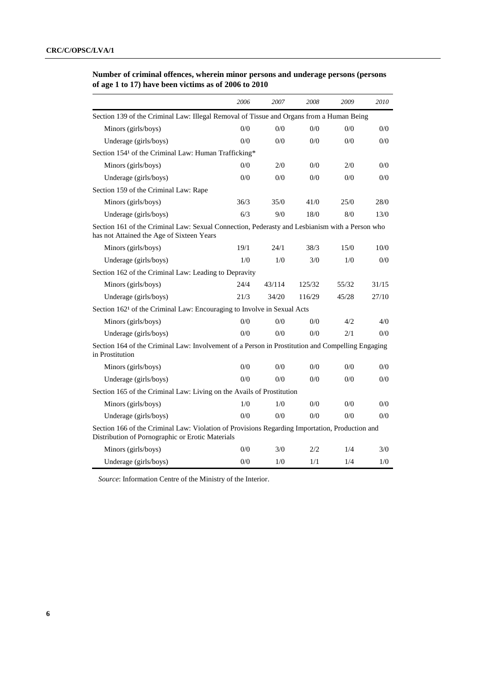| Number of criminal offences, wherein minor persons and underage persons (persons |  |  |  |  |
|----------------------------------------------------------------------------------|--|--|--|--|
| of age 1 to 17) have been victims as of 2006 to $2010$                           |  |  |  |  |

|                                                                                                                                                    | 2006 | 2007   | 2008   | 2009  | 2010  |
|----------------------------------------------------------------------------------------------------------------------------------------------------|------|--------|--------|-------|-------|
| Section 139 of the Criminal Law: Illegal Removal of Tissue and Organs from a Human Being                                                           |      |        |        |       |       |
| Minors (girls/boys)                                                                                                                                | 0/0  | 0/0    | 0/0    | 0/0   | 0/0   |
| Underage (girls/boys)                                                                                                                              | 0/0  | 0/0    | 0/0    | 0/0   | 0/0   |
| Section 1541 of the Criminal Law: Human Trafficking*                                                                                               |      |        |        |       |       |
| Minors (girls/boys)                                                                                                                                | 0/0  | 2/0    | 0/0    | 2/0   | 0/0   |
| Underage (girls/boys)                                                                                                                              | 0/0  | 0/0    | 0/0    | 0/0   | 0/0   |
| Section 159 of the Criminal Law: Rape                                                                                                              |      |        |        |       |       |
| Minors (girls/boys)                                                                                                                                | 36/3 | 35/0   | 41/0   | 25/0  | 28/0  |
| Underage (girls/boys)                                                                                                                              | 6/3  | 9/0    | 18/0   | 8/0   | 13/0  |
| Section 161 of the Criminal Law: Sexual Connection, Pederasty and Lesbianism with a Person who<br>has not Attained the Age of Sixteen Years        |      |        |        |       |       |
| Minors (girls/boys)                                                                                                                                | 19/1 | 24/1   | 38/3   | 15/0  | 10/0  |
| Underage (girls/boys)                                                                                                                              | 1/0  | 1/0    | 3/0    | 1/0   | 0/0   |
| Section 162 of the Criminal Law: Leading to Depravity                                                                                              |      |        |        |       |       |
| Minors (girls/boys)                                                                                                                                | 24/4 | 43/114 | 125/32 | 55/32 | 31/15 |
| Underage (girls/boys)                                                                                                                              | 21/3 | 34/20  | 116/29 | 45/28 | 27/10 |
| Section 162 <sup>1</sup> of the Criminal Law: Encouraging to Involve in Sexual Acts                                                                |      |        |        |       |       |
| Minors (girls/boys)                                                                                                                                | 0/0  | 0/0    | 0/0    | 4/2   | 4/0   |
| Underage (girls/boys)                                                                                                                              | 0/0  | 0/0    | 0/0    | 2/1   | 0/0   |
| Section 164 of the Criminal Law: Involvement of a Person in Prostitution and Compelling Engaging<br>in Prostitution                                |      |        |        |       |       |
| Minors (girls/boys)                                                                                                                                | 0/0  | 0/0    | 0/0    | 0/0   | 0/0   |
| Underage (girls/boys)                                                                                                                              | 0/0  | 0/0    | 0/0    | 0/0   | 0/0   |
| Section 165 of the Criminal Law: Living on the Avails of Prostitution                                                                              |      |        |        |       |       |
| Minors (girls/boys)                                                                                                                                | 1/0  | 1/0    | 0/0    | 0/0   | 0/0   |
| Underage (girls/boys)                                                                                                                              | 0/0  | 0/0    | 0/0    | 0/0   | 0/0   |
| Section 166 of the Criminal Law: Violation of Provisions Regarding Importation, Production and<br>Distribution of Pornographic or Erotic Materials |      |        |        |       |       |
| Minors (girls/boys)                                                                                                                                | 0/0  | 3/0    | 2/2    | 1/4   | 3/0   |
| Underage (girls/boys)                                                                                                                              | 0/0  | 1/0    | 1/1    | 1/4   | 1/0   |

*Source*: Information Centre of the Ministry of the Interior.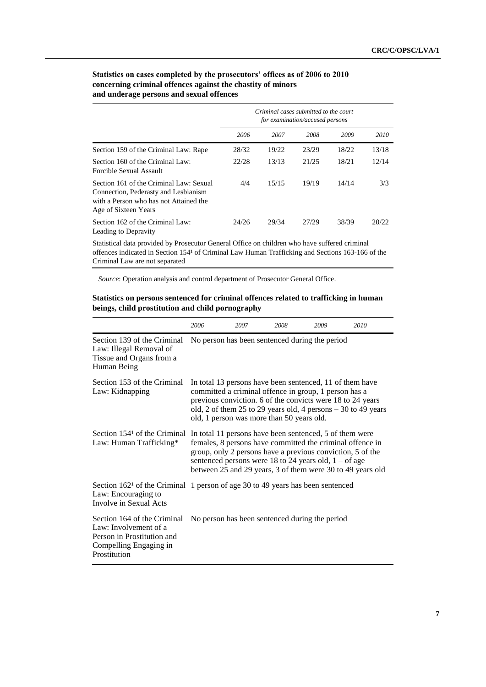|                                                                                                                                                   | Criminal cases submitted to the court<br>for examination/accused persons |       |       |       |       |
|---------------------------------------------------------------------------------------------------------------------------------------------------|--------------------------------------------------------------------------|-------|-------|-------|-------|
|                                                                                                                                                   | 2006                                                                     | 2007  | 2008  | 2009  | 2010  |
| Section 159 of the Criminal Law: Rape                                                                                                             | 28/32                                                                    | 19/22 | 23/29 | 18/22 | 13/18 |
| Section 160 of the Criminal Law:<br>Forcible Sexual Assault                                                                                       | 22/28                                                                    | 13/13 | 21/25 | 18/21 | 12/14 |
| Section 161 of the Criminal Law: Sexual<br>Connection, Pederasty and Lesbianism<br>with a Person who has not Attained the<br>Age of Sixteen Years | 4/4                                                                      | 15/15 | 19/19 | 14/14 | 3/3   |
| Section 162 of the Criminal Law:<br>Leading to Depravity                                                                                          | 24/26                                                                    | 29/34 | 27/29 | 38/39 | 20/22 |

### **Statistics on cases completed by the prosecutors' offices as of 2006 to 2010 concerning criminal offences against the chastity of minors and underage persons and sexual offences**

Statistical data provided by Prosecutor General Office on children who have suffered criminal offences indicated in Section 154<sup>1</sup> of Criminal Law Human Trafficking and Sections 163-166 of the Criminal Law are not separated

*Source*: Operation analysis and control department of Prosecutor General Office.

#### **Statistics on persons sentenced for criminal offences related to trafficking in human beings, child prostitution and child pornography**

|                                                                                                                                             | 2006                                                                                                                                                                                                                                                                                                        | 2007 | 2008 | 2009 | 2010 |
|---------------------------------------------------------------------------------------------------------------------------------------------|-------------------------------------------------------------------------------------------------------------------------------------------------------------------------------------------------------------------------------------------------------------------------------------------------------------|------|------|------|------|
| Section 139 of the Criminal<br>Law: Illegal Removal of<br>Tissue and Organs from a<br>Human Being                                           | No person has been sentenced during the period                                                                                                                                                                                                                                                              |      |      |      |      |
| Section 153 of the Criminal<br>Law: Kidnapping                                                                                              | In total 13 persons have been sentenced, 11 of them have<br>committed a criminal offence in group, 1 person has a<br>previous conviction. 6 of the convicts were 18 to 24 years<br>old, 2 of them 25 to 29 years old, 4 persons $-30$ to 49 years<br>old, 1 person was more than 50 years old.              |      |      |      |      |
| Section 154 <sup>1</sup> of the Criminal<br>Law: Human Trafficking*                                                                         | In total 11 persons have been sentenced, 5 of them were<br>females, 8 persons have committed the criminal offence in<br>group, only 2 persons have a previous conviction, 5 of the<br>sentenced persons were 18 to 24 years old, $1 -$ of age<br>between 25 and 29 years, 3 of them were 30 to 49 years old |      |      |      |      |
| Section 162 <sup>1</sup> of the Criminal 1 person of age 30 to 49 years has been sentenced<br>Law: Encouraging to<br>Involve in Sexual Acts |                                                                                                                                                                                                                                                                                                             |      |      |      |      |
| Section 164 of the Criminal<br>Law: Involvement of a<br>Person in Prostitution and<br>Compelling Engaging in<br>Prostitution                | No person has been sentenced during the period                                                                                                                                                                                                                                                              |      |      |      |      |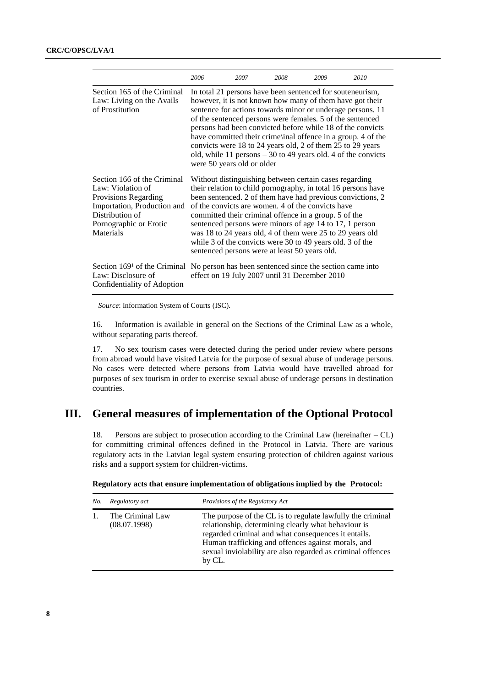|                                                                                                                                                                   | 2006                                                                                                                                                                                                                                                                                                                                                                                                                                                                                                                                         | 2007                                                                                                      | 2008 | 2009 | 2010 |
|-------------------------------------------------------------------------------------------------------------------------------------------------------------------|----------------------------------------------------------------------------------------------------------------------------------------------------------------------------------------------------------------------------------------------------------------------------------------------------------------------------------------------------------------------------------------------------------------------------------------------------------------------------------------------------------------------------------------------|-----------------------------------------------------------------------------------------------------------|------|------|------|
| Section 165 of the Criminal<br>Law: Living on the Avails<br>of Prostitution                                                                                       | In total 21 persons have been sentenced for souteneurism,<br>however, it is not known how many of them have got their<br>sentence for actions towards minor or underage persons. 11<br>of the sentenced persons were females. 5 of the sentenced<br>persons had been convicted before while 18 of the convicts<br>have committed their crime\inal offence in a group. 4 of the<br>convicts were 18 to 24 years old, 2 of them 25 to 29 years<br>old, while 11 persons $-30$ to 49 years old. 4 of the convicts<br>were 50 years old or older |                                                                                                           |      |      |      |
| Section 166 of the Criminal<br>Law: Violation of<br>Provisions Regarding<br>Importation, Production and<br>Distribution of<br>Pornographic or Erotic<br>Materials | Without distinguishing between certain cases regarding<br>their relation to child pornography, in total 16 persons have<br>been sentenced. 2 of them have had previous convictions, 2<br>of the convicts are women, 4 of the convicts have<br>committed their criminal offence in a group. 5 of the<br>sentenced persons were minors of age 14 to 17, 1 person<br>was 18 to 24 years old, 4 of them were 25 to 29 years old<br>while 3 of the convicts were 30 to 49 years old. 3 of the<br>sentenced persons were at least 50 years old.    |                                                                                                           |      |      |      |
| Section 169 <sup>1</sup> of the Criminal<br>Law: Disclosure of<br>Confidentiality of Adoption                                                                     |                                                                                                                                                                                                                                                                                                                                                                                                                                                                                                                                              | No person has been sentenced since the section came into<br>effect on 19 July 2007 until 31 December 2010 |      |      |      |

*Source*: Information System of Courts (ISC).

16. Information is available in general on the Sections of the Criminal Law as a whole, without separating parts thereof.

17. No sex tourism cases were detected during the period under review where persons from abroad would have visited Latvia for the purpose of sexual abuse of underage persons. No cases were detected where persons from Latvia would have travelled abroad for purposes of sex tourism in order to exercise sexual abuse of underage persons in destination countries.

# **III. General measures of implementation of the Optional Protocol**

18. Persons are subject to prosecution according to the Criminal Law (hereinafter – CL) for committing criminal offences defined in the Protocol in Latvia. There are various regulatory acts in the Latvian legal system ensuring protection of children against various risks and a support system for children-victims.

| No. | Regulatory act                   | Provisions of the Regulatory Act                                                                                                                                                                                                                                                                        |
|-----|----------------------------------|---------------------------------------------------------------------------------------------------------------------------------------------------------------------------------------------------------------------------------------------------------------------------------------------------------|
|     | The Criminal Law<br>(08.07.1998) | The purpose of the CL is to regulate lawfully the criminal<br>relationship, determining clearly what behaviour is<br>regarded criminal and what consequences it entails.<br>Human trafficking and offences against morals, and<br>sexual inviolability are also regarded as criminal offences<br>by CL. |

|  | Regulatory acts that ensure implementation of obligations implied by the Protocol: |  |
|--|------------------------------------------------------------------------------------|--|
|  |                                                                                    |  |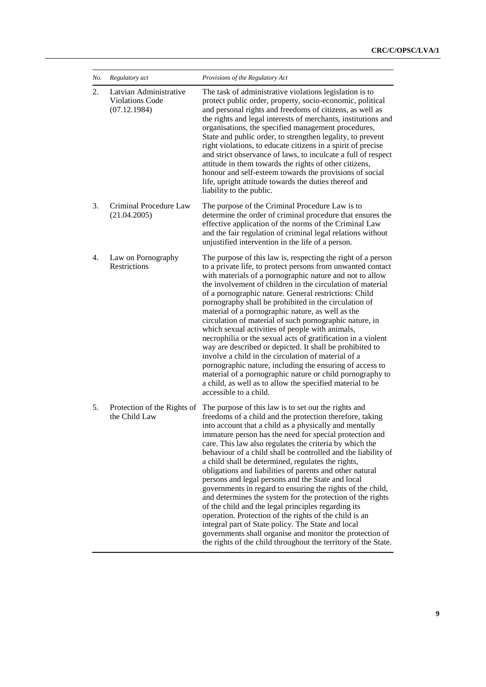| No. | Regulatory act                                                   | Provisions of the Regulatory Act                                                                                                                                                                                                                                                                                                                                                                                                                                                                                                                                                                                                                                                                                                                                                                                                                                                                                                                                          |
|-----|------------------------------------------------------------------|---------------------------------------------------------------------------------------------------------------------------------------------------------------------------------------------------------------------------------------------------------------------------------------------------------------------------------------------------------------------------------------------------------------------------------------------------------------------------------------------------------------------------------------------------------------------------------------------------------------------------------------------------------------------------------------------------------------------------------------------------------------------------------------------------------------------------------------------------------------------------------------------------------------------------------------------------------------------------|
| 2.  | Latvian Administrative<br><b>Violations Code</b><br>(07.12.1984) | The task of administrative violations legislation is to<br>protect public order, property, socio-economic, political<br>and personal rights and freedoms of citizens, as well as<br>the rights and legal interests of merchants, institutions and<br>organisations, the specified management procedures,<br>State and public order, to strengthen legality, to prevent<br>right violations, to educate citizens in a spirit of precise<br>and strict observance of laws, to inculcate a full of respect<br>attitude in them towards the rights of other citizens,<br>honour and self-esteem towards the provisions of social<br>life, upright attitude towards the duties thereof and<br>liability to the public.                                                                                                                                                                                                                                                         |
| 3.  | Criminal Procedure Law<br>(21.04.2005)                           | The purpose of the Criminal Procedure Law is to<br>determine the order of criminal procedure that ensures the<br>effective application of the norms of the Criminal Law<br>and the fair regulation of criminal legal relations without<br>unjustified intervention in the life of a person.                                                                                                                                                                                                                                                                                                                                                                                                                                                                                                                                                                                                                                                                               |
| 4.  | Law on Pornography<br>Restrictions                               | The purpose of this law is, respecting the right of a person<br>to a private life, to protect persons from unwanted contact<br>with materials of a pornographic nature and not to allow<br>the involvement of children in the circulation of material<br>of a pornographic nature. General restrictions: Child<br>pornography shall be prohibited in the circulation of<br>material of a pornographic nature, as well as the<br>circulation of material of such pornographic nature, in<br>which sexual activities of people with animals,<br>necrophilia or the sexual acts of gratification in a violent<br>way are described or depicted. It shall be prohibited to<br>involve a child in the circulation of material of a<br>pornographic nature, including the ensuring of access to<br>material of a pornographic nature or child pornography to<br>a child, as well as to allow the specified material to be<br>accessible to a child.                             |
| 5.  | Protection of the Rights of<br>the Child Law                     | The purpose of this law is to set out the rights and<br>freedoms of a child and the protection therefore, taking<br>into account that a child as a physically and mentally<br>immature person has the need for special protection and<br>care. This law also regulates the criteria by which the<br>behaviour of a child shall be controlled and the liability of<br>a child shall be determined, regulates the rights,<br>obligations and liabilities of parents and other natural<br>persons and legal persons and the State and local<br>governments in regard to ensuring the rights of the child,<br>and determines the system for the protection of the rights<br>of the child and the legal principles regarding its<br>operation. Protection of the rights of the child is an<br>integral part of State policy. The State and local<br>governments shall organise and monitor the protection of<br>the rights of the child throughout the territory of the State. |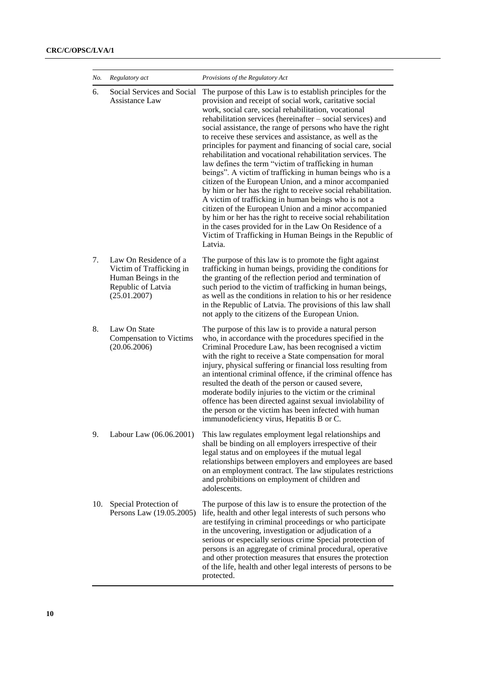| No. | Regulatory act                                                                                                 | Provisions of the Regulatory Act                                                                                                                                                                                                                                                                                                                                                                                                                                                                                                                                                                                                                                                                                                                                                                                                                                                                                                                                                                                                                                      |
|-----|----------------------------------------------------------------------------------------------------------------|-----------------------------------------------------------------------------------------------------------------------------------------------------------------------------------------------------------------------------------------------------------------------------------------------------------------------------------------------------------------------------------------------------------------------------------------------------------------------------------------------------------------------------------------------------------------------------------------------------------------------------------------------------------------------------------------------------------------------------------------------------------------------------------------------------------------------------------------------------------------------------------------------------------------------------------------------------------------------------------------------------------------------------------------------------------------------|
| 6.  | Social Services and Social<br>Assistance Law                                                                   | The purpose of this Law is to establish principles for the<br>provision and receipt of social work, caritative social<br>work, social care, social rehabilitation, vocational<br>rehabilitation services (hereinafter - social services) and<br>social assistance, the range of persons who have the right<br>to receive these services and assistance, as well as the<br>principles for payment and financing of social care, social<br>rehabilitation and vocational rehabilitation services. The<br>law defines the term "victim of trafficking in human<br>beings". A victim of trafficking in human beings who is a<br>citizen of the European Union, and a minor accompanied<br>by him or her has the right to receive social rehabilitation.<br>A victim of trafficking in human beings who is not a<br>citizen of the European Union and a minor accompanied<br>by him or her has the right to receive social rehabilitation<br>in the cases provided for in the Law On Residence of a<br>Victim of Trafficking in Human Beings in the Republic of<br>Latvia. |
| 7.  | Law On Residence of a<br>Victim of Trafficking in<br>Human Beings in the<br>Republic of Latvia<br>(25.01.2007) | The purpose of this law is to promote the fight against<br>trafficking in human beings, providing the conditions for<br>the granting of the reflection period and termination of<br>such period to the victim of trafficking in human beings,<br>as well as the conditions in relation to his or her residence<br>in the Republic of Latvia. The provisions of this law shall<br>not apply to the citizens of the European Union.                                                                                                                                                                                                                                                                                                                                                                                                                                                                                                                                                                                                                                     |
| 8.  | Law On State<br><b>Compensation to Victims</b><br>(20.06.2006)                                                 | The purpose of this law is to provide a natural person<br>who, in accordance with the procedures specified in the<br>Criminal Procedure Law, has been recognised a victim<br>with the right to receive a State compensation for moral<br>injury, physical suffering or financial loss resulting from<br>an intentional criminal offence, if the criminal offence has<br>resulted the death of the person or caused severe,<br>moderate bodily injuries to the victim or the criminal<br>offence has been directed against sexual inviolability of<br>the person or the victim has been infected with human<br>immunodeficiency virus, Hepatitis B or C.                                                                                                                                                                                                                                                                                                                                                                                                               |
| 9.  | Labour Law (06.06.2001)                                                                                        | This law regulates employment legal relationships and<br>shall be binding on all employers irrespective of their<br>legal status and on employees if the mutual legal<br>relationships between employers and employees are based<br>on an employment contract. The law stipulates restrictions<br>and prohibitions on employment of children and<br>adolescents.                                                                                                                                                                                                                                                                                                                                                                                                                                                                                                                                                                                                                                                                                                      |
| 10. | Special Protection of<br>Persons Law (19.05.2005)                                                              | The purpose of this law is to ensure the protection of the<br>life, health and other legal interests of such persons who<br>are testifying in criminal proceedings or who participate<br>in the uncovering, investigation or adjudication of a<br>serious or especially serious crime Special protection of<br>persons is an aggregate of criminal procedural, operative<br>and other protection measures that ensures the protection<br>of the life, health and other legal interests of persons to be<br>protected.                                                                                                                                                                                                                                                                                                                                                                                                                                                                                                                                                 |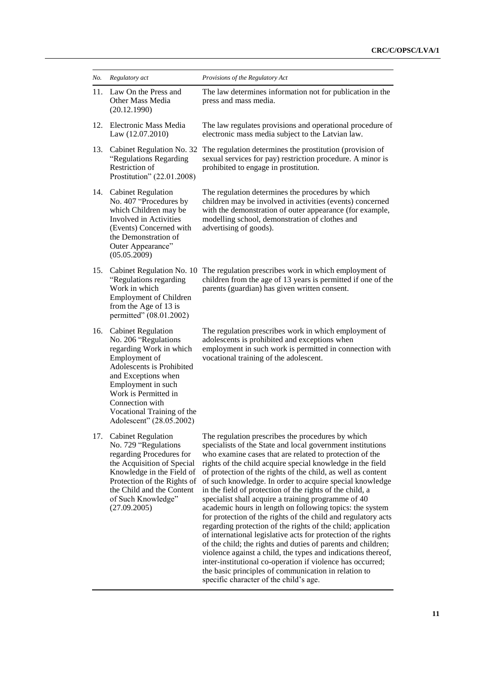| No. | Regulatory act                                                                                                                                                                                                                                                               | Provisions of the Regulatory Act                                                                                                                                                                                                                                                                                                                                                                                                                                                                                                                                                                                                                                                                                                                                                                                                                                                                                                                                                                                                                       |
|-----|------------------------------------------------------------------------------------------------------------------------------------------------------------------------------------------------------------------------------------------------------------------------------|--------------------------------------------------------------------------------------------------------------------------------------------------------------------------------------------------------------------------------------------------------------------------------------------------------------------------------------------------------------------------------------------------------------------------------------------------------------------------------------------------------------------------------------------------------------------------------------------------------------------------------------------------------------------------------------------------------------------------------------------------------------------------------------------------------------------------------------------------------------------------------------------------------------------------------------------------------------------------------------------------------------------------------------------------------|
| 11. | Law On the Press and<br>Other Mass Media<br>(20.12.1990)                                                                                                                                                                                                                     | The law determines information not for publication in the<br>press and mass media.                                                                                                                                                                                                                                                                                                                                                                                                                                                                                                                                                                                                                                                                                                                                                                                                                                                                                                                                                                     |
| 12. | Electronic Mass Media<br>Law (12.07.2010)                                                                                                                                                                                                                                    | The law regulates provisions and operational procedure of<br>electronic mass media subject to the Latvian law.                                                                                                                                                                                                                                                                                                                                                                                                                                                                                                                                                                                                                                                                                                                                                                                                                                                                                                                                         |
| 13. | Cabinet Regulation No. 32<br>"Regulations Regarding<br>Restriction of<br>Prostitution" (22.01.2008)                                                                                                                                                                          | The regulation determines the prostitution (provision of<br>sexual services for pay) restriction procedure. A minor is<br>prohibited to engage in prostitution.                                                                                                                                                                                                                                                                                                                                                                                                                                                                                                                                                                                                                                                                                                                                                                                                                                                                                        |
| 14. | <b>Cabinet Regulation</b><br>No. 407 "Procedures by<br>which Children may be<br>Involved in Activities<br>(Events) Concerned with<br>the Demonstration of<br>Outer Appearance"<br>(05.05.2009)                                                                               | The regulation determines the procedures by which<br>children may be involved in activities (events) concerned<br>with the demonstration of outer appearance (for example,<br>modelling school, demonstration of clothes and<br>advertising of goods).                                                                                                                                                                                                                                                                                                                                                                                                                                                                                                                                                                                                                                                                                                                                                                                                 |
| 15. | Cabinet Regulation No. 10<br>"Regulations regarding<br>Work in which<br><b>Employment of Children</b><br>from the Age of 13 is<br>permitted" (08.01.2002)                                                                                                                    | The regulation prescribes work in which employment of<br>children from the age of 13 years is permitted if one of the<br>parents (guardian) has given written consent.                                                                                                                                                                                                                                                                                                                                                                                                                                                                                                                                                                                                                                                                                                                                                                                                                                                                                 |
| 16. | <b>Cabinet Regulation</b><br>No. 206 "Regulations<br>regarding Work in which<br>Employment of<br>Adolescents is Prohibited<br>and Exceptions when<br>Employment in such<br>Work is Permitted in<br>Connection with<br>Vocational Training of the<br>Adolescent" (28.05.2002) | The regulation prescribes work in which employment of<br>adolescents is prohibited and exceptions when<br>employment in such work is permitted in connection with<br>vocational training of the adolescent.                                                                                                                                                                                                                                                                                                                                                                                                                                                                                                                                                                                                                                                                                                                                                                                                                                            |
| 17. | <b>Cabinet Regulation</b><br>No. 729 "Regulations<br>regarding Procedures for<br>the Acquisition of Special<br>Knowledge in the Field of<br>Protection of the Rights of<br>the Child and the Content<br>of Such Knowledge"<br>(27.09.2005)                                   | The regulation prescribes the procedures by which<br>specialists of the State and local government institutions<br>who examine cases that are related to protection of the<br>rights of the child acquire special knowledge in the field<br>of protection of the rights of the child, as well as content<br>of such knowledge. In order to acquire special knowledge<br>in the field of protection of the rights of the child, a<br>specialist shall acquire a training programme of 40<br>academic hours in length on following topics: the system<br>for protection of the rights of the child and regulatory acts<br>regarding protection of the rights of the child; application<br>of international legislative acts for protection of the rights<br>of the child; the rights and duties of parents and children;<br>violence against a child, the types and indications thereof,<br>inter-institutional co-operation if violence has occurred;<br>the basic principles of communication in relation to<br>specific character of the child's age. |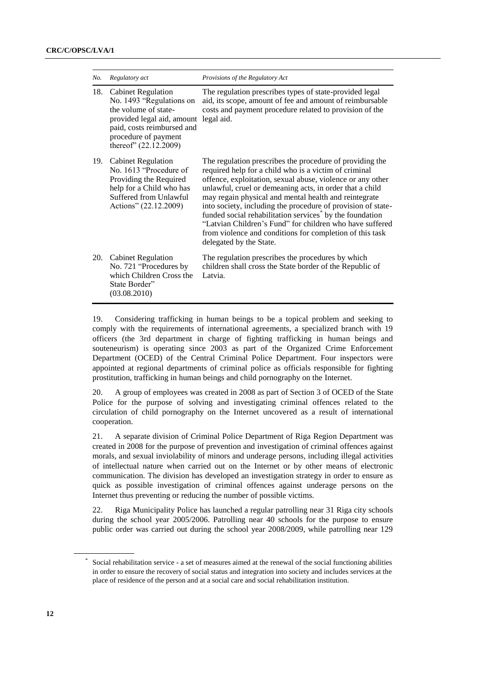| No. | Regulatory act                                                                                                                                                                             | Provisions of the Regulatory Act                                                                                                                                                                                                                                                                                                                                                                                                                                                                                                                                                                |
|-----|--------------------------------------------------------------------------------------------------------------------------------------------------------------------------------------------|-------------------------------------------------------------------------------------------------------------------------------------------------------------------------------------------------------------------------------------------------------------------------------------------------------------------------------------------------------------------------------------------------------------------------------------------------------------------------------------------------------------------------------------------------------------------------------------------------|
| 18. | <b>Cabinet Regulation</b><br>No. 1493 "Regulations on<br>the volume of state-<br>provided legal aid, amount<br>paid, costs reimbursed and<br>procedure of payment<br>thereof" (22.12.2009) | The regulation prescribes types of state-provided legal<br>aid, its scope, amount of fee and amount of reimbursable<br>costs and payment procedure related to provision of the<br>legal aid.                                                                                                                                                                                                                                                                                                                                                                                                    |
| 19. | <b>Cabinet Regulation</b><br>No. 1613 "Procedure of<br>Providing the Required<br>help for a Child who has<br>Suffered from Unlawful<br>Actions" (22.12.2009)                               | The regulation prescribes the procedure of providing the<br>required help for a child who is a victim of criminal<br>offence, exploitation, sexual abuse, violence or any other<br>unlawful, cruel or demeaning acts, in order that a child<br>may regain physical and mental health and reintegrate<br>into society, including the procedure of provision of state-<br>funded social rehabilitation services <sup>*</sup> by the foundation<br>"Latvian Children's Fund" for children who have suffered<br>from violence and conditions for completion of this task<br>delegated by the State. |
| 20. | <b>Cabinet Regulation</b><br>No. 721 "Procedures by<br>which Children Cross the<br>State Border"<br>(03.08.2010)                                                                           | The regulation prescribes the procedures by which<br>children shall cross the State border of the Republic of<br>Latvia.                                                                                                                                                                                                                                                                                                                                                                                                                                                                        |

19. Considering trafficking in human beings to be a topical problem and seeking to comply with the requirements of international agreements, a specialized branch with 19 officers (the 3rd department in charge of fighting trafficking in human beings and souteneurism) is operating since 2003 as part of the Organized Crime Enforcement Department (OCED) of the Central Criminal Police Department. Four inspectors were appointed at regional departments of criminal police as officials responsible for fighting prostitution, trafficking in human beings and child pornography on the Internet.

20. A group of employees was created in 2008 as part of Section 3 of OCED of the State Police for the purpose of solving and investigating criminal offences related to the circulation of child pornography on the Internet uncovered as a result of international cooperation.

21. A separate division of Criminal Police Department of Riga Region Department was created in 2008 for the purpose of prevention and investigation of criminal offences against morals, and sexual inviolability of minors and underage persons, including illegal activities of intellectual nature when carried out on the Internet or by other means of electronic communication. The division has developed an investigation strategy in order to ensure as quick as possible investigation of criminal offences against underage persons on the Internet thus preventing or reducing the number of possible victims.

22. Riga Municipality Police has launched a regular patrolling near 31 Riga city schools during the school year 2005/2006. Patrolling near 40 schools for the purpose to ensure public order was carried out during the school year 2008/2009, while patrolling near 129

<sup>\*</sup> Social rehabilitation service - a set of measures aimed at the renewal of the social functioning abilities in order to ensure the recovery of social status and integration into society and includes services at the place of residence of the person and at a social care and social rehabilitation institution.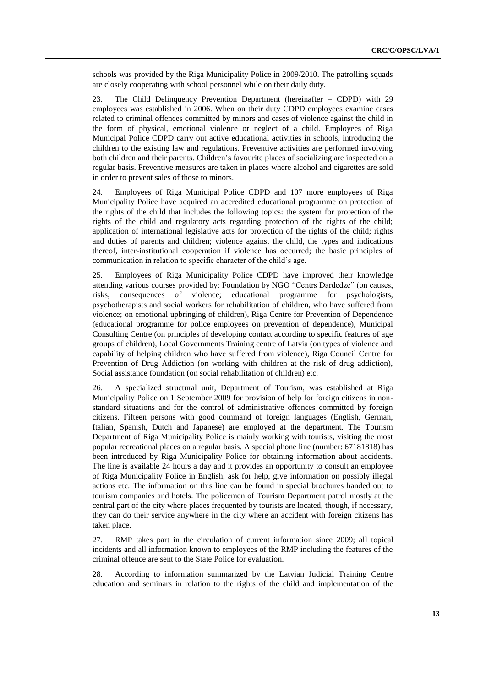schools was provided by the Riga Municipality Police in 2009/2010. The patrolling squads are closely cooperating with school personnel while on their daily duty.

23. The Child Delinquency Prevention Department (hereinafter – CDPD) with 29 employees was established in 2006. When on their duty CDPD employees examine cases related to criminal offences committed by minors and cases of violence against the child in the form of physical, emotional violence or neglect of a child. Employees of Riga Municipal Police CDPD carry out active educational activities in schools, introducing the children to the existing law and regulations. Preventive activities are performed involving both children and their parents. Children's favourite places of socializing are inspected on a regular basis. Preventive measures are taken in places where alcohol and cigarettes are sold in order to prevent sales of those to minors.

24. Employees of Riga Municipal Police CDPD and 107 more employees of Riga Municipality Police have acquired an accredited educational programme on protection of the rights of the child that includes the following topics: the system for protection of the rights of the child and regulatory acts regarding protection of the rights of the child; application of international legislative acts for protection of the rights of the child; rights and duties of parents and children; violence against the child, the types and indications thereof, inter-institutional cooperation if violence has occurred; the basic principles of communication in relation to specific character of the child's age.

25. Employees of Riga Municipality Police CDPD have improved their knowledge attending various courses provided by: Foundation by NGO "Centrs Dardedze" (on causes, risks, consequences of violence; educational programme for psychologists, psychotherapists and social workers for rehabilitation of children, who have suffered from violence; on emotional upbringing of children), Riga Centre for Prevention of Dependence (educational programme for police employees on prevention of dependence), Municipal Consulting Centre (on principles of developing contact according to specific features of age groups of children), Local Governments Training centre of Latvia (on types of violence and capability of helping children who have suffered from violence), Riga Council Centre for Prevention of Drug Addiction (on working with children at the risk of drug addiction), Social assistance foundation (on social rehabilitation of children) etc.

26. A specialized structural unit, Department of Tourism, was established at Riga Municipality Police on 1 September 2009 for provision of help for foreign citizens in nonstandard situations and for the control of administrative offences committed by foreign citizens. Fifteen persons with good command of foreign languages (English, German, Italian, Spanish, Dutch and Japanese) are employed at the department. The Tourism Department of Riga Municipality Police is mainly working with tourists, visiting the most popular recreational places on a regular basis. A special phone line (number: 67181818) has been introduced by Riga Municipality Police for obtaining information about accidents. The line is available 24 hours a day and it provides an opportunity to consult an employee of Riga Municipality Police in English, ask for help, give information on possibly illegal actions etc. The information on this line can be found in special brochures handed out to tourism companies and hotels. The policemen of Tourism Department patrol mostly at the central part of the city where places frequented by tourists are located, though, if necessary, they can do their service anywhere in the city where an accident with foreign citizens has taken place.

27. RMP takes part in the circulation of current information since 2009; all topical incidents and all information known to employees of the RMP including the features of the criminal offence are sent to the State Police for evaluation.

28. According to information summarized by the Latvian Judicial Training Centre education and seminars in relation to the rights of the child and implementation of the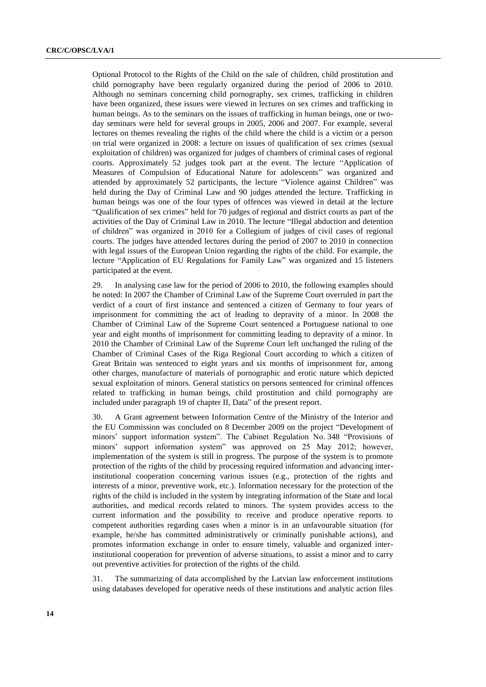Optional Protocol to the Rights of the Child on the sale of children, child prostitution and child pornography have been regularly organized during the period of 2006 to 2010. Although no seminars concerning child pornography, sex crimes, trafficking in children have been organized, these issues were viewed in lectures on sex crimes and trafficking in human beings. As to the seminars on the issues of trafficking in human beings, one or twoday seminars were held for several groups in 2005, 2006 and 2007. For example, several lectures on themes revealing the rights of the child where the child is a victim or a person on trial were organized in 2008: a lecture on issues of qualification of sex crimes (sexual exploitation of children) was organized for judges of chambers of criminal cases of regional courts. Approximately 52 judges took part at the event. The lecture "Application of Measures of Compulsion of Educational Nature for adolescents" was organized and attended by approximately 52 participants, the lecture "Violence against Children" was held during the Day of Criminal Law and 90 judges attended the lecture. Trafficking in human beings was one of the four types of offences was viewed in detail at the lecture "Qualification of sex crimes" held for 70 judges of regional and district courts as part of the activities of the Day of Criminal Law in 2010. The lecture "Illegal abduction and detention of children" was organized in 2010 for a Collegium of judges of civil cases of regional courts. The judges have attended lectures during the period of 2007 to 2010 in connection with legal issues of the European Union regarding the rights of the child. For example, the lecture "Application of EU Regulations for Family Law" was organized and 15 listeners participated at the event.

29. In analysing case law for the period of 2006 to 2010, the following examples should be noted: In 2007 the Chamber of Criminal Law of the Supreme Court overruled in part the verdict of a court of first instance and sentenced a citizen of Germany to four years of imprisonment for committing the act of leading to depravity of a minor. In 2008 the Chamber of Criminal Law of the Supreme Court sentenced a Portuguese national to one year and eight months of imprisonment for committing leading to depravity of a minor. In 2010 the Chamber of Criminal Law of the Supreme Court left unchanged the ruling of the Chamber of Criminal Cases of the Riga Regional Court according to which a citizen of Great Britain was sentenced to eight years and six months of imprisonment for, among other charges, manufacture of materials of pornographic and erotic nature which depicted sexual exploitation of minors. General statistics on persons sentenced for criminal offences related to trafficking in human beings, child prostitution and child pornography are included under paragraph 19 of chapter II, Data" of the present report.

30. A Grant agreement between Information Centre of the Ministry of the Interior and the EU Commission was concluded on 8 December 2009 on the project "Development of minors' support information system". The Cabinet Regulation No. 348 "Provisions of minors' support information system" was approved on 25 May 2012; however, implementation of the system is still in progress. The purpose of the system is to promote protection of the rights of the child by processing required information and advancing interinstitutional cooperation concerning various issues (e.g., protection of the rights and interests of a minor, preventive work, etc.). Information necessary for the protection of the rights of the child is included in the system by integrating information of the State and local authorities, and medical records related to minors. The system provides access to the current information and the possibility to receive and produce operative reports to competent authorities regarding cases when a minor is in an unfavourable situation (for example, he/she has committed administratively or criminally punishable actions), and promotes information exchange in order to ensure timely, valuable and organized interinstitutional cooperation for prevention of adverse situations, to assist a minor and to carry out preventive activities for protection of the rights of the child.

31. The summarizing of data accomplished by the Latvian law enforcement institutions using databases developed for operative needs of these institutions and analytic action files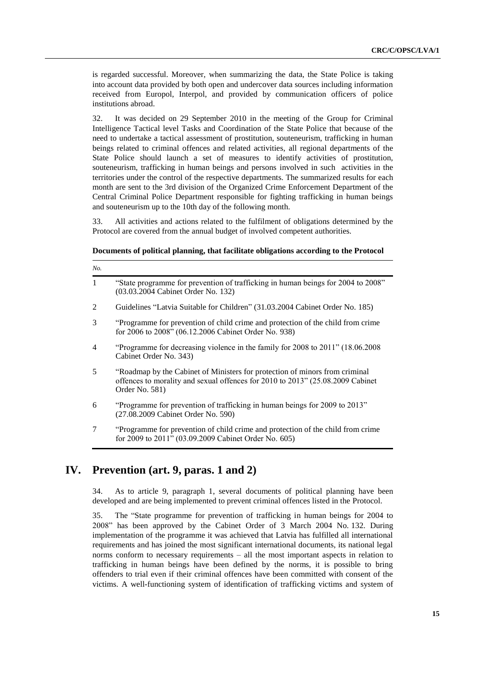is regarded successful. Moreover, when summarizing the data, the State Police is taking into account data provided by both open and undercover data sources including information received from Europol, Interpol, and provided by communication officers of police institutions abroad.

32. It was decided on 29 September 2010 in the meeting of the Group for Criminal Intelligence Tactical level Tasks and Coordination of the State Police that because of the need to undertake a tactical assessment of prostitution, souteneurism, trafficking in human beings related to criminal offences and related activities, all regional departments of the State Police should launch a set of measures to identify activities of prostitution, souteneurism, trafficking in human beings and persons involved in such activities in the territories under the control of the respective departments. The summarized results for each month are sent to the 3rd division of the Organized Crime Enforcement Department of the Central Criminal Police Department responsible for fighting trafficking in human beings and souteneurism up to the 10th day of the following month.

33. All activities and actions related to the fulfilment of obligations determined by the Protocol are covered from the annual budget of involved competent authorities.

#### **Documents of political planning, that facilitate obligations according to the Protocol**

| No.            |                                                                                                                                                                                 |
|----------------|---------------------------------------------------------------------------------------------------------------------------------------------------------------------------------|
| $\mathbf{1}$   | "State programme for prevention of trafficking in human beings for 2004 to 2008"<br>(03.03.2004 Cabinet Order No. 132)                                                          |
| 2              | Guidelines "Latvia Suitable for Children" (31.03.2004 Cabinet Order No. 185)                                                                                                    |
| 3              | "Programme for prevention of child crime and protection of the child from crime<br>for 2006 to 2008" (06.12.2006 Cabinet Order No. 938)                                         |
| $\overline{4}$ | "Programme for decreasing violence in the family for 2008 to 2011" (18.06.2008)<br>Cabinet Order No. 343)                                                                       |
| 5              | "Roadmap by the Cabinet of Ministers for protection of minors from criminal<br>offences to morality and sexual offences for 2010 to 2013" (25.08.2009 Cabinet<br>Order No. 581) |
| 6              | "Programme for prevention of trafficking in human beings for 2009 to 2013"<br>(27.08.2009 Cabinet Order No. 590)                                                                |
| 7              | "Programme for prevention of child crime and protection of the child from crime"<br>for 2009 to 2011" (03.09.2009 Cabinet Order No. 605)                                        |

## **IV. Prevention (art. 9, paras. 1 and 2)**

34. As to article 9, paragraph 1, several documents of political planning have been developed and are being implemented to prevent criminal offences listed in the Protocol.

35. The "State programme for prevention of trafficking in human beings for 2004 to 2008" has been approved by the Cabinet Order of 3 March 2004 No. 132. During implementation of the programme it was achieved that Latvia has fulfilled all international requirements and has joined the most significant international documents, its national legal norms conform to necessary requirements – all the most important aspects in relation to trafficking in human beings have been defined by the norms, it is possible to bring offenders to trial even if their criminal offences have been committed with consent of the victims. A well-functioning system of identification of trafficking victims and system of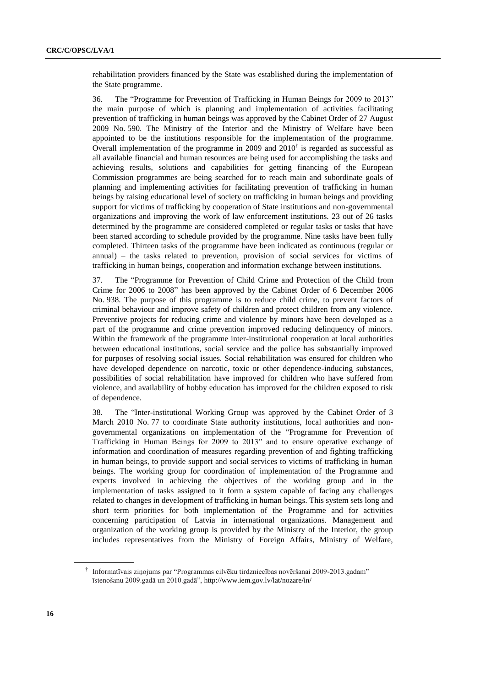rehabilitation providers financed by the State was established during the implementation of the State programme.

36. The "Programme for Prevention of Trafficking in Human Beings for 2009 to 2013" the main purpose of which is planning and implementation of activities facilitating prevention of trafficking in human beings was approved by the Cabinet Order of 27 August 2009 No. 590. The Ministry of the Interior and the Ministry of Welfare have been appointed to be the institutions responsible for the implementation of the programme. Overall implementation of the programme in 2009 and  $2010<sup>†</sup>$  is regarded as successful as all available financial and human resources are being used for accomplishing the tasks and achieving results, solutions and capabilities for getting financing of the European Commission programmes are being searched for to reach main and subordinate goals of planning and implementing activities for facilitating prevention of trafficking in human beings by raising educational level of society on trafficking in human beings and providing support for victims of trafficking by cooperation of State institutions and non-governmental organizations and improving the work of law enforcement institutions. 23 out of 26 tasks determined by the programme are considered completed or regular tasks or tasks that have been started according to schedule provided by the programme. Nine tasks have been fully completed. Thirteen tasks of the programme have been indicated as continuous (regular or annual) – the tasks related to prevention, provision of social services for victims of trafficking in human beings, cooperation and information exchange between institutions.

37. The "Programme for Prevention of Child Crime and Protection of the Child from Crime for 2006 to 2008" has been approved by the Cabinet Order of 6 December 2006 No. 938. The purpose of this programme is to reduce child crime, to prevent factors of criminal behaviour and improve safety of children and protect children from any violence. Preventive projects for reducing crime and violence by minors have been developed as a part of the programme and crime prevention improved reducing delinquency of minors. Within the framework of the programme inter-institutional cooperation at local authorities between educational institutions, social service and the police has substantially improved for purposes of resolving social issues. Social rehabilitation was ensured for children who have developed dependence on narcotic, toxic or other dependence-inducing substances, possibilities of social rehabilitation have improved for children who have suffered from violence, and availability of hobby education has improved for the children exposed to risk of dependence.

38. The "Inter-institutional Working Group was approved by the Cabinet Order of 3 March 2010 No. 77 to coordinate State authority institutions, local authorities and nongovernmental organizations on implementation of the "Programme for Prevention of Trafficking in Human Beings for 2009 to 2013" and to ensure operative exchange of information and coordination of measures regarding prevention of and fighting trafficking in human beings, to provide support and social services to victims of trafficking in human beings. The working group for coordination of implementation of the Programme and experts involved in achieving the objectives of the working group and in the implementation of tasks assigned to it form a system capable of facing any challenges related to changes in development of trafficking in human beings. This system sets long and short term priorities for both implementation of the Programme and for activities concerning participation of Latvia in international organizations. Management and organization of the working group is provided by the Ministry of the Interior, the group includes representatives from the Ministry of Foreign Affairs, Ministry of Welfare,

<sup>†</sup> Informatīvais ziņojums par "Programmas cilvēku tirdzniecības novēršanai 2009-2013.gadam" īstenošanu 2009.gadā un 2010.gadā", http://www.iem.gov.lv/lat/nozare/in/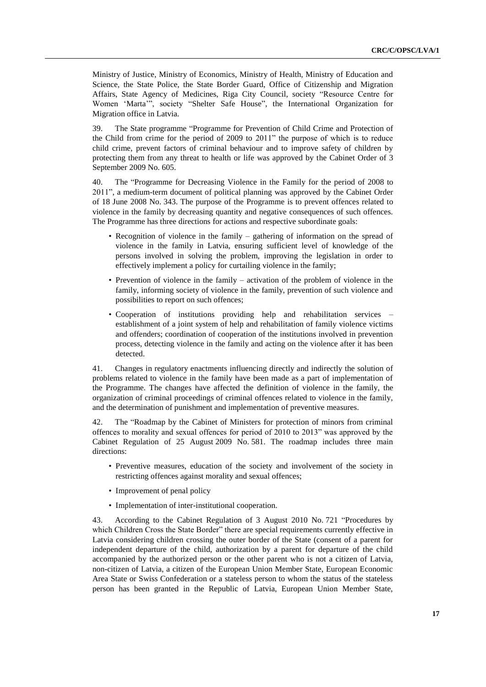Ministry of Justice, Ministry of Economics, Ministry of Health, Ministry of Education and Science, the State Police, the State Border Guard, Office of Citizenship and Migration Affairs, State Agency of Medicines, Riga City Council, society "Resource Centre for Women ʻMarta'", society "Shelter Safe House", the International Organization for Migration office in Latvia.

39. The State programme "Programme for Prevention of Child Crime and Protection of the Child from crime for the period of 2009 to 2011" the purpose of which is to reduce child crime, prevent factors of criminal behaviour and to improve safety of children by protecting them from any threat to health or life was approved by the Cabinet Order of 3 September 2009 No. 605.

40. The "Programme for Decreasing Violence in the Family for the period of 2008 to 2011", a medium-term document of political planning was approved by the Cabinet Order of 18 June 2008 No. 343. The purpose of the Programme is to prevent offences related to violence in the family by decreasing quantity and negative consequences of such offences. The Programme has three directions for actions and respective subordinate goals:

- Recognition of violence in the family gathering of information on the spread of violence in the family in Latvia, ensuring sufficient level of knowledge of the persons involved in solving the problem, improving the legislation in order to effectively implement a policy for curtailing violence in the family;
- Prevention of violence in the family activation of the problem of violence in the family, informing society of violence in the family, prevention of such violence and possibilities to report on such offences;
- Cooperation of institutions providing help and rehabilitation services establishment of a joint system of help and rehabilitation of family violence victims and offenders; coordination of cooperation of the institutions involved in prevention process, detecting violence in the family and acting on the violence after it has been detected.

41. Changes in regulatory enactments influencing directly and indirectly the solution of problems related to violence in the family have been made as a part of implementation of the Programme. The changes have affected the definition of violence in the family, the organization of criminal proceedings of criminal offences related to violence in the family, and the determination of punishment and implementation of preventive measures.

42. The "Roadmap by the Cabinet of Ministers for protection of minors from criminal offences to morality and sexual offences for period of 2010 to 2013" was approved by the Cabinet Regulation of 25 August 2009 No. 581. The roadmap includes three main directions:

- Preventive measures, education of the society and involvement of the society in restricting offences against morality and sexual offences;
- Improvement of penal policy
- Implementation of inter-institutional cooperation.

43. According to the Cabinet Regulation of 3 August 2010 No. 721 "Procedures by which Children Cross the State Border" there are special requirements currently effective in Latvia considering children crossing the outer border of the State (consent of a parent for independent departure of the child, authorization by a parent for departure of the child accompanied by the authorized person or the other parent who is not a citizen of Latvia, non-citizen of Latvia, a citizen of the European Union Member State, European Economic Area State or Swiss Confederation or a stateless person to whom the status of the stateless person has been granted in the Republic of Latvia, European Union Member State,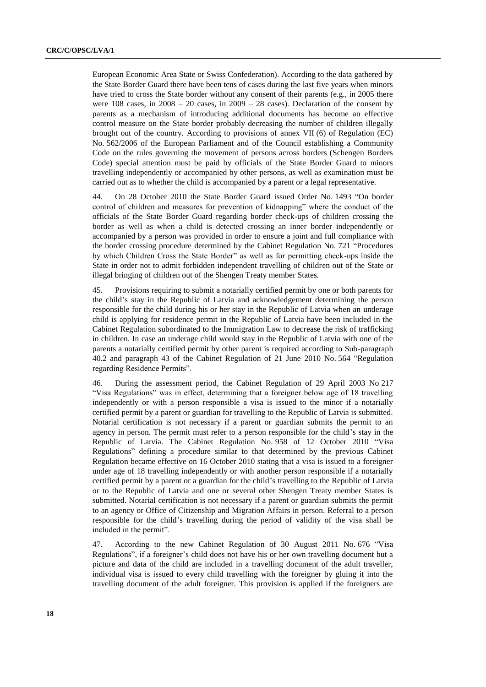European Economic Area State or Swiss Confederation). According to the data gathered by the State Border Guard there have been tens of cases during the last five years when minors have tried to cross the State border without any consent of their parents (e.g., in 2005 there were  $108$  cases, in  $2008 - 20$  cases, in  $2009 - 28$  cases). Declaration of the consent by parents as a mechanism of introducing additional documents has become an effective control measure on the State border probably decreasing the number of children illegally brought out of the country. According to provisions of annex VII (6) of Regulation (EC) No. 562/2006 of the European Parliament and of the Council establishing a Community Code on the rules governing the movement of persons across borders (Schengen Borders Code) special attention must be paid by officials of the State Border Guard to minors travelling independently or accompanied by other persons, as well as examination must be carried out as to whether the child is accompanied by a parent or a legal representative.

44. On 28 October 2010 the State Border Guard issued Order No. 1493 "On border control of children and measures for prevention of kidnapping" where the conduct of the officials of the State Border Guard regarding border check-ups of children crossing the border as well as when a child is detected crossing an inner border independently or accompanied by a person was provided in order to ensure a joint and full compliance with the border crossing procedure determined by the Cabinet Regulation No. 721 "Procedures by which Children Cross the State Border" as well as for permitting check-ups inside the State in order not to admit forbidden independent travelling of children out of the State or illegal bringing of children out of the Shengen Treaty member States.

45. Provisions requiring to submit a notarially certified permit by one or both parents for the child's stay in the Republic of Latvia and acknowledgement determining the person responsible for the child during his or her stay in the Republic of Latvia when an underage child is applying for residence permit in the Republic of Latvia have been included in the Cabinet Regulation subordinated to the Immigration Law to decrease the risk of trafficking in children. In case an underage child would stay in the Republic of Latvia with one of the parents a notarially certified permit by other parent is required according to Sub-paragraph 40.2 and paragraph 43 of the Cabinet Regulation of 21 June 2010 No. 564 "Regulation regarding Residence Permits".

46. During the assessment period, the Cabinet Regulation of 29 April 2003 No 217 "Visa Regulations" was in effect, determining that a foreigner below age of 18 travelling independently or with a person responsible a visa is issued to the minor if a notarially certified permit by a parent or guardian for travelling to the Republic of Latvia is submitted. Notarial certification is not necessary if a parent or guardian submits the permit to an agency in person. The permit must refer to a person responsible for the child's stay in the Republic of Latvia. The Cabinet Regulation No. 958 of 12 October 2010 "Visa Regulations" defining a procedure similar to that determined by the previous Cabinet Regulation became effective on 16 October 2010 stating that a visa is issued to a foreigner under age of 18 travelling independently or with another person responsible if a notarially certified permit by a parent or a guardian for the child's travelling to the Republic of Latvia or to the Republic of Latvia and one or several other Shengen Treaty member States is submitted. Notarial certification is not necessary if a parent or guardian submits the permit to an agency or Office of Citizenship and Migration Affairs in person. Referral to a person responsible for the child's travelling during the period of validity of the visa shall be included in the permit".

47. According to the new Cabinet Regulation of 30 August 2011 No. 676 "Visa Regulations", if a foreigner's child does not have his or her own travelling document but a picture and data of the child are included in a travelling document of the adult traveller, individual visa is issued to every child travelling with the foreigner by gluing it into the travelling document of the adult foreigner. This provision is applied if the foreigners are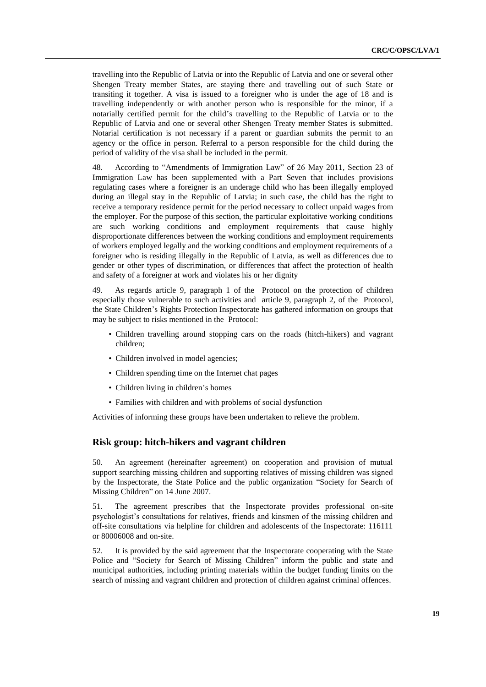travelling into the Republic of Latvia or into the Republic of Latvia and one or several other Shengen Treaty member States, are staying there and travelling out of such State or transiting it together. A visa is issued to a foreigner who is under the age of 18 and is travelling independently or with another person who is responsible for the minor, if a notarially certified permit for the child's travelling to the Republic of Latvia or to the Republic of Latvia and one or several other Shengen Treaty member States is submitted. Notarial certification is not necessary if a parent or guardian submits the permit to an agency or the office in person. Referral to a person responsible for the child during the period of validity of the visa shall be included in the permit.

48. According to "Amendments of Immigration Law" of 26 May 2011, Section 23 of Immigration Law has been supplemented with a Part Seven that includes provisions regulating cases where a foreigner is an underage child who has been illegally employed during an illegal stay in the Republic of Latvia; in such case, the child has the right to receive a temporary residence permit for the period necessary to collect unpaid wages from the employer. For the purpose of this section, the particular exploitative working conditions are such working conditions and employment requirements that cause highly disproportionate differences between the working conditions and employment requirements of workers employed legally and the working conditions and employment requirements of a foreigner who is residing illegally in the Republic of Latvia, as well as differences due to gender or other types of discrimination, or differences that affect the protection of health and safety of a foreigner at work and violates his or her dignity

49. As regards article 9, paragraph 1 of the Protocol on the protection of children especially those vulnerable to such activities and article 9, paragraph 2, of the Protocol, the State Children's Rights Protection Inspectorate has gathered information on groups that may be subject to risks mentioned in the Protocol:

- Children travelling around stopping cars on the roads (hitch-hikers) and vagrant children;
- Children involved in model agencies;
- Children spending time on the Internet chat pages
- Children living in children's homes
- Families with children and with problems of social dysfunction

Activities of informing these groups have been undertaken to relieve the problem.

#### **Risk group: hitch-hikers and vagrant children**

50. An agreement (hereinafter agreement) on cooperation and provision of mutual support searching missing children and supporting relatives of missing children was signed by the Inspectorate, the State Police and the public organization "Society for Search of Missing Children" on 14 June 2007.

51. The agreement prescribes that the Inspectorate provides professional on-site psychologist's consultations for relatives, friends and kinsmen of the missing children and off-site consultations via helpline for children and adolescents of the Inspectorate: 116111 or 80006008 and on-site.

52. It is provided by the said agreement that the Inspectorate cooperating with the State Police and "Society for Search of Missing Children" inform the public and state and municipal authorities, including printing materials within the budget funding limits on the search of missing and vagrant children and protection of children against criminal offences.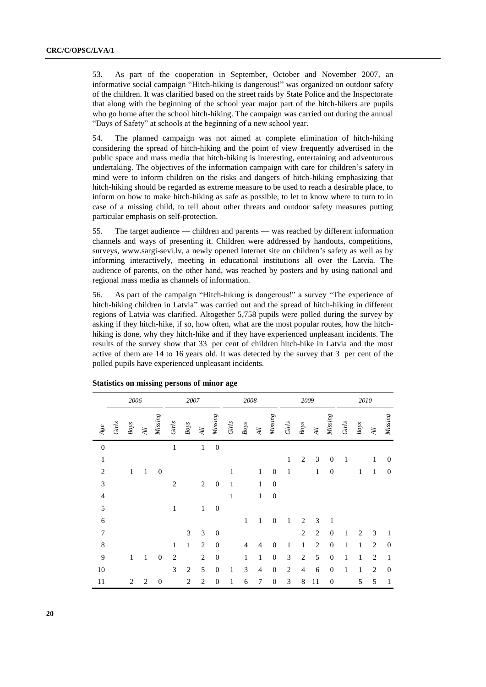53. As part of the cooperation in September, October and November 2007, an informative social campaign "Hitch-hiking is dangerous!" was organized on outdoor safety of the children. It was clarified based on the street raids by State Police and the Inspectorate that along with the beginning of the school year major part of the hitch-hikers are pupils who go home after the school hitch-hiking. The campaign was carried out during the annual "Days of Safety" at schools at the beginning of a new school year.

54. The planned campaign was not aimed at complete elimination of hitch-hiking considering the spread of hitch-hiking and the point of view frequently advertised in the public space and mass media that hitch-hiking is interesting, entertaining and adventurous undertaking. The objectives of the information campaign with care for children's safety in mind were to inform children on the risks and dangers of hitch-hiking emphasizing that hitch-hiking should be regarded as extreme measure to be used to reach a desirable place, to inform on how to make hitch-hiking as safe as possible, to let to know where to turn to in case of a missing child, to tell about other threats and outdoor safety measures putting particular emphasis on self-protection.

55. The target audience — children and parents — was reached by different information channels and ways of presenting it. Children were addressed by handouts, competitions, surveys, [www.sargi-sevi.lv,](http://www.sargi-sevi.lv/) a newly opened Internet site on children's safety as well as by informing interactively, meeting in educational institutions all over the Latvia. The audience of parents, on the other hand, was reached by posters and by using national and regional mass media as channels of information.

56. As part of the campaign "Hitch-hiking is dangerous!" a survey "The experience of hitch-hiking children in Latvia" was carried out and the spread of hitch-hiking in different regions of Latvia was clarified. Altogether 5,758 pupils were polled during the survey by asking if they hitch-hike, if so, how often, what are the most popular routes, how the hitchhiking is done, why they hitch-hike and if they have experienced unpleasant incidents. The results of the survey show that 33 per cent of children hitch-hike in Latvia and the most active of them are 14 to 16 years old. It was detected by the survey that 3 per cent of the polled pupils have experienced unpleasant incidents.

|                  |       | 2006           |                |                  |                | 2007           |                |                  |       | 2008           |                     |                  |                | 2009           |                     |                  |              | 2010         |                |                  |
|------------------|-------|----------------|----------------|------------------|----------------|----------------|----------------|------------------|-------|----------------|---------------------|------------------|----------------|----------------|---------------------|------------------|--------------|--------------|----------------|------------------|
| $Agee$           | Girls | $Boys$         | $\cal{A}$ ll   | Missing          | Girls          | Boys           | $\cal{A}$ ll   | Missing          | Girls | $Boys$         | $\cal{A}$ $\cal{U}$ | Missing          | Girls          | $Boys$         | $\cal{A}$ $\cal{U}$ | Missing          | Girls        | $Boys$       | $\cal{H}$      | Missing          |
| $\boldsymbol{0}$ |       |                |                |                  | $\mathbf{1}$   |                | $\mathbf{1}$   | $\boldsymbol{0}$ |       |                |                     |                  |                |                |                     |                  |              |              |                |                  |
| $\mathbf{1}$     |       |                |                |                  |                |                |                |                  |       |                |                     |                  | $\mathbf{1}$   | $\overline{2}$ | 3                   | $\boldsymbol{0}$ | 1            |              | $\mathbf{1}$   | $\mathbf{0}$     |
| $\mathbf{2}$     |       | $\,1$          | 1              | $\boldsymbol{0}$ |                |                |                |                  | 1     |                | $\mathbf{1}$        | $\overline{0}$   | $\mathbf{1}$   |                | $\mathbf{1}$        | $\boldsymbol{0}$ |              | $\mathbf{1}$ | $\mathbf{1}$   | $\boldsymbol{0}$ |
| $\mathfrak{Z}$   |       |                |                |                  | $\overline{2}$ |                | $\mathbf{2}$   | $\overline{0}$   | 1     |                | $\mathbf{1}$        | $\boldsymbol{0}$ |                |                |                     |                  |              |              |                |                  |
| $\overline{4}$   |       |                |                |                  |                |                |                |                  | 1     |                | $\mathbf{1}$        | $\boldsymbol{0}$ |                |                |                     |                  |              |              |                |                  |
| 5                |       |                |                |                  | $\mathbf{1}$   |                | $\,1\,$        | $\mathbf{0}$     |       |                |                     |                  |                |                |                     |                  |              |              |                |                  |
| $\sqrt{6}$       |       |                |                |                  |                |                |                |                  |       | $\mathbf{1}$   | 1                   | $\boldsymbol{0}$ | 1              | $\overline{2}$ | 3                   | 1                |              |              |                |                  |
| $\boldsymbol{7}$ |       |                |                |                  |                | 3              | 3              | $\boldsymbol{0}$ |       |                |                     |                  |                | $\mathfrak{2}$ | $\mathbf{2}$        | $\mathbf{0}$     | 1            | 2            | 3              | $\mathbf{1}$     |
| $\,$ 8 $\,$      |       |                |                |                  | $\mathbf{1}$   | $\,1$          | $\overline{2}$ | $\overline{0}$   |       | $\overline{4}$ | $\overline{4}$      | $\overline{0}$   | 1              | $\mathbf{1}$   | $\overline{2}$      | $\overline{0}$   | 1            | $\mathbf{1}$ | $\overline{2}$ | $\boldsymbol{0}$ |
| 9                |       | $\,1$          | 1              | $\boldsymbol{0}$ | $\overline{2}$ |                | $\overline{2}$ | $\overline{0}$   |       | $\mathbf{1}$   | 1                   | $\overline{0}$   | 3              | $\overline{2}$ | 5                   | $\boldsymbol{0}$ | 1            | 1            | $\overline{2}$ | 1                |
| 10               |       |                |                |                  | 3              | $\overline{2}$ | 5              | $\mathbf{0}$     | 1     | 3              | $\overline{4}$      | $\boldsymbol{0}$ | $\overline{2}$ | $\overline{4}$ | 6                   | $\mathbf{0}$     | $\mathbf{1}$ | $\mathbf{1}$ | $\mathbf{2}$   | $\boldsymbol{0}$ |
| 11               |       | $\overline{c}$ | $\overline{2}$ | $\mathbf{0}$     |                | $\overline{c}$ | $\overline{2}$ | $\boldsymbol{0}$ | 1     | 6              | 7                   | $\overline{0}$   | 3              | 8              | 11                  | $\boldsymbol{0}$ |              | 5            | 5              | $\mathbf{1}$     |

#### **Statistics on missing persons of minor age**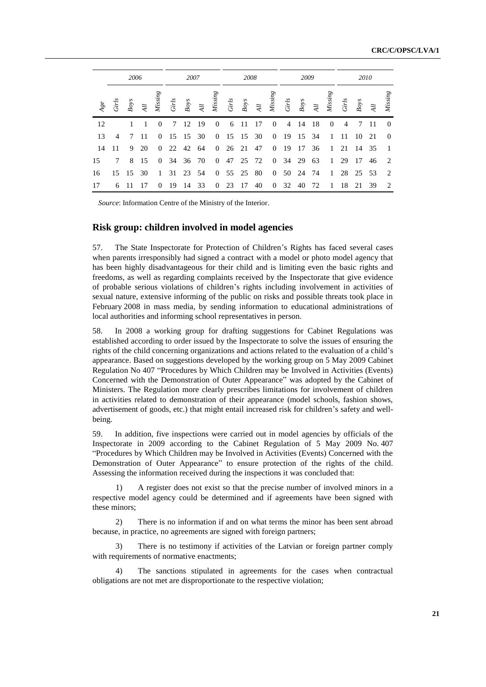|     | 2006<br>2007   |          |                 |                |       | 2008     |                |                | 2009  |            |     |                | 2010  |          |                |                |                |                 |                |                |
|-----|----------------|----------|-----------------|----------------|-------|----------|----------------|----------------|-------|------------|-----|----------------|-------|----------|----------------|----------------|----------------|-----------------|----------------|----------------|
| Age | Girls          | Boys     | $\overline{4}l$ | Missing        | Girls | $Boys$   | $\overline{4}$ | Missing        | Girls | $Boys$     | Al  | Missing        | Girls | Boys     | $\overline{4}$ | Missing        | Girls          | Boys            | $\overline{A}$ | Missing        |
| 12  |                | 1        | 1               | $\Omega$       | 7     | -12      | -19            | $\overline{0}$ | 6     | - 11       | -17 | $\overline{0}$ | 4     | -14      | -18            | $\overline{0}$ | $\overline{4}$ | $7\phantom{.0}$ | - 11           | $\overline{0}$ |
| 13  | $\overline{4}$ |          | 7 11            | $\Omega$       |       | 15 15 30 |                |                |       | 0 15 15 30 |     | $\overline{0}$ | - 19  | 15 34    |                | $\overline{1}$ | 11             | 10              | 21             | $\overline{0}$ |
| -14 | -11            | 9        | 20              | $\overline{0}$ |       | 22 42 64 |                |                |       | 0 26 21    | 47  | $\overline{0}$ | - 19  | 17       | 36             | $\mathbf{1}$   | 21             | 14 35           |                | $\overline{1}$ |
| 15  | 7              |          | 8 15            | $\overline{0}$ |       | 34 36 70 |                | $\overline{0}$ |       | 47 25 72   |     | $\overline{0}$ | 34 29 |          | 63             | 1              | 29             | - 17            | 46             | 2              |
| 16  |                | 15 15 30 |                 | $\mathbf{1}$   |       | 31 23 54 |                | $\overline{0}$ |       | 55 25      | 80  | $\overline{0}$ |       | 50 24 74 |                | $\mathbf{1}$   |                | 28 25 53        |                | 2              |
| 17  | 6              | -11      | 17              | $\theta$       | 19    | 14       | 33             | $\overline{0}$ | 23    | 17         | 40  | $\overline{0}$ | 32    | 40       | 72             | -1             | 18             | 21              | 39             | 2              |

*Source*: Information Centre of the Ministry of the Interior.

### **Risk group: children involved in model agencies**

57. The State Inspectorate for Protection of Children's Rights has faced several cases when parents irresponsibly had signed a contract with a model or photo model agency that has been highly disadvantageous for their child and is limiting even the basic rights and freedoms, as well as regarding complaints received by the Inspectorate that give evidence of probable serious violations of children's rights including involvement in activities of sexual nature, extensive informing of the public on risks and possible threats took place in February 2008 in mass media, by sending information to educational administrations of local authorities and informing school representatives in person.

58. In 2008 a working group for drafting suggestions for Cabinet Regulations was established according to order issued by the Inspectorate to solve the issues of ensuring the rights of the child concerning organizations and actions related to the evaluation of a child's appearance. Based on suggestions developed by the working group on 5 May 2009 Cabinet Regulation No 407 "Procedures by Which Children may be Involved in Activities (Events) Concerned with the Demonstration of Outer Appearance" was adopted by the Cabinet of Ministers. The Regulation more clearly prescribes limitations for involvement of children in activities related to demonstration of their appearance (model schools, fashion shows, advertisement of goods, etc.) that might entail increased risk for children's safety and wellbeing.

59. In addition, five inspections were carried out in model agencies by officials of the Inspectorate in 2009 according to the Cabinet Regulation of 5 May 2009 No. 407 "Procedures by Which Children may be Involved in Activities (Events) Concerned with the Demonstration of Outer Appearance" to ensure protection of the rights of the child. Assessing the information received during the inspections it was concluded that:

1) A register does not exist so that the precise number of involved minors in a respective model agency could be determined and if agreements have been signed with these minors;

2) There is no information if and on what terms the minor has been sent abroad because, in practice, no agreements are signed with foreign partners;

There is no testimony if activities of the Latvian or foreign partner comply with requirements of normative enactments;

4) The sanctions stipulated in agreements for the cases when contractual obligations are not met are disproportionate to the respective violation;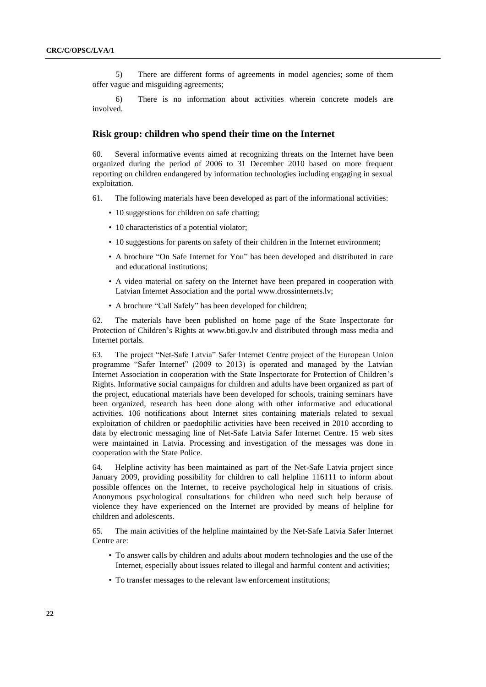5) There are different forms of agreements in model agencies; some of them offer vague and misguiding agreements;

6) There is no information about activities wherein concrete models are involved.

#### **Risk group: children who spend their time on the Internet**

60. Several informative events aimed at recognizing threats on the Internet have been organized during the period of 2006 to 31 December 2010 based on more frequent reporting on children endangered by information technologies including engaging in sexual exploitation.

61. The following materials have been developed as part of the informational activities:

- 10 suggestions for children on safe chatting;
- 10 characteristics of a potential violator;
- 10 suggestions for parents on safety of their children in the Internet environment;
- A brochure "On Safe Internet for You" has been developed and distributed in care and educational institutions;
- A video material on safety on the Internet have been prepared in cooperation with Latvian Internet Association and the portal [www.drossinternets.lv;](http://www.drossinternets.lv/)
- A brochure "Call Safely" has been developed for children;

62. The materials have been published on home page of the State Inspectorate for Protection of Children's Rights at [www.bti.gov.lv](http://www.bti.gov.lv/) and distributed through mass media and Internet portals.

63. The project "Net-Safe Latvia" Safer Internet Centre project of the European Union programme "Safer Internet" (2009 to 2013) is operated and managed by the Latvian Internet Association in cooperation with the State Inspectorate for Protection of Children's Rights. Informative social campaigns for children and adults have been organized as part of the project, educational materials have been developed for schools, training seminars have been organized, research has been done along with other informative and educational activities. 106 notifications about Internet sites containing materials related to sexual exploitation of children or paedophilic activities have been received in 2010 according to data by electronic messaging line of Net-Safe Latvia Safer Internet Centre. 15 web sites were maintained in Latvia. Processing and investigation of the messages was done in cooperation with the State Police.

64. Helpline activity has been maintained as part of the Net-Safe Latvia project since January 2009, providing possibility for children to call helpline 116111 to inform about possible offences on the Internet, to receive psychological help in situations of crisis. Anonymous psychological consultations for children who need such help because of violence they have experienced on the Internet are provided by means of helpline for children and adolescents.

65. The main activities of the helpline maintained by the Net-Safe Latvia Safer Internet Centre are:

- To answer calls by children and adults about modern technologies and the use of the Internet, especially about issues related to illegal and harmful content and activities;
- To transfer messages to the relevant law enforcement institutions;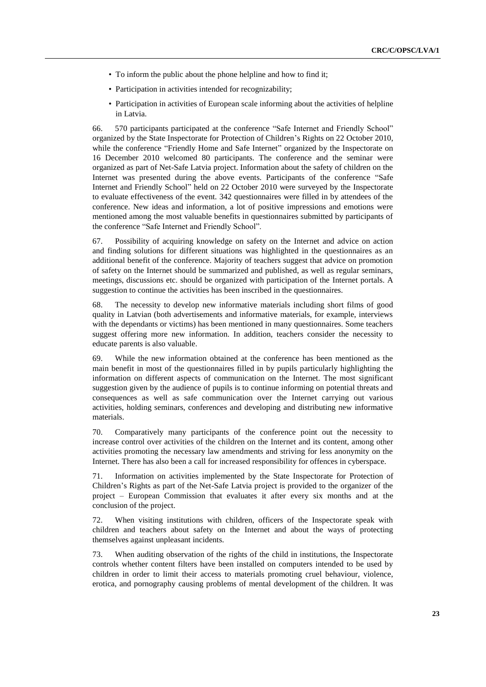- To inform the public about the phone helpline and how to find it;
- Participation in activities intended for recognizability;
- Participation in activities of European scale informing about the activities of helpline in Latvia.

66. 570 participants participated at the conference "Safe Internet and Friendly School" organized by the State Inspectorate for Protection of Children's Rights on 22 October 2010, while the conference "Friendly Home and Safe Internet" organized by the Inspectorate on 16 December 2010 welcomed 80 participants. The conference and the seminar were organized as part of Net-Safe Latvia project. Information about the safety of children on the Internet was presented during the above events. Participants of the conference "Safe Internet and Friendly School" held on 22 October 2010 were surveyed by the Inspectorate to evaluate effectiveness of the event. 342 questionnaires were filled in by attendees of the conference. New ideas and information, a lot of positive impressions and emotions were mentioned among the most valuable benefits in questionnaires submitted by participants of the conference "Safe Internet and Friendly School".

67. Possibility of acquiring knowledge on safety on the Internet and advice on action and finding solutions for different situations was highlighted in the questionnaires as an additional benefit of the conference. Majority of teachers suggest that advice on promotion of safety on the Internet should be summarized and published, as well as regular seminars, meetings, discussions etc. should be organized with participation of the Internet portals. A suggestion to continue the activities has been inscribed in the questionnaires.

68. The necessity to develop new informative materials including short films of good quality in Latvian (both advertisements and informative materials, for example, interviews with the dependants or victims) has been mentioned in many questionnaires. Some teachers suggest offering more new information. In addition, teachers consider the necessity to educate parents is also valuable.

69. While the new information obtained at the conference has been mentioned as the main benefit in most of the questionnaires filled in by pupils particularly highlighting the information on different aspects of communication on the Internet. The most significant suggestion given by the audience of pupils is to continue informing on potential threats and consequences as well as safe communication over the Internet carrying out various activities, holding seminars, conferences and developing and distributing new informative materials.

70. Comparatively many participants of the conference point out the necessity to increase control over activities of the children on the Internet and its content, among other activities promoting the necessary law amendments and striving for less anonymity on the Internet. There has also been a call for increased responsibility for offences in cyberspace.

71. Information on activities implemented by the State Inspectorate for Protection of Children's Rights as part of the Net-Safe Latvia project is provided to the organizer of the project – European Commission that evaluates it after every six months and at the conclusion of the project.

72. When visiting institutions with children, officers of the Inspectorate speak with children and teachers about safety on the Internet and about the ways of protecting themselves against unpleasant incidents.

73. When auditing observation of the rights of the child in institutions, the Inspectorate controls whether content filters have been installed on computers intended to be used by children in order to limit their access to materials promoting cruel behaviour, violence, erotica, and pornography causing problems of mental development of the children. It was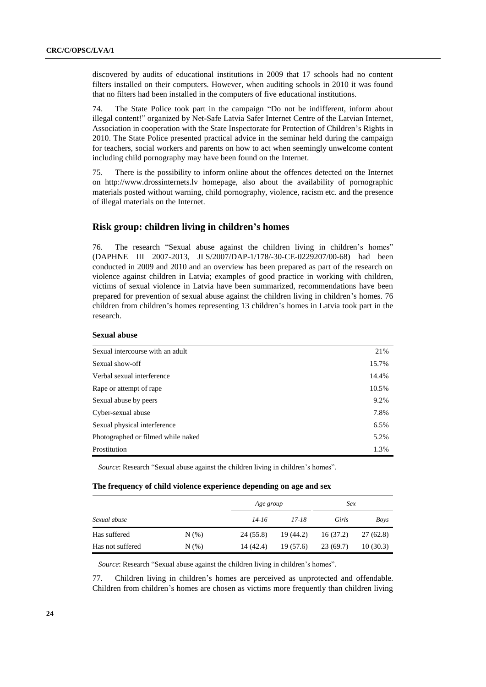discovered by audits of educational institutions in 2009 that 17 schools had no content filters installed on their computers. However, when auditing schools in 2010 it was found that no filters had been installed in the computers of five educational institutions.

74. The State Police took part in the campaign "Do not be indifferent, inform about illegal content!" organized by Net-Safe Latvia Safer Internet Centre of the Latvian Internet, Association in cooperation with the State Inspectorate for Protection of Children's Rights in 2010. The State Police presented practical advice in the seminar held during the campaign for teachers, social workers and parents on how to act when seemingly unwelcome content including child pornography may have been found on the Internet.

75. There is the possibility to inform online about the offences detected on the Internet on http://www.drossinternets.lv homepage, also about the availability of pornographic materials posted without warning, child pornography, violence, racism etc. and the presence of illegal materials on the Internet.

### **Risk group: children living in children's homes**

76. The research "Sexual abuse against the children living in children's homes" (DAPHNE III 2007-2013, JLS/2007/DAP-1/178/-30-CE-0229207/00-68) had been conducted in 2009 and 2010 and an overview has been prepared as part of the research on violence against children in Latvia; examples of good practice in working with children, victims of sexual violence in Latvia have been summarized, recommendations have been prepared for prevention of sexual abuse against the children living in children's homes. 76 children from children's homes representing 13 children's homes in Latvia took part in the research.

#### **Sexual abuse**

| Sexual intercourse with an adult   | 21%   |
|------------------------------------|-------|
| Sexual show-off                    | 15.7% |
| Verbal sexual interference         | 14.4% |
| Rape or attempt of rape            | 10.5% |
| Sexual abuse by peers              | 9.2%  |
| Cyber-sexual abuse                 | 7.8%  |
| Sexual physical interference       | 6.5%  |
| Photographed or filmed while naked | 5.2%  |
| Prostitution                       | 1.3%  |

*Source*: Research "Sexual abuse against the children living in children's homes".

#### **The frequency of child violence experience depending on age and sex**

|                  | Age group |           | Sex       |          |           |
|------------------|-----------|-----------|-----------|----------|-----------|
| Sexual abuse     |           | 14-16     | 17-18     | Girls    | Boys      |
| Has suffered     | $N(\%)$   | 24 (55.8) | 19 (44.2) | 16(37.2) | 27 (62.8) |
| Has not suffered | N(% )     | 14 (42.4) | 19(57.6)  | 23(69.7) | 10(30.3)  |

*Source*: Research "Sexual abuse against the children living in children's homes".

77. Children living in children's homes are perceived as unprotected and offendable. Children from children's homes are chosen as victims more frequently than children living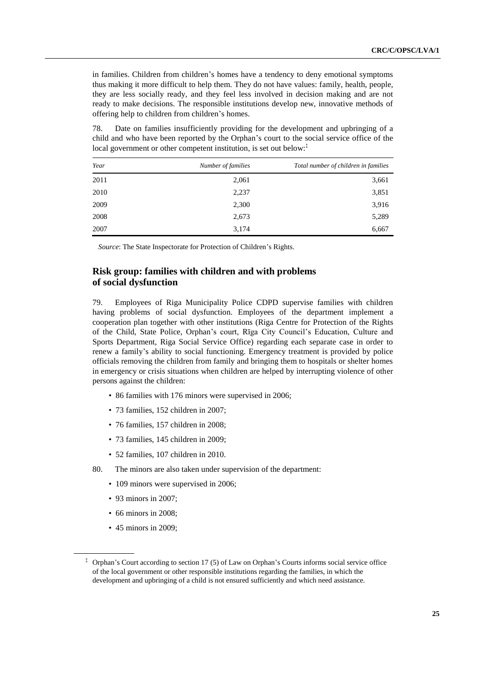in families. Children from children's homes have a tendency to deny emotional symptoms thus making it more difficult to help them. They do not have values: family, health, people, they are less socially ready, and they feel less involved in decision making and are not ready to make decisions. The responsible institutions develop new, innovative methods of offering help to children from children's homes.

78. Date on families insufficiently providing for the development and upbringing of a child and who have been reported by the Orphan's court to the social service office of the local government or other competent institution, is set out below:<sup>†</sup>

| Year | Number of families | Total number of children in families |
|------|--------------------|--------------------------------------|
| 2011 | 2,061              | 3,661                                |
| 2010 | 2,237              | 3,851                                |
| 2009 | 2,300              | 3,916                                |
| 2008 | 2,673              | 5,289                                |
| 2007 | 3,174              | 6,667                                |

*Source*: The State Inspectorate for Protection of Children's Rights.

### **Risk group: families with children and with problems of social dysfunction**

79. Employees of Riga Municipality Police CDPD supervise families with children having problems of social dysfunction. Employees of the department implement a cooperation plan together with other institutions (Riga Centre for Protection of the Rights of the Child, State Police, Orphan's court, Rīga City Council's Education, Culture and Sports Department, Riga Social Service Office) regarding each separate case in order to renew a family's ability to social functioning. Emergency treatment is provided by police officials removing the children from family and bringing them to hospitals or shelter homes in emergency or crisis situations when children are helped by interrupting violence of other persons against the children:

- 86 families with 176 minors were supervised in 2006;
- 73 families, 152 children in 2007;
- 76 families, 157 children in 2008;
- 73 families, 145 children in 2009;
- 52 families, 107 children in 2010.
- 80. The minors are also taken under supervision of the department:
	- 109 minors were supervised in 2006;
	- 93 minors in 2007;
	- 66 minors in 2008;
	- 45 minors in 2009;

<sup>‡</sup> Orphan's Court according to section 17 (5) of Law on Orphan's Courts informs social service office of the local government or other responsible institutions regarding the families, in which the development and upbringing of a child is not ensured sufficiently and which need assistance.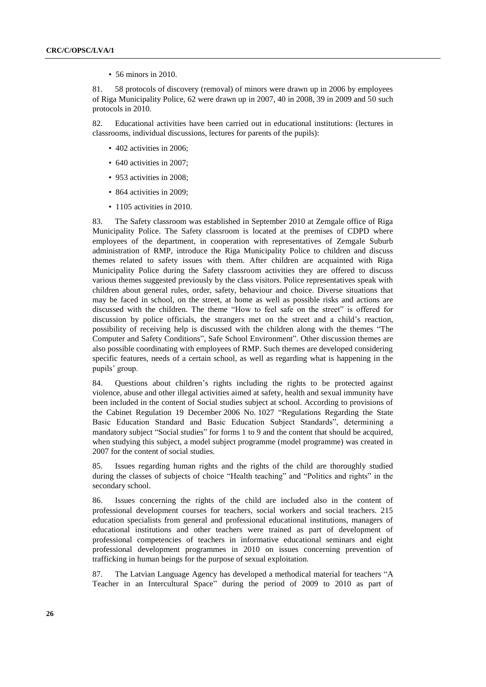• 56 minors in 2010.

81. 58 protocols of discovery (removal) of minors were drawn up in 2006 by employees of Riga Municipality Police, 62 were drawn up in 2007, 40 in 2008, 39 in 2009 and 50 such protocols in 2010.

82. Educational activities have been carried out in educational institutions: (lectures in classrooms, individual discussions, lectures for parents of the pupils):

- 402 activities in 2006;
- 640 activities in 2007;
- 953 activities in 2008:
- 864 activities in 2009;
- 1105 activities in 2010.

83. The Safety classroom was established in September 2010 at Zemgale office of Riga Municipality Police. The Safety classroom is located at the premises of CDPD where employees of the department, in cooperation with representatives of Zemgale Suburb administration of RMP, introduce the Riga Municipality Police to children and discuss themes related to safety issues with them. After children are acquainted with Riga Municipality Police during the Safety classroom activities they are offered to discuss various themes suggested previously by the class visitors. Police representatives speak with children about general rules, order, safety, behaviour and choice. Diverse situations that may be faced in school, on the street, at home as well as possible risks and actions are discussed with the children. The theme "How to feel safe on the street" is offered for discussion by police officials, the strangers met on the street and a child's reaction, possibility of receiving help is discussed with the children along with the themes "The Computer and Safety Conditions", Safe School Environment". Other discussion themes are also possible coordinating with employees of RMP. Such themes are developed considering specific features, needs of a certain school, as well as regarding what is happening in the pupils' group.

84. Questions about children's rights including the rights to be protected against violence, abuse and other illegal activities aimed at safety, health and sexual immunity have been included in the content of Social studies subject at school. According to provisions of the Cabinet Regulation 19 December 2006 No. 1027 "Regulations Regarding the State Basic Education Standard and Basic Education Subject Standards", determining a mandatory subject "Social studies" for forms 1 to 9 and the content that should be acquired, when studying this subject, a model subject programme (model programme) was created in 2007 for the content of social studies.

85. Issues regarding human rights and the rights of the child are thoroughly studied during the classes of subjects of choice "Health teaching" and "Politics and rights" in the secondary school.

86. Issues concerning the rights of the child are included also in the content of professional development courses for teachers, social workers and social teachers. 215 education specialists from general and professional educational institutions, managers of educational institutions and other teachers were trained as part of development of professional competencies of teachers in informative educational seminars and eight professional development programmes in 2010 on issues concerning prevention of trafficking in human beings for the purpose of sexual exploitation.

87. The Latvian Language Agency has developed a methodical material for teachers "A Teacher in an Intercultural Space" during the period of 2009 to 2010 as part of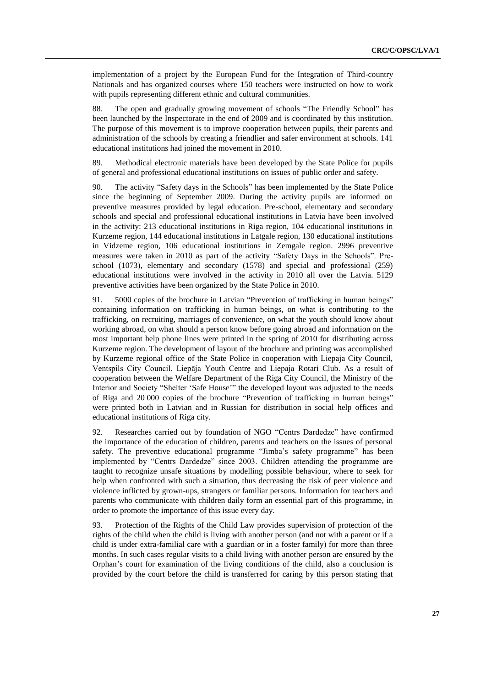implementation of a project by the European Fund for the Integration of Third-country Nationals and has organized courses where 150 teachers were instructed on how to work with pupils representing different ethnic and cultural communities.

88. The open and gradually growing movement of schools "The Friendly School" has been launched by the Inspectorate in the end of 2009 and is coordinated by this institution. The purpose of this movement is to improve cooperation between pupils, their parents and administration of the schools by creating a friendlier and safer environment at schools. 141 educational institutions had joined the movement in 2010.

89. Methodical electronic materials have been developed by the State Police for pupils of general and professional educational institutions on issues of public order and safety.

90. The activity "Safety days in the Schools" has been implemented by the State Police since the beginning of September 2009. During the activity pupils are informed on preventive measures provided by legal education. Pre-school, elementary and secondary schools and special and professional educational institutions in Latvia have been involved in the activity: 213 educational institutions in Riga region, 104 educational institutions in Kurzeme region, 144 educational institutions in Latgale region, 130 educational institutions in Vidzeme region, 106 educational institutions in Zemgale region. 2996 preventive measures were taken in 2010 as part of the activity "Safety Days in the Schools". Preschool (1073), elementary and secondary (1578) and special and professional (259) educational institutions were involved in the activity in 2010 all over the Latvia. 5129 preventive activities have been organized by the State Police in 2010.

91. 5000 copies of the brochure in Latvian "Prevention of trafficking in human beings" containing information on trafficking in human beings, on what is contributing to the trafficking, on recruiting, marriages of convenience, on what the youth should know about working abroad, on what should a person know before going abroad and information on the most important help phone lines were printed in the spring of 2010 for distributing across Kurzeme region. The development of layout of the brochure and printing was accomplished by Kurzeme regional office of the State Police in cooperation with Liepaja City Council, Ventspils City Council, Liepāja Youth Centre and Liepaja Rotari Club. As a result of cooperation between the Welfare Department of the Riga City Council, the Ministry of the Interior and Society "Shelter ʻSafe House'" the developed layout was adjusted to the needs of Riga and 20 000 copies of the brochure "Prevention of trafficking in human beings" were printed both in Latvian and in Russian for distribution in social help offices and educational institutions of Riga city.

92. Researches carried out by foundation of NGO "Centrs Dardedze" have confirmed the importance of the education of children, parents and teachers on the issues of personal safety. The preventive educational programme "Jimba's safety programme" has been implemented by "Centrs Dardedze" since 2003. Children attending the programme are taught to recognize unsafe situations by modelling possible behaviour, where to seek for help when confronted with such a situation, thus decreasing the risk of peer violence and violence inflicted by grown-ups, strangers or familiar persons. Information for teachers and parents who communicate with children daily form an essential part of this programme, in order to promote the importance of this issue every day.

93. Protection of the Rights of the Child Law provides supervision of protection of the rights of the child when the child is living with another person (and not with a parent or if a child is under extra-familial care with a guardian or in a foster family) for more than three months. In such cases regular visits to a child living with another person are ensured by the Orphan's court for examination of the living conditions of the child, also a conclusion is provided by the court before the child is transferred for caring by this person stating that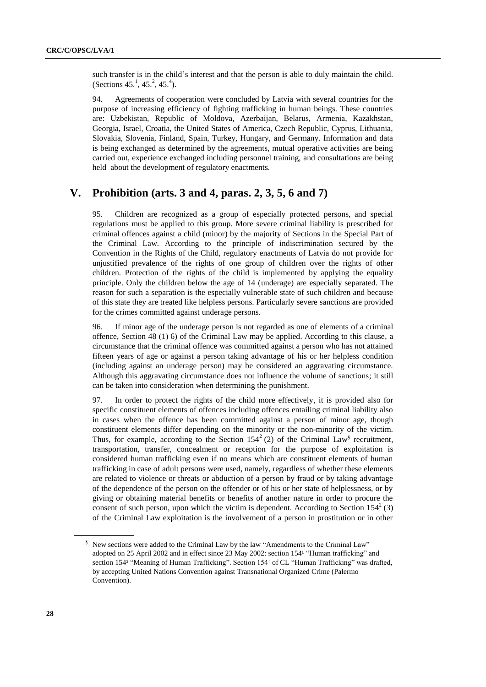such transfer is in the child's interest and that the person is able to duly maintain the child. (Sections 45.<sup>1</sup>, 45.<sup>2</sup>, 45.<sup>4</sup>).

94. Agreements of cooperation were concluded by Latvia with several countries for the purpose of increasing efficiency of fighting trafficking in human beings. These countries are: Uzbekistan, Republic of Moldova, Azerbaijan, Belarus, Armenia, Kazakhstan, Georgia, Israel, Croatia, the United States of America, Czech Republic, Cyprus, Lithuania, Slovakia, Slovenia, Finland, Spain, Turkey, Hungary, and Germany. Information and data is being exchanged as determined by the agreements, mutual operative activities are being carried out, experience exchanged including personnel training, and consultations are being held about the development of regulatory enactments.

## **V. Prohibition (arts. 3 and 4, paras. 2, 3, 5, 6 and 7)**

95. Children are recognized as a group of especially protected persons, and special regulations must be applied to this group. More severe criminal liability is prescribed for criminal offences against a child (minor) by the majority of Sections in the Special Part of the Criminal Law. According to the principle of indiscrimination secured by the Convention in the Rights of the Child, regulatory enactments of Latvia do not provide for unjustified prevalence of the rights of one group of children over the rights of other children. Protection of the rights of the child is implemented by applying the equality principle. Only the children below the age of 14 (underage) are especially separated. The reason for such a separation is the especially vulnerable state of such children and because of this state they are treated like helpless persons. Particularly severe sanctions are provided for the crimes committed against underage persons.

96. If minor age of the underage person is not regarded as one of elements of a criminal offence, Section 48 (1) 6) of the Criminal Law may be applied. According to this clause, a circumstance that the criminal offence was committed against a person who has not attained fifteen years of age or against a person taking advantage of his or her helpless condition (including against an underage person) may be considered an aggravating circumstance. Although this aggravating circumstance does not influence the volume of sanctions; it still can be taken into consideration when determining the punishment.

97. In order to protect the rights of the child more effectively, it is provided also for specific constituent elements of offences including offences entailing criminal liability also in cases when the offence has been committed against a person of minor age, though constituent elements differ depending on the minority or the non-minority of the victim. Thus, for example, according to the Section  $154^2$  (2) of the Criminal Law<sup>§</sup> recruitment, transportation, transfer, concealment or reception for the purpose of exploitation is considered human trafficking even if no means which are constituent elements of human trafficking in case of adult persons were used, namely, regardless of whether these elements are related to violence or threats or abduction of a person by fraud or by taking advantage of the dependence of the person on the offender or of his or her state of helplessness, or by giving or obtaining material benefits or benefits of another nature in order to procure the consent of such person, upon which the victim is dependent. According to Section  $154^2$  (3) of the Criminal Law exploitation is the involvement of a person in prostitution or in other

<sup>§</sup> New sections were added to the Criminal Law by the law "Amendments to the Criminal Law" adopted on 25 April 2002 and in effect since 23 May 2002: section 154<sup>1</sup> "Human trafficking" and section 154<sup>2</sup> "Meaning of Human Trafficking". Section 154<sup>1</sup> of CL "Human Trafficking" was drafted, by accepting United Nations Convention against Transnational Organized Crime (Palermo Convention).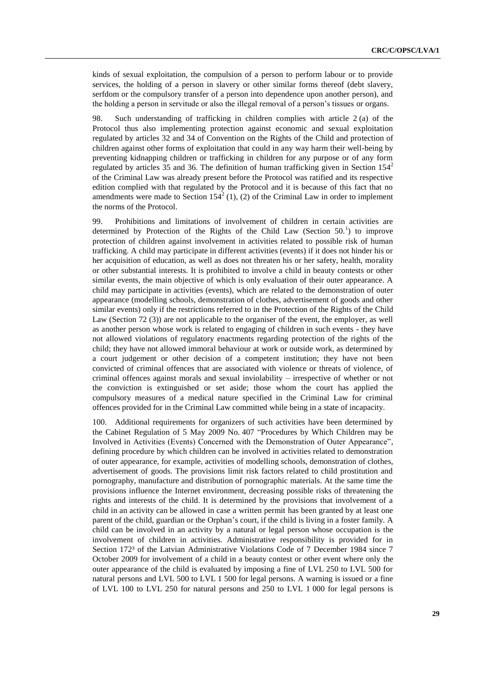kinds of sexual exploitation, the compulsion of a person to perform labour or to provide services, the holding of a person in slavery or other similar forms thereof (debt slavery, serfdom or the compulsory transfer of a person into dependence upon another person), and the holding a person in servitude or also the illegal removal of a person's tissues or organs.

98. Such understanding of trafficking in children complies with article 2 (a) of the Protocol thus also implementing protection against economic and sexual exploitation regulated by articles 32 and 34 of Convention on the Rights of the Child and protection of children against other forms of exploitation that could in any way harm their well-being by preventing kidnapping children or trafficking in children for any purpose or of any form regulated by articles 35 and 36. The definition of human trafficking given in Section  $154<sup>2</sup>$ of the Criminal Law was already present before the Protocol was ratified and its respective edition complied with that regulated by the Protocol and it is because of this fact that no amendments were made to Section  $154^2$  (1), (2) of the Criminal Law in order to implement the norms of the Protocol.

99. Prohibitions and limitations of involvement of children in certain activities are determined by Protection of the Rights of the Child Law (Section  $50<sup>1</sup>$ ) to improve protection of children against involvement in activities related to possible risk of human trafficking. A child may participate in different activities (events) if it does not hinder his or her acquisition of education, as well as does not threaten his or her safety, health, morality or other substantial interests. It is prohibited to involve a child in beauty contests or other similar events, the main objective of which is only evaluation of their outer appearance. A child may participate in activities (events), which are related to the demonstration of outer appearance (modelling schools, demonstration of clothes, advertisement of goods and other similar events) only if the restrictions referred to in the Protection of the Rights of the Child Law (Section 72 (3)) are not applicable to the organiser of the event, the employer, as well as another person whose work is related to engaging of children in such events - they have not allowed violations of regulatory enactments regarding protection of the rights of the child; they have not allowed immoral behaviour at work or outside work, as determined by a court judgement or other decision of a competent institution; they have not been convicted of criminal offences that are associated with violence or threats of violence, of criminal offences against morals and sexual inviolability – irrespective of whether or not the conviction is extinguished or set aside; those whom the court has applied the compulsory measures of a medical nature specified in the Criminal Law for criminal offences provided for in the Criminal Law committed while being in a state of incapacity.

100. Additional requirements for organizers of such activities have been determined by the Cabinet Regulation of 5 May 2009 No. 407 "Procedures by Which Children may be Involved in Activities (Events) Concerned with the Demonstration of Outer Appearance", defining procedure by which children can be involved in activities related to demonstration of outer appearance, for example, activities of modelling schools, demonstration of clothes, advertisement of goods. The provisions limit risk factors related to child prostitution and pornography, manufacture and distribution of pornographic materials. At the same time the provisions influence the Internet environment, decreasing possible risks of threatening the rights and interests of the child. It is determined by the provisions that involvement of a child in an activity can be allowed in case a written permit has been granted by at least one parent of the child, guardian or the Orphan's court, if the child is living in a foster family. A child can be involved in an activity by a natural or legal person whose occupation is the involvement of children in activities. Administrative responsibility is provided for in Section 172<sup>3</sup> of the Latvian Administrative Violations Code of 7 December 1984 since 7 October 2009 for involvement of a child in a beauty contest or other event where only the outer appearance of the child is evaluated by imposing a fine of LVL 250 to LVL 500 for natural persons and LVL 500 to LVL 1 500 for legal persons. A warning is issued or a fine of LVL 100 to LVL 250 for natural persons and 250 to LVL 1 000 for legal persons is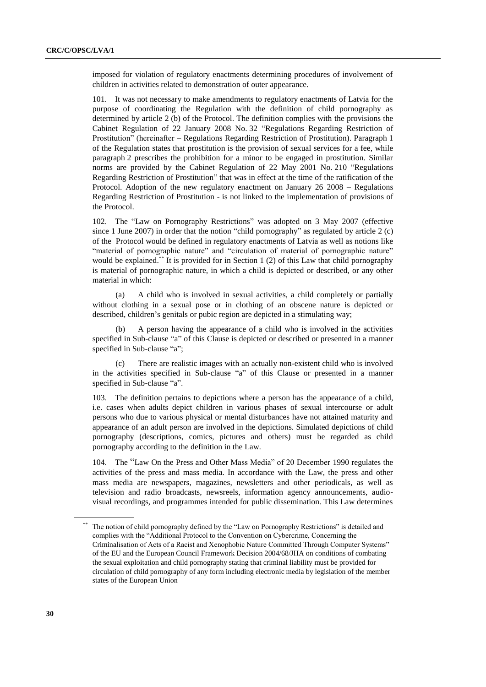imposed for violation of regulatory enactments determining procedures of involvement of children in activities related to demonstration of outer appearance.

101. It was not necessary to make amendments to regulatory enactments of Latvia for the purpose of coordinating the Regulation with the definition of child pornography as determined by article 2 (b) of the Protocol. The definition complies with the provisions the Cabinet Regulation of 22 January 2008 No. 32 "Regulations Regarding Restriction of Prostitution" (hereinafter – Regulations Regarding Restriction of Prostitution). Paragraph 1 of the Regulation states that prostitution is the provision of sexual services for a fee, while paragraph 2 prescribes the prohibition for a minor to be engaged in prostitution. Similar norms are provided by the Cabinet Regulation of 22 May 2001 No. 210 "Regulations Regarding Restriction of Prostitution" that was in effect at the time of the ratification of the Protocol. Adoption of the new regulatory enactment on January 26 2008 – Regulations Regarding Restriction of Prostitution - is not linked to the implementation of provisions of the Protocol.

102. The "Law on Pornography Restrictions" was adopted on 3 May 2007 (effective since 1 June 2007) in order that the notion "child pornography" as regulated by article 2  $(c)$ of the Protocol would be defined in regulatory enactments of Latvia as well as notions like "material of pornographic nature" and "circulation of material of pornographic nature" would be explained.<sup>\*\*</sup> It is provided for in Section 1 (2) of this Law that child pornography is material of pornographic nature, in which a child is depicted or described, or any other material in which:

(a) A child who is involved in sexual activities, a child completely or partially without clothing in a sexual pose or in clothing of an obscene nature is depicted or described, children's genitals or pubic region are depicted in a stimulating way;

A person having the appearance of a child who is involved in the activities specified in Sub-clause "a" of this Clause is depicted or described or presented in a manner specified in Sub-clause "a";

(c) There are realistic images with an actually non-existent child who is involved in the activities specified in Sub-clause "a" of this Clause or presented in a manner specified in Sub-clause "a".

103. The definition pertains to depictions where a person has the appearance of a child, i.e. cases when adults depict children in various phases of sexual intercourse or adult persons who due to various physical or mental disturbances have not attained maturity and appearance of an adult person are involved in the depictions. Simulated depictions of child pornography (descriptions, comics, pictures and others) must be regarded as child pornography according to the definition in the Law.

104. The "Law On the Press and Other Mass Media" of 20 December 1990 regulates the activities of the press and mass media. In accordance with the Law, the press and other mass media are newspapers, magazines, newsletters and other periodicals, as well as television and radio broadcasts, newsreels, information agency announcements, audiovisual recordings, and programmes intended for public dissemination. This Law determines

The notion of child pornography defined by the "Law on Pornography Restrictions" is detailed and complies with the "Additional Protocol to the Convention on Cybercrime, Concerning the Criminalisation of Acts of a Racist and Xenophobic Nature Committed Through Computer Systems" of the EU and the European Council Framework Decision 2004/68/JHA on conditions of combating the sexual exploitation and child pornography stating that criminal liability must be provided for circulation of child pornography of any form including electronic media by legislation of the member states of the European Union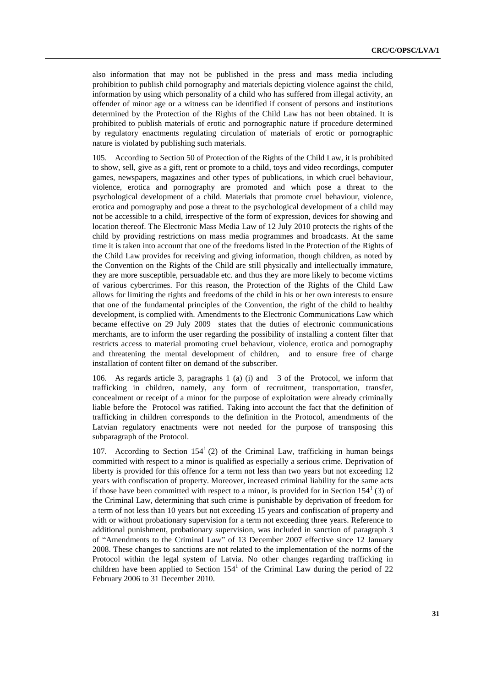also information that may not be published in the press and mass media including prohibition to publish child pornography and materials depicting violence against the child, information by using which personality of a child who has suffered from illegal activity, an offender of minor age or a witness can be identified if consent of persons and institutions determined by the Protection of the Rights of the Child Law has not been obtained. It is prohibited to publish materials of erotic and pornographic nature if procedure determined by regulatory enactments regulating circulation of materials of erotic or pornographic nature is violated by publishing such materials.

105. According to Section 50 of Protection of the Rights of the Child Law, it is prohibited to show, sell, give as a gift, rent or promote to a child, toys and video recordings, computer games, newspapers, magazines and other types of publications, in which cruel behaviour, violence, erotica and pornography are promoted and which pose a threat to the psychological development of a child. Materials that promote cruel behaviour, violence, erotica and pornography and pose a threat to the psychological development of a child may not be accessible to a child, irrespective of the form of expression, devices for showing and location thereof. The Electronic Mass Media Law of 12 July 2010 protects the rights of the child by providing restrictions on mass media programmes and broadcasts. At the same time it is taken into account that one of the freedoms listed in the Protection of the Rights of the Child Law provides for receiving and giving information, though children, as noted by the Convention on the Rights of the Child are still physically and intellectually immature, they are more susceptible, persuadable etc. and thus they are more likely to become victims of various cybercrimes. For this reason, the Protection of the Rights of the Child Law allows for limiting the rights and freedoms of the child in his or her own interests to ensure that one of the fundamental principles of the Convention, the right of the child to healthy development, is complied with. Amendments to the Electronic Communications Law which became effective on 29 July 2009 states that the duties of electronic communications merchants, are to inform the user regarding the possibility of installing a content filter that restricts access to material promoting cruel behaviour, violence, erotica and pornography and threatening the mental development of children, and to ensure free of charge installation of content filter on demand of the subscriber.

106. As regards article 3, paragraphs 1 (a) (i) and 3 of the Protocol, we inform that trafficking in children, namely, any form of recruitment, transportation, transfer, concealment or receipt of a minor for the purpose of exploitation were already criminally liable before the Protocol was ratified. Taking into account the fact that the definition of trafficking in children corresponds to the definition in the Protocol, amendments of the Latvian regulatory enactments were not needed for the purpose of transposing this subparagraph of the Protocol.

107. According to Section  $154<sup>1</sup>$  (2) of the Criminal Law, trafficking in human beings committed with respect to a minor is qualified as especially a serious crime. Deprivation of liberty is provided for this offence for a term not less than two years but not exceeding 12 years with confiscation of property. Moreover, increased criminal liability for the same acts if those have been committed with respect to a minor, is provided for in Section  $154<sup>1</sup>$  (3) of the Criminal Law, determining that such crime is punishable by deprivation of freedom for a term of not less than 10 years but not exceeding 15 years and confiscation of property and with or without probationary supervision for a term not exceeding three years. Reference to additional punishment, probationary supervision, was included in sanction of paragraph 3 of "Amendments to the Criminal Law" of 13 December 2007 effective since 12 January 2008. These changes to sanctions are not related to the implementation of the norms of the Protocol within the legal system of Latvia. No other changes regarding trafficking in children have been applied to Section  $154<sup>1</sup>$  of the Criminal Law during the period of 22 February 2006 to 31 December 2010.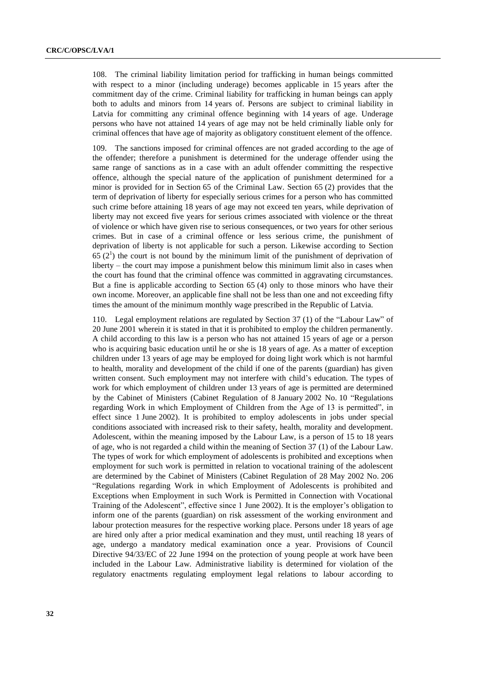108. The criminal liability limitation period for trafficking in human beings committed with respect to a minor (including underage) becomes applicable in 15 years after the commitment day of the crime. Criminal liability for trafficking in human beings can apply both to adults and minors from 14 years of. Persons are subject to criminal liability in Latvia for committing any criminal offence beginning with 14 years of age. Underage persons who have not attained 14 years of age may not be held criminally liable only for criminal offences that have age of majority as obligatory constituent element of the offence.

109. The sanctions imposed for criminal offences are not graded according to the age of the offender; therefore a punishment is determined for the underage offender using the same range of sanctions as in a case with an adult offender committing the respective offence, although the special nature of the application of punishment determined for a minor is provided for in Section 65 of the Criminal Law. Section 65 (2) provides that the term of deprivation of liberty for especially serious crimes for a person who has committed such crime before attaining 18 years of age may not exceed ten years, while deprivation of liberty may not exceed five years for serious crimes associated with violence or the threat of violence or which have given rise to serious consequences, or two years for other serious crimes. But in case of a criminal offence or less serious crime, the punishment of deprivation of liberty is not applicable for such a person. Likewise according to Section  $65 (2<sup>1</sup>)$  the court is not bound by the minimum limit of the punishment of deprivation of liberty – the court may impose a punishment below this minimum limit also in cases when the court has found that the criminal offence was committed in aggravating circumstances. But a fine is applicable according to Section 65 (4) only to those minors who have their own income. Moreover, an applicable fine shall not be less than one and not exceeding fifty times the amount of the minimum monthly wage prescribed in the Republic of Latvia.

110. Legal employment relations are regulated by Section 37 (1) of the "Labour Law" of 20 June 2001 wherein it is stated in that it is prohibited to employ the children permanently. A child according to this law is a person who has not attained 15 years of age or a person who is acquiring basic education until he or she is 18 years of age. As a matter of exception children under 13 years of age may be employed for doing light work which is not harmful to health, morality and development of the child if one of the parents (guardian) has given written consent. Such employment may not interfere with child's education. The types of work for which employment of children under 13 years of age is permitted are determined by the Cabinet of Ministers (Cabinet Regulation of 8 January 2002 No. 10 "Regulations regarding Work in which Employment of Children from the Age of 13 is permitted", in effect since 1 June 2002). It is prohibited to employ adolescents in jobs under special conditions associated with increased risk to their safety, health, morality and development. Adolescent, within the meaning imposed by the Labour Law, is a person of 15 to 18 years of age, who is not regarded a child within the meaning of Section 37 (1) of the Labour Law. The types of work for which employment of adolescents is prohibited and exceptions when employment for such work is permitted in relation to vocational training of the adolescent are determined by the Cabinet of Ministers (Cabinet Regulation of 28 May 2002 No. 206 "Regulations regarding Work in which Employment of Adolescents is prohibited and Exceptions when Employment in such Work is Permitted in Connection with Vocational Training of the Adolescent", effective since 1 June 2002). It is the employer's obligation to inform one of the parents (guardian) on risk assessment of the working environment and labour protection measures for the respective working place. Persons under 18 years of age are hired only after a prior medical examination and they must, until reaching 18 years of age, undergo a mandatory medical examination once a year. Provisions of Council Directive 94/33/EC of 22 June 1994 on the protection of young people at work have been included in the Labour Law. Administrative liability is determined for violation of the regulatory enactments regulating employment legal relations to labour according to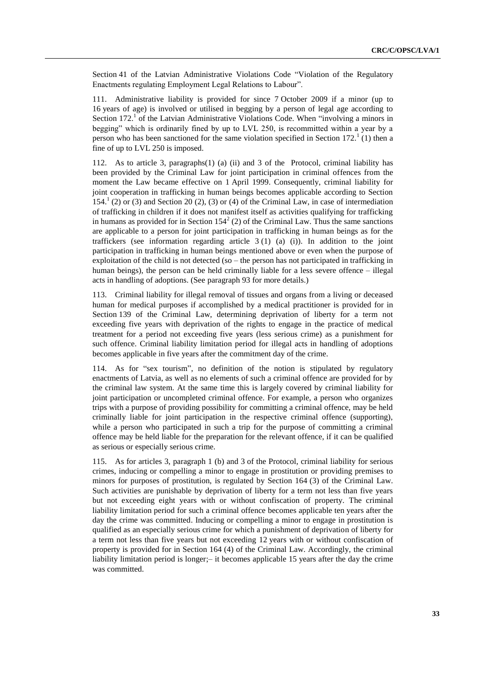Section 41 of the Latvian Administrative Violations Code "Violation of the Regulatory Enactments regulating Employment Legal Relations to Labour".

111. Administrative liability is provided for since 7 October 2009 if a minor (up to 16 years of age) is involved or utilised in begging by a person of legal age according to Section 172.<sup>1</sup> of the Latvian Administrative Violations Code. When "involving a minors in begging" which is ordinarily fined by up to LVL 250, is recommitted within a year by a person who has been sanctioned for the same violation specified in Section  $172<sup>1</sup>$  (1) then a fine of up to LVL 250 is imposed.

112. As to article 3, paragraphs(1) (a) (ii) and 3 of the Protocol, criminal liability has been provided by the Criminal Law for joint participation in criminal offences from the moment the Law became effective on 1 April 1999. Consequently, criminal liability for joint cooperation in trafficking in human beings becomes applicable according to Section 154.<sup>1</sup> (2) or (3) and Section 20 (2), (3) or (4) of the Criminal Law, in case of intermediation of trafficking in children if it does not manifest itself as activities qualifying for trafficking in humans as provided for in Section  $154<sup>2</sup>$  (2) of the Criminal Law. Thus the same sanctions are applicable to a person for joint participation in trafficking in human beings as for the traffickers (see information regarding article  $3(1)$  (a) (i)). In addition to the joint participation in trafficking in human beings mentioned above or even when the purpose of exploitation of the child is not detected (so  $-$  the person has not participated in trafficking in human beings), the person can be held criminally liable for a less severe offence – illegal acts in handling of adoptions. (See paragraph 93 for more details.)

113. Criminal liability for illegal removal of tissues and organs from a living or deceased human for medical purposes if accomplished by a medical practitioner is provided for in Section 139 of the Criminal Law, determining deprivation of liberty for a term not exceeding five years with deprivation of the rights to engage in the practice of medical treatment for a period not exceeding five years (less serious crime) as a punishment for such offence. Criminal liability limitation period for illegal acts in handling of adoptions becomes applicable in five years after the commitment day of the crime.

114. As for "sex tourism", no definition of the notion is stipulated by regulatory enactments of Latvia, as well as no elements of such a criminal offence are provided for by the criminal law system. At the same time this is largely covered by criminal liability for joint participation or uncompleted criminal offence. For example, a person who organizes trips with a purpose of providing possibility for committing a criminal offence, may be held criminally liable for joint participation in the respective criminal offence (supporting), while a person who participated in such a trip for the purpose of committing a criminal offence may be held liable for the preparation for the relevant offence, if it can be qualified as serious or especially serious crime.

115. As for articles 3, paragraph 1 (b) and 3 of the Protocol, criminal liability for serious crimes, inducing or compelling a minor to engage in prostitution or providing premises to minors for purposes of prostitution, is regulated by Section 164 (3) of the Criminal Law. Such activities are punishable by deprivation of liberty for a term not less than five years but not exceeding eight years with or without confiscation of property. The criminal liability limitation period for such a criminal offence becomes applicable ten years after the day the crime was committed. Inducing or compelling a minor to engage in prostitution is qualified as an especially serious crime for which a punishment of deprivation of liberty for a term not less than five years but not exceeding 12 years with or without confiscation of property is provided for in Section 164 (4) of the Criminal Law. Accordingly, the criminal liability limitation period is longer;– it becomes applicable 15 years after the day the crime was committed.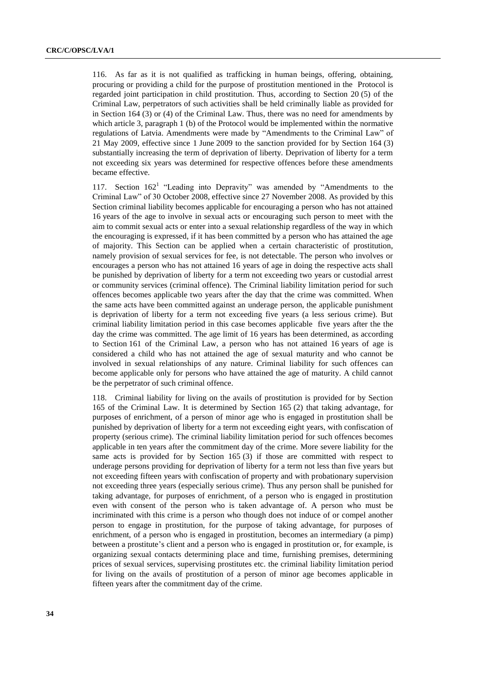116. As far as it is not qualified as trafficking in human beings, offering, obtaining, procuring or providing a child for the purpose of prostitution mentioned in the Protocol is regarded joint participation in child prostitution. Thus, according to Section 20 (5) of the Criminal Law, perpetrators of such activities shall be held criminally liable as provided for in Section 164 (3) or (4) of the Criminal Law. Thus, there was no need for amendments by which article 3, paragraph 1 (b) of the Protocol would be implemented within the normative regulations of Latvia. Amendments were made by "Amendments to the Criminal Law" of 21 May 2009, effective since 1 June 2009 to the sanction provided for by Section 164 (3) substantially increasing the term of deprivation of liberty. Deprivation of liberty for a term not exceeding six years was determined for respective offences before these amendments became effective.

117. Section 162<sup>1</sup> "Leading into Depravity" was amended by "Amendments to the Criminal Law" of 30 October 2008, effective since 27 November 2008. As provided by this Section criminal liability becomes applicable for encouraging a person who has not attained 16 years of the age to involve in sexual acts or encouraging such person to meet with the aim to commit sexual acts or enter into a sexual relationship regardless of the way in which the encouraging is expressed, if it has been committed by a person who has attained the age of majority. This Section can be applied when a certain characteristic of prostitution, namely provision of sexual services for fee, is not detectable. The person who involves or encourages a person who has not attained 16 years of age in doing the respective acts shall be punished by deprivation of liberty for a term not exceeding two years or custodial arrest or community services (criminal offence). The Criminal liability limitation period for such offences becomes applicable two years after the day that the crime was committed. When the same acts have been committed against an underage person, the applicable punishment is deprivation of liberty for a term not exceeding five years (a less serious crime). But criminal liability limitation period in this case becomes applicable five years after the the day the crime was committed. The age limit of 16 years has been determined, as according to Section 161 of the Criminal Law, a person who has not attained 16 years of age is considered a child who has not attained the age of sexual maturity and who cannot be involved in sexual relationships of any nature. Criminal liability for such offences can become applicable only for persons who have attained the age of maturity. A child cannot be the perpetrator of such criminal offence.

118. Criminal liability for living on the avails of prostitution is provided for by Section 165 of the Criminal Law. It is determined by Section 165 (2) that taking advantage, for purposes of enrichment, of a person of minor age who is engaged in prostitution shall be punished by deprivation of liberty for a term not exceeding eight years, with confiscation of property (serious crime). The criminal liability limitation period for such offences becomes applicable in ten years after the commitment day of the crime. More severe liability for the same acts is provided for by Section 165 (3) if those are committed with respect to underage persons providing for deprivation of liberty for a term not less than five years but not exceeding fifteen years with confiscation of property and with probationary supervision not exceeding three years (especially serious crime). Thus any person shall be punished for taking advantage, for purposes of enrichment, of a person who is engaged in prostitution even with consent of the person who is taken advantage of. A person who must be incriminated with this crime is a person who though does not induce of or compel another person to engage in prostitution, for the purpose of taking advantage, for purposes of enrichment, of a person who is engaged in prostitution, becomes an intermediary (a pimp) between a prostitute's client and a person who is engaged in prostitution or, for example, is organizing sexual contacts determining place and time, furnishing premises, determining prices of sexual services, supervising prostitutes etc. the criminal liability limitation period for living on the avails of prostitution of a person of minor age becomes applicable in fifteen years after the commitment day of the crime.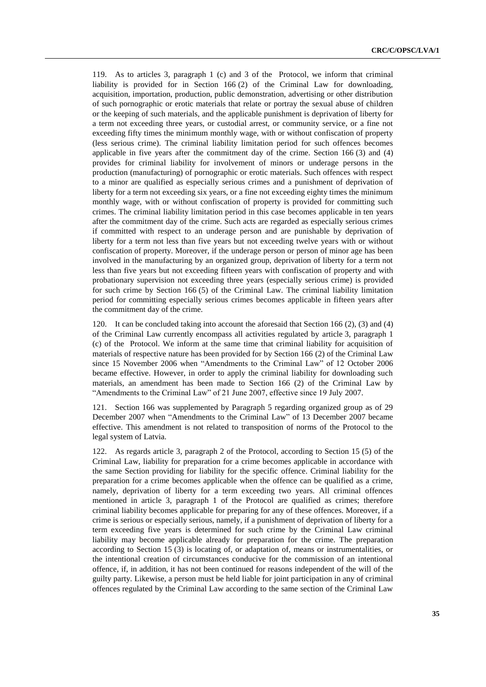119. As to articles 3, paragraph 1 (c) and 3 of the Protocol, we inform that criminal liability is provided for in Section 166 (2) of the Criminal Law for downloading, acquisition, importation, production, public demonstration, advertising or other distribution of such pornographic or erotic materials that relate or portray the sexual abuse of children or the keeping of such materials, and the applicable punishment is deprivation of liberty for a term not exceeding three years, or custodial arrest, or community service, or a fine not exceeding fifty times the minimum monthly wage, with or without confiscation of property (less serious crime). The criminal liability limitation period for such offences becomes applicable in five years after the commitment day of the crime. Section 166 (3) and (4) provides for criminal liability for involvement of minors or underage persons in the production (manufacturing) of pornographic or erotic materials. Such offences with respect to a minor are qualified as especially serious crimes and a punishment of deprivation of liberty for a term not exceeding six years, or a fine not exceeding eighty times the minimum monthly wage, with or without confiscation of property is provided for committing such crimes. The criminal liability limitation period in this case becomes applicable in ten years after the commitment day of the crime. Such acts are regarded as especially serious crimes if committed with respect to an underage person and are punishable by deprivation of liberty for a term not less than five years but not exceeding twelve years with or without confiscation of property. Moreover, if the underage person or person of minor age has been involved in the manufacturing by an organized group, deprivation of liberty for a term not less than five years but not exceeding fifteen years with confiscation of property and with probationary supervision not exceeding three years (especially serious crime) is provided for such crime by Section 166 (5) of the Criminal Law. The criminal liability limitation period for committing especially serious crimes becomes applicable in fifteen years after the commitment day of the crime.

120. It can be concluded taking into account the aforesaid that Section 166 (2), (3) and (4) of the Criminal Law currently encompass all activities regulated by article 3, paragraph 1 (c) of the Protocol. We inform at the same time that criminal liability for acquisition of materials of respective nature has been provided for by Section 166 (2) of the Criminal Law since 15 November 2006 when "Amendments to the Criminal Law" of 12 October 2006 became effective. However, in order to apply the criminal liability for downloading such materials, an amendment has been made to Section 166 (2) of the Criminal Law by "Amendments to the Criminal Law" of 21 June 2007, effective since 19 July 2007.

121. Section 166 was supplemented by Paragraph 5 regarding organized group as of 29 December 2007 when "Amendments to the Criminal Law" of 13 December 2007 became effective. This amendment is not related to transposition of norms of the Protocol to the legal system of Latvia.

122. As regards article 3, paragraph 2 of the Protocol, according to Section 15 (5) of the Criminal Law, liability for preparation for a crime becomes applicable in accordance with the same Section providing for liability for the specific offence. Criminal liability for the preparation for a crime becomes applicable when the offence can be qualified as a crime, namely, deprivation of liberty for a term exceeding two years. All criminal offences mentioned in article 3, paragraph 1 of the Protocol are qualified as crimes; therefore criminal liability becomes applicable for preparing for any of these offences. Moreover, if a crime is serious or especially serious, namely, if a punishment of deprivation of liberty for a term exceeding five years is determined for such crime by the Criminal Law criminal liability may become applicable already for preparation for the crime. The preparation according to Section 15 (3) is locating of, or adaptation of, means or instrumentalities, or the intentional creation of circumstances conducive for the commission of an intentional offence, if, in addition, it has not been continued for reasons independent of the will of the guilty party. Likewise, a person must be held liable for joint participation in any of criminal offences regulated by the Criminal Law according to the same section of the Criminal Law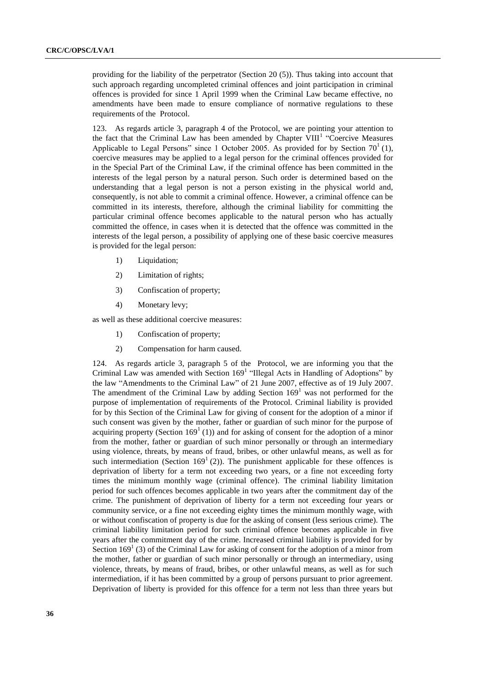providing for the liability of the perpetrator (Section 20 (5)). Thus taking into account that such approach regarding uncompleted criminal offences and joint participation in criminal offences is provided for since 1 April 1999 when the Criminal Law became effective, no amendments have been made to ensure compliance of normative regulations to these requirements of the Protocol.

123. As regards article 3, paragraph 4 of the Protocol, we are pointing your attention to the fact that the Criminal Law has been amended by Chapter VIII<sup>1</sup> "Coercive Measures" Applicable to Legal Persons" since 1 October 2005. As provided for by Section  $70^1$  (1), coercive measures may be applied to a legal person for the criminal offences provided for in the Special Part of the Criminal Law, if the criminal offence has been committed in the interests of the legal person by a natural person. Such order is determined based on the understanding that a legal person is not a person existing in the physical world and, consequently, is not able to commit a criminal offence. However, a criminal offence can be committed in its interests, therefore, although the criminal liability for committing the particular criminal offence becomes applicable to the natural person who has actually committed the offence, in cases when it is detected that the offence was committed in the interests of the legal person, a possibility of applying one of these basic coercive measures is provided for the legal person:

- 1) Liquidation;
- 2) Limitation of rights;
- 3) Confiscation of property;
- 4) Monetary levy;

as well as these additional coercive measures:

- 1) Confiscation of property;
- 2) Compensation for harm caused.

124. As regards article 3, paragraph 5 of the Protocol, we are informing you that the Criminal Law was amended with Section  $169<sup>1</sup>$  "Illegal Acts in Handling of Adoptions" by the law "Amendments to the Criminal Law" of 21 June 2007, effective as of 19 July 2007. The amendment of the Criminal Law by adding Section  $169<sup>1</sup>$  was not performed for the purpose of implementation of requirements of the Protocol. Criminal liability is provided for by this Section of the Criminal Law for giving of consent for the adoption of a minor if such consent was given by the mother, father or guardian of such minor for the purpose of acquiring property (Section  $169<sup>1</sup>$  (1)) and for asking of consent for the adoption of a minor from the mother, father or guardian of such minor personally or through an intermediary using violence, threats, by means of fraud, bribes, or other unlawful means, as well as for such intermediation (Section  $169<sup>1</sup>$  (2)). The punishment applicable for these offences is deprivation of liberty for a term not exceeding two years, or a fine not exceeding forty times the minimum monthly wage (criminal offence). The criminal liability limitation period for such offences becomes applicable in two years after the commitment day of the crime. The punishment of deprivation of liberty for a term not exceeding four years or community service, or a fine not exceeding eighty times the minimum monthly wage, with or without confiscation of property is due for the asking of consent (less serious crime). The criminal liability limitation period for such criminal offence becomes applicable in five years after the commitment day of the crime. Increased criminal liability is provided for by Section  $169<sup>1</sup>$  (3) of the Criminal Law for asking of consent for the adoption of a minor from the mother, father or guardian of such minor personally or through an intermediary, using violence, threats, by means of fraud, bribes, or other unlawful means, as well as for such intermediation, if it has been committed by a group of persons pursuant to prior agreement. Deprivation of liberty is provided for this offence for a term not less than three years but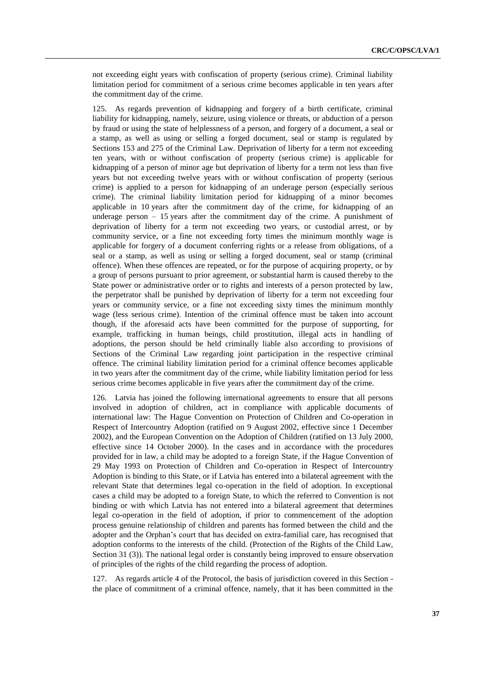not exceeding eight years with confiscation of property (serious crime). Criminal liability limitation period for commitment of a serious crime becomes applicable in ten years after the commitment day of the crime.

125. As regards prevention of kidnapping and forgery of a birth certificate, criminal liability for kidnapping, namely, seizure, using violence or threats, or abduction of a person by fraud or using the state of helplessness of a person, and forgery of a document, a seal or a stamp, as well as using or selling a forged document, seal or stamp is regulated by Sections 153 and 275 of the Criminal Law. Deprivation of liberty for a term not exceeding ten years, with or without confiscation of property (serious crime) is applicable for kidnapping of a person of minor age but deprivation of liberty for a term not less than five years but not exceeding twelve years with or without confiscation of property (serious crime) is applied to a person for kidnapping of an underage person (especially serious crime). The criminal liability limitation period for kidnapping of a minor becomes applicable in 10 years after the commitment day of the crime, for kidnapping of an underage person – 15 years after the commitment day of the crime. A punishment of deprivation of liberty for a term not exceeding two years, or custodial arrest, or by community service, or a fine not exceeding forty times the minimum monthly wage is applicable for forgery of a document conferring rights or a release from obligations, of a seal or a stamp, as well as using or selling a forged document, seal or stamp (criminal offence). When these offences are repeated, or for the purpose of acquiring property, or by a group of persons pursuant to prior agreement, or substantial harm is caused thereby to the State power or administrative order or to rights and interests of a person protected by law, the perpetrator shall be punished by deprivation of liberty for a term not exceeding four years or community service, or a fine not exceeding sixty times the minimum monthly wage (less serious crime). Intention of the criminal offence must be taken into account though, if the aforesaid acts have been committed for the purpose of supporting, for example, trafficking in human beings, child prostitution, illegal acts in handling of adoptions, the person should be held criminally liable also according to provisions of Sections of the Criminal Law regarding joint participation in the respective criminal offence. The criminal liability limitation period for a criminal offence becomes applicable in two years after the commitment day of the crime, while liability limitation period for less serious crime becomes applicable in five years after the commitment day of the crime.

126. Latvia has joined the following international agreements to ensure that all persons involved in adoption of children, act in compliance with applicable documents of international law: The Hague Convention on Protection of Children and Co-operation in Respect of Intercountry Adoption (ratified on 9 August 2002, effective since 1 December 2002), and the European Convention on the Adoption of Children (ratified on 13 July 2000, effective since 14 October 2000). In the cases and in accordance with the procedures provided for in law, a child may be adopted to a foreign State, if the Hague Convention of 29 May 1993 on Protection of Children and Co-operation in Respect of Intercountry Adoption is binding to this State, or if Latvia has entered into a bilateral agreement with the relevant State that determines legal co-operation in the field of adoption. In exceptional cases a child may be adopted to a foreign State, to which the referred to Convention is not binding or with which Latvia has not entered into a bilateral agreement that determines legal co-operation in the field of adoption, if prior to commencement of the adoption process genuine relationship of children and parents has formed between the child and the adopter and the Orphan's court that has decided on extra-familial care, has recognised that adoption conforms to the interests of the child. (Protection of the Rights of the Child Law, Section 31 (3)). The national legal order is constantly being improved to ensure observation of principles of the rights of the child regarding the process of adoption.

127. As regards article 4 of the Protocol, the basis of jurisdiction covered in this Section the place of commitment of a criminal offence, namely, that it has been committed in the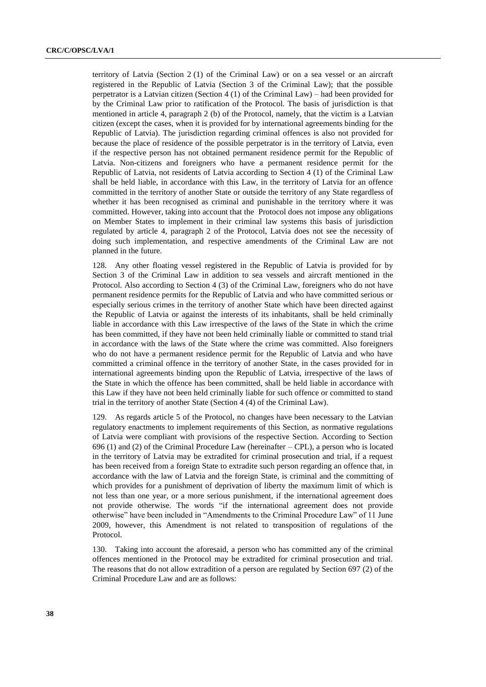territory of Latvia (Section 2 (1) of the Criminal Law) or on a sea vessel or an aircraft registered in the Republic of Latvia (Section 3 of the Criminal Law); that the possible perpetrator is a Latvian citizen (Section 4 (1) of the Criminal Law) – had been provided for by the Criminal Law prior to ratification of the Protocol. The basis of jurisdiction is that mentioned in article 4, paragraph 2 (b) of the Protocol, namely, that the victim is a Latvian citizen (except the cases, when it is provided for by international agreements binding for the Republic of Latvia). The jurisdiction regarding criminal offences is also not provided for because the place of residence of the possible perpetrator is in the territory of Latvia, even if the respective person has not obtained permanent residence permit for the Republic of Latvia. Non-citizens and foreigners who have a permanent residence permit for the Republic of Latvia, not residents of Latvia according to Section 4 (1) of the Criminal Law shall be held liable, in accordance with this Law, in the territory of Latvia for an offence committed in the territory of another State or outside the territory of any State regardless of whether it has been recognised as criminal and punishable in the territory where it was committed. However, taking into account that the Protocol does not impose any obligations on Member States to implement in their criminal law systems this basis of jurisdiction regulated by article 4, paragraph 2 of the Protocol, Latvia does not see the necessity of doing such implementation, and respective amendments of the Criminal Law are not planned in the future.

128. Any other floating vessel registered in the Republic of Latvia is provided for by Section 3 of the Criminal Law in addition to sea vessels and aircraft mentioned in the Protocol. Also according to Section 4 (3) of the Criminal Law, foreigners who do not have permanent residence permits for the Republic of Latvia and who have committed serious or especially serious crimes in the territory of another State which have been directed against the Republic of Latvia or against the interests of its inhabitants, shall be held criminally liable in accordance with this Law irrespective of the laws of the State in which the crime has been committed, if they have not been held criminally liable or committed to stand trial in accordance with the laws of the State where the crime was committed. Also foreigners who do not have a permanent residence permit for the Republic of Latvia and who have committed a criminal offence in the territory of another State, in the cases provided for in international agreements binding upon the Republic of Latvia, irrespective of the laws of the State in which the offence has been committed, shall be held liable in accordance with this Law if they have not been held criminally liable for such offence or committed to stand trial in the territory of another State (Section 4 (4) of the Criminal Law).

129. As regards article 5 of the Protocol, no changes have been necessary to the Latvian regulatory enactments to implement requirements of this Section, as normative regulations of Latvia were compliant with provisions of the respective Section. According to Section 696 (1) and (2) of the Criminal Procedure Law (hereinafter – CPL), a person who is located in the territory of Latvia may be extradited for criminal prosecution and trial, if a request has been received from a foreign State to extradite such person regarding an offence that, in accordance with the law of Latvia and the foreign State, is criminal and the committing of which provides for a punishment of deprivation of liberty the maximum limit of which is not less than one year, or a more serious punishment, if the international agreement does not provide otherwise. The words "if the international agreement does not provide otherwise" have been included in "Amendments to the Criminal Procedure Law" of 11 June 2009, however, this Amendment is not related to transposition of regulations of the Protocol.

130. Taking into account the aforesaid, a person who has committed any of the criminal offences mentioned in the Protocol may be extradited for criminal prosecution and trial. The reasons that do not allow extradition of a person are regulated by Section 697 (2) of the Criminal Procedure Law and are as follows: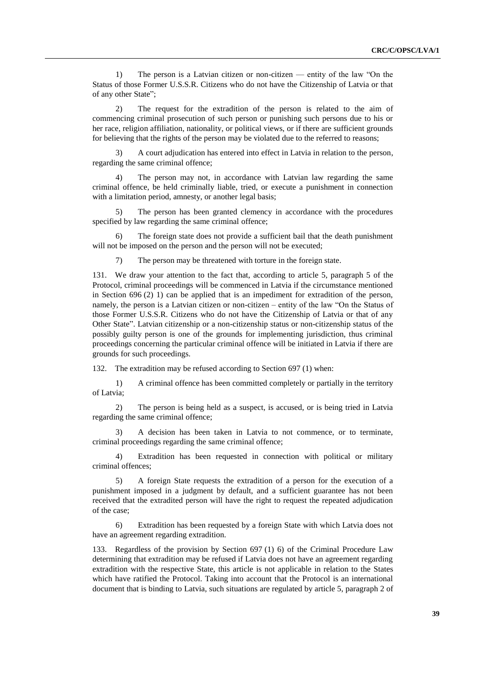1) The person is a Latvian citizen or non-citizen — entity of the law "On the Status of those Former U.S.S.R. Citizens who do not have the Citizenship of Latvia or that of any other State";

2) The request for the extradition of the person is related to the aim of commencing criminal prosecution of such person or punishing such persons due to his or her race, religion affiliation, nationality, or political views, or if there are sufficient grounds for believing that the rights of the person may be violated due to the referred to reasons;

3) A court adjudication has entered into effect in Latvia in relation to the person, regarding the same criminal offence;

4) The person may not, in accordance with Latvian law regarding the same criminal offence, be held criminally liable, tried, or execute a punishment in connection with a limitation period, amnesty, or another legal basis;

5) The person has been granted clemency in accordance with the procedures specified by law regarding the same criminal offence;

The foreign state does not provide a sufficient bail that the death punishment will not be imposed on the person and the person will not be executed;

7) The person may be threatened with torture in the foreign state.

131. We draw your attention to the fact that, according to article 5, paragraph 5 of the Protocol, criminal proceedings will be commenced in Latvia if the circumstance mentioned in Section 696 (2) 1) can be applied that is an impediment for extradition of the person, namely, the person is a Latvian citizen or non-citizen – entity of the law "On the Status of those Former U.S.S.R. Citizens who do not have the Citizenship of Latvia or that of any Other State". Latvian citizenship or a non-citizenship status or non-citizenship status of the possibly guilty person is one of the grounds for implementing jurisdiction, thus criminal proceedings concerning the particular criminal offence will be initiated in Latvia if there are grounds for such proceedings.

132. The extradition may be refused according to Section 697 (1) when:

1) A criminal offence has been committed completely or partially in the territory of Latvia;

2) The person is being held as a suspect, is accused, or is being tried in Latvia regarding the same criminal offence;

3) A decision has been taken in Latvia to not commence, or to terminate, criminal proceedings regarding the same criminal offence;

4) Extradition has been requested in connection with political or military criminal offences;

5) A foreign State requests the extradition of a person for the execution of a punishment imposed in a judgment by default, and a sufficient guarantee has not been received that the extradited person will have the right to request the repeated adjudication of the case;

6) Extradition has been requested by a foreign State with which Latvia does not have an agreement regarding extradition.

133. Regardless of the provision by Section 697 (1) 6) of the Criminal Procedure Law determining that extradition may be refused if Latvia does not have an agreement regarding extradition with the respective State, this article is not applicable in relation to the States which have ratified the Protocol. Taking into account that the Protocol is an international document that is binding to Latvia, such situations are regulated by article 5, paragraph 2 of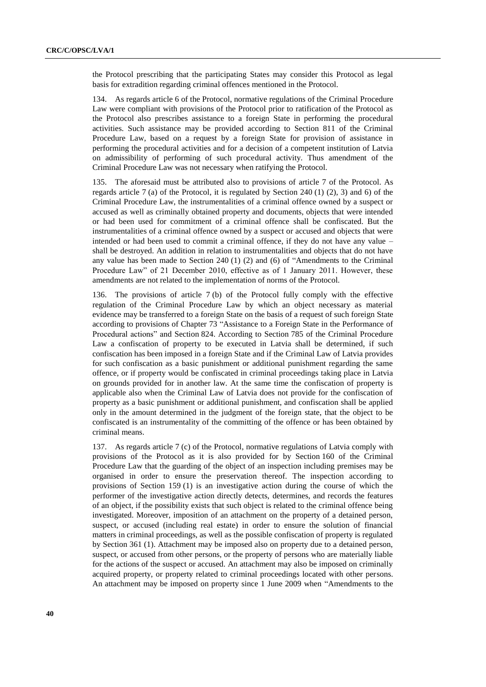the Protocol prescribing that the participating States may consider this Protocol as legal basis for extradition regarding criminal offences mentioned in the Protocol.

134. As regards article 6 of the Protocol, normative regulations of the Criminal Procedure Law were compliant with provisions of the Protocol prior to ratification of the Protocol as the Protocol also prescribes assistance to a foreign State in performing the procedural activities. Such assistance may be provided according to Section 811 of the Criminal Procedure Law, based on a request by a foreign State for provision of assistance in performing the procedural activities and for a decision of a competent institution of Latvia on admissibility of performing of such procedural activity. Thus amendment of the Criminal Procedure Law was not necessary when ratifying the Protocol.

135. The aforesaid must be attributed also to provisions of article 7 of the Protocol. As regards article 7 (a) of the Protocol, it is regulated by Section 240 (1) (2), 3) and 6) of the Criminal Procedure Law, the instrumentalities of a criminal offence owned by a suspect or accused as well as criminally obtained property and documents, objects that were intended or had been used for commitment of a criminal offence shall be confiscated. But the instrumentalities of a criminal offence owned by a suspect or accused and objects that were intended or had been used to commit a criminal offence, if they do not have any value – shall be destroyed. An addition in relation to instrumentalities and objects that do not have any value has been made to Section 240 (1) (2) and (6) of "Amendments to the Criminal Procedure Law" of 21 December 2010, effective as of 1 January 2011. However, these amendments are not related to the implementation of norms of the Protocol.

136. The provisions of article 7 (b) of the Protocol fully comply with the effective regulation of the Criminal Procedure Law by which an object necessary as material evidence may be transferred to a foreign State on the basis of a request of such foreign State according to provisions of Chapter 73 "Assistance to a Foreign State in the Performance of Procedural actions" and Section 824. According to Section 785 of the Criminal Procedure Law a confiscation of property to be executed in Latvia shall be determined, if such confiscation has been imposed in a foreign State and if the Criminal Law of Latvia provides for such confiscation as a basic punishment or additional punishment regarding the same offence, or if property would be confiscated in criminal proceedings taking place in Latvia on grounds provided for in another law. At the same time the confiscation of property is applicable also when the Criminal Law of Latvia does not provide for the confiscation of property as a basic punishment or additional punishment, and confiscation shall be applied only in the amount determined in the judgment of the foreign state, that the object to be confiscated is an instrumentality of the committing of the offence or has been obtained by criminal means.

137. As regards article 7 (c) of the Protocol, normative regulations of Latvia comply with provisions of the Protocol as it is also provided for by Section 160 of the Criminal Procedure Law that the guarding of the object of an inspection including premises may be organised in order to ensure the preservation thereof. The inspection according to provisions of Section 159 (1) is an investigative action during the course of which the performer of the investigative action directly detects, determines, and records the features of an object, if the possibility exists that such object is related to the criminal offence being investigated. Moreover, imposition of an attachment on the property of a detained person, suspect, or accused (including real estate) in order to ensure the solution of financial matters in criminal proceedings, as well as the possible confiscation of property is regulated by Section 361 (1). Attachment may be imposed also on property due to a detained person, suspect, or accused from other persons, or the property of persons who are materially liable for the actions of the suspect or accused. An attachment may also be imposed on criminally acquired property, or property related to criminal proceedings located with other persons. An attachment may be imposed on property since 1 June 2009 when "Amendments to the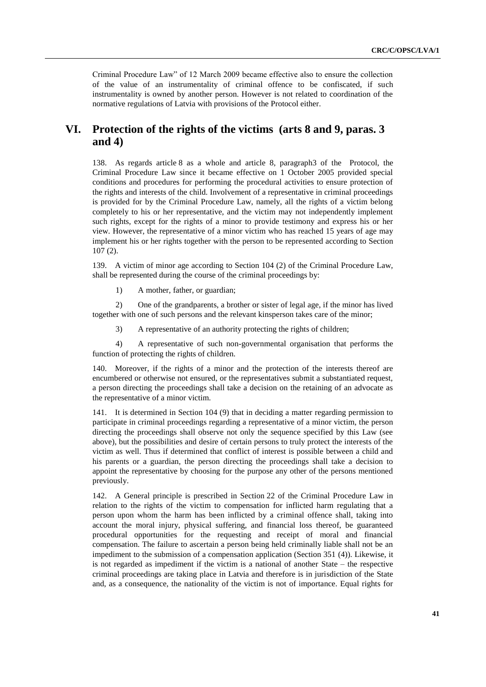Criminal Procedure Law" of 12 March 2009 became effective also to ensure the collection of the value of an instrumentality of criminal offence to be confiscated, if such instrumentality is owned by another person. However is not related to coordination of the normative regulations of Latvia with provisions of the Protocol either.

## **VI. Protection of the rights of the victims (arts 8 and 9, paras. 3 and 4)**

138. As regards article 8 as a whole and article 8, paragraph3 of the Protocol, the Criminal Procedure Law since it became effective on 1 October 2005 provided special conditions and procedures for performing the procedural activities to ensure protection of the rights and interests of the child. Involvement of a representative in criminal proceedings is provided for by the Criminal Procedure Law, namely, all the rights of a victim belong completely to his or her representative, and the victim may not independently implement such rights, except for the rights of a minor to provide testimony and express his or her view. However, the representative of a minor victim who has reached 15 years of age may implement his or her rights together with the person to be represented according to Section 107 (2).

139. A victim of minor age according to Section 104 (2) of the Criminal Procedure Law, shall be represented during the course of the criminal proceedings by:

1) A mother, father, or guardian;

2) One of the grandparents, a brother or sister of legal age, if the minor has lived together with one of such persons and the relevant kinsperson takes care of the minor;

3) A representative of an authority protecting the rights of children;

4) A representative of such non-governmental organisation that performs the function of protecting the rights of children.

140. Moreover, if the rights of a minor and the protection of the interests thereof are encumbered or otherwise not ensured, or the representatives submit a substantiated request, a person directing the proceedings shall take a decision on the retaining of an advocate as the representative of a minor victim.

141. It is determined in Section 104 (9) that in deciding a matter regarding permission to participate in criminal proceedings regarding a representative of a minor victim, the person directing the proceedings shall observe not only the sequence specified by this Law (see above), but the possibilities and desire of certain persons to truly protect the interests of the victim as well. Thus if determined that conflict of interest is possible between a child and his parents or a guardian, the person directing the proceedings shall take a decision to appoint the representative by choosing for the purpose any other of the persons mentioned previously.

142. A General principle is prescribed in Section 22 of the Criminal Procedure Law in relation to the rights of the victim to compensation for inflicted harm regulating that a person upon whom the harm has been inflicted by a criminal offence shall, taking into account the moral injury, physical suffering, and financial loss thereof, be guaranteed procedural opportunities for the requesting and receipt of moral and financial compensation. The failure to ascertain a person being held criminally liable shall not be an impediment to the submission of a compensation application (Section 351 (4)). Likewise, it is not regarded as impediment if the victim is a national of another State – the respective criminal proceedings are taking place in Latvia and therefore is in jurisdiction of the State and, as a consequence, the nationality of the victim is not of importance. Equal rights for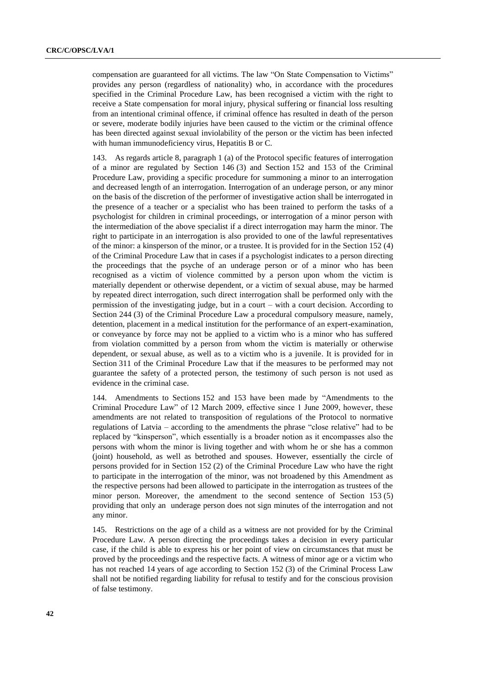compensation are guaranteed for all victims. The law "On State Compensation to Victims" provides any person (regardless of nationality) who, in accordance with the procedures specified in the Criminal Procedure Law, has been recognised a victim with the right to receive a State compensation for moral injury, physical suffering or financial loss resulting from an intentional criminal offence, if criminal offence has resulted in death of the person or severe, moderate bodily injuries have been caused to the victim or the criminal offence has been directed against sexual inviolability of the person or the victim has been infected with human immunodeficiency virus, Hepatitis B or C.

143. As regards article 8, paragraph 1 (a) of the Protocol specific features of interrogation of a minor are regulated by Section 146 (3) and Section 152 and 153 of the Criminal Procedure Law, providing a specific procedure for summoning a minor to an interrogation and decreased length of an interrogation. Interrogation of an underage person, or any minor on the basis of the discretion of the performer of investigative action shall be interrogated in the presence of a teacher or a specialist who has been trained to perform the tasks of a psychologist for children in criminal proceedings, or interrogation of a minor person with the intermediation of the above specialist if a direct interrogation may harm the minor. The right to participate in an interrogation is also provided to one of the lawful representatives of the minor: a kinsperson of the minor, or a trustee. It is provided for in the Section 152 (4) of the Criminal Procedure Law that in cases if a psychologist indicates to a person directing the proceedings that the psyche of an underage person or of a minor who has been recognised as a victim of violence committed by a person upon whom the victim is materially dependent or otherwise dependent, or a victim of sexual abuse, may be harmed by repeated direct interrogation, such direct interrogation shall be performed only with the permission of the investigating judge, but in a court – with a court decision. According to Section 244 (3) of the Criminal Procedure Law a procedural compulsory measure, namely, detention, placement in a medical institution for the performance of an expert-examination, or conveyance by force may not be applied to a victim who is a minor who has suffered from violation committed by a person from whom the victim is materially or otherwise dependent, or sexual abuse, as well as to a victim who is a juvenile. It is provided for in Section 311 of the Criminal Procedure Law that if the measures to be performed may not guarantee the safety of a protected person, the testimony of such person is not used as evidence in the criminal case.

144. Amendments to Sections 152 and 153 have been made by "Amendments to the Criminal Procedure Law" of 12 March 2009, effective since 1 June 2009, however, these amendments are not related to transposition of regulations of the Protocol to normative regulations of Latvia – according to the amendments the phrase "close relative" had to be replaced by "kinsperson", which essentially is a broader notion as it encompasses also the persons with whom the minor is living together and with whom he or she has a common (joint) household, as well as betrothed and spouses. However, essentially the circle of persons provided for in Section 152 (2) of the Criminal Procedure Law who have the right to participate in the interrogation of the minor, was not broadened by this Amendment as the respective persons had been allowed to participate in the interrogation as trustees of the minor person. Moreover, the amendment to the second sentence of Section 153 (5) providing that only an underage person does not sign minutes of the interrogation and not any minor.

145. Restrictions on the age of a child as a witness are not provided for by the Criminal Procedure Law. A person directing the proceedings takes a decision in every particular case, if the child is able to express his or her point of view on circumstances that must be proved by the proceedings and the respective facts. A witness of minor age or a victim who has not reached 14 years of age according to Section 152 (3) of the Criminal Process Law shall not be notified regarding liability for refusal to testify and for the conscious provision of false testimony.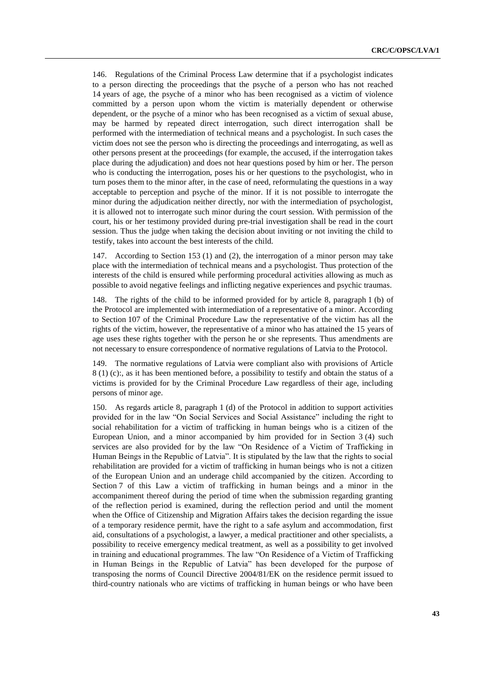146. Regulations of the Criminal Process Law determine that if a psychologist indicates to a person directing the proceedings that the psyche of a person who has not reached 14 years of age, the psyche of a minor who has been recognised as a victim of violence committed by a person upon whom the victim is materially dependent or otherwise dependent, or the psyche of a minor who has been recognised as a victim of sexual abuse, may be harmed by repeated direct interrogation, such direct interrogation shall be performed with the intermediation of technical means and a psychologist. In such cases the victim does not see the person who is directing the proceedings and interrogating, as well as other persons present at the proceedings (for example, the accused, if the interrogation takes place during the adjudication) and does not hear questions posed by him or her. The person who is conducting the interrogation, poses his or her questions to the psychologist, who in turn poses them to the minor after, in the case of need, reformulating the questions in a way acceptable to perception and psyche of the minor. If it is not possible to interrogate the minor during the adjudication neither directly, nor with the intermediation of psychologist, it is allowed not to interrogate such minor during the court session. With permission of the court, his or her testimony provided during pre-trial investigation shall be read in the court session. Thus the judge when taking the decision about inviting or not inviting the child to testify, takes into account the best interests of the child.

147. According to Section 153 (1) and (2), the interrogation of a minor person may take place with the intermediation of technical means and a psychologist. Thus protection of the interests of the child is ensured while performing procedural activities allowing as much as possible to avoid negative feelings and inflicting negative experiences and psychic traumas.

148. The rights of the child to be informed provided for by article 8, paragraph 1 (b) of the Protocol are implemented with intermediation of a representative of a minor. According to Section 107 of the Criminal Procedure Law the representative of the victim has all the rights of the victim, however, the representative of a minor who has attained the 15 years of age uses these rights together with the person he or she represents. Thus amendments are not necessary to ensure correspondence of normative regulations of Latvia to the Protocol.

149. The normative regulations of Latvia were compliant also with provisions of Article 8 (1) (c):, as it has been mentioned before, a possibility to testify and obtain the status of a victims is provided for by the Criminal Procedure Law regardless of their age, including persons of minor age.

150. As regards article 8, paragraph 1 (d) of the Protocol in addition to support activities provided for in the law "On Social Services and Social Assistance" including the right to social rehabilitation for a victim of trafficking in human beings who is a citizen of the European Union, and a minor accompanied by him provided for in Section 3 (4) such services are also provided for by the law "On Residence of a Victim of Trafficking in Human Beings in the Republic of Latvia". It is stipulated by the law that the rights to social rehabilitation are provided for a victim of trafficking in human beings who is not a citizen of the European Union and an underage child accompanied by the citizen. According to Section 7 of this Law a victim of trafficking in human beings and a minor in the accompaniment thereof during the period of time when the submission regarding granting of the reflection period is examined, during the reflection period and until the moment when the Office of Citizenship and Migration Affairs takes the decision regarding the issue of a temporary residence permit, have the right to a safe asylum and accommodation, first aid, consultations of a psychologist, a lawyer, a medical practitioner and other specialists, a possibility to receive emergency medical treatment, as well as a possibility to get involved in training and educational programmes. The law "On Residence of a Victim of Trafficking in Human Beings in the Republic of Latvia" has been developed for the purpose of transposing the norms of Council Directive [2004/81/EK](http://eur-lex.europa.eu/LexUriServ/LexUriServ.do?uri=CELEX:32004L0081:LV:HTML) on the residence permit issued to third-country nationals who are victims of trafficking in human beings or who have been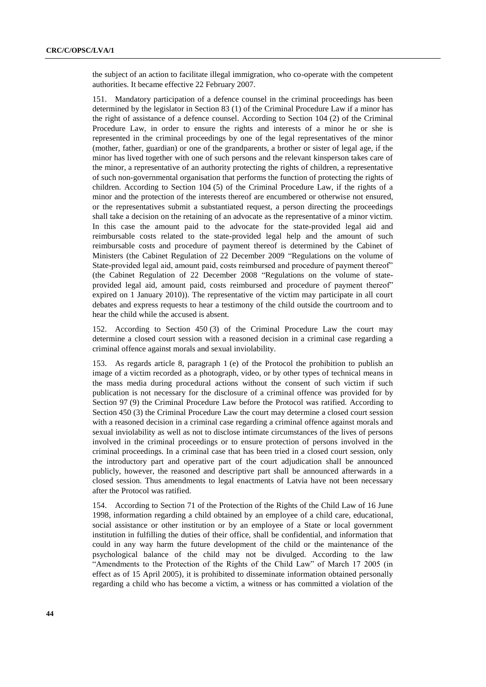the subject of an action to facilitate illegal immigration, who co-operate with the competent authorities. It became effective 22 February 2007.

151. Mandatory participation of a defence counsel in the criminal proceedings has been determined by the legislator in Section 83 (1) of the Criminal Procedure Law if a minor has the right of assistance of a defence counsel. According to Section 104 (2) of the Criminal Procedure Law, in order to ensure the rights and interests of a minor he or she is represented in the criminal proceedings by one of the legal representatives of the minor (mother, father, guardian) or one of the grandparents, a brother or sister of legal age, if the minor has lived together with one of such persons and the relevant kinsperson takes care of the minor, a representative of an authority protecting the rights of children, a representative of such non-governmental organisation that performs the function of protecting the rights of children. According to Section 104 (5) of the Criminal Procedure Law, if the rights of a minor and the protection of the interests thereof are encumbered or otherwise not ensured, or the representatives submit a substantiated request, a person directing the proceedings shall take a decision on the retaining of an advocate as the representative of a minor victim. In this case the amount paid to the advocate for the state-provided legal aid and reimbursable costs related to the state-provided legal help and the amount of such reimbursable costs and procedure of payment thereof is determined by the Cabinet of Ministers (the Cabinet Regulation of 22 December 2009 "Regulations on the volume of State-provided legal aid, amount paid, costs reimbursed and procedure of payment thereof" (the Cabinet Regulation of 22 December 2008 "Regulations on the volume of stateprovided legal aid, amount paid, costs reimbursed and procedure of payment thereof" expired on 1 January 2010)). The representative of the victim may participate in all court debates and express requests to hear a testimony of the child outside the courtroom and to hear the child while the accused is absent.

152. According to Section 450 (3) of the Criminal Procedure Law the court may determine a closed court session with a reasoned decision in a criminal case regarding a criminal offence against morals and sexual inviolability.

153. As regards article 8, paragraph 1 (e) of the Protocol the prohibition to publish an image of a victim recorded as a photograph, video, or by other types of technical means in the mass media during procedural actions without the consent of such victim if such publication is not necessary for the disclosure of a criminal offence was provided for by Section 97 (9) the Criminal Procedure Law before the Protocol was ratified. According to Section 450 (3) the Criminal Procedure Law the court may determine a closed court session with a reasoned decision in a criminal case regarding a criminal offence against morals and sexual inviolability as well as not to disclose intimate circumstances of the lives of persons involved in the criminal proceedings or to ensure protection of persons involved in the criminal proceedings. In a criminal case that has been tried in a closed court session, only the introductory part and operative part of the court adjudication shall be announced publicly, however, the reasoned and descriptive part shall be announced afterwards in a closed session. Thus amendments to legal enactments of Latvia have not been necessary after the Protocol was ratified.

154. According to Section 71 of the Protection of the Rights of the Child Law of 16 June 1998, information regarding a child obtained by an employee of a child care, educational, social assistance or other institution or by an employee of a State or local government institution in fulfilling the duties of their office, shall be confidential, and information that could in any way harm the future development of the child or the maintenance of the psychological balance of the child may not be divulged. According to the law "Amendments to the Protection of the Rights of the Child Law" of March 17 2005 (in effect as of 15 April 2005), it is prohibited to disseminate information obtained personally regarding a child who has become a victim, a witness or has committed a violation of the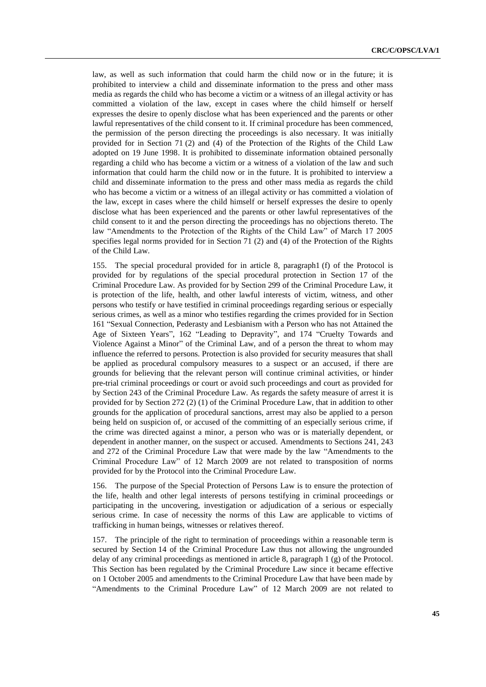law, as well as such information that could harm the child now or in the future; it is prohibited to interview a child and disseminate information to the press and other mass media as regards the child who has become a victim or a witness of an illegal activity or has committed a violation of the law, except in cases where the child himself or herself expresses the desire to openly disclose what has been experienced and the parents or other lawful representatives of the child consent to it. If criminal procedure has been commenced, the permission of the person directing the proceedings is also necessary. It was initially provided for in Section 71 (2) and (4) of the Protection of the Rights of the Child Law adopted on 19 June 1998. It is prohibited to disseminate information obtained personally regarding a child who has become a victim or a witness of a violation of the law and such information that could harm the child now or in the future. It is prohibited to interview a child and disseminate information to the press and other mass media as regards the child who has become a victim or a witness of an illegal activity or has committed a violation of the law, except in cases where the child himself or herself expresses the desire to openly disclose what has been experienced and the parents or other lawful representatives of the child consent to it and the person directing the proceedings has no objections thereto. The law "Amendments to the Protection of the Rights of the Child Law" of March 17 2005 specifies legal norms provided for in Section 71 (2) and (4) of the Protection of the Rights of the Child Law.

155. The special procedural provided for in article 8, paragraph1 (f) of the Protocol is provided for by regulations of the special procedural protection in Section 17 of the Criminal Procedure Law. As provided for by Section 299 of the Criminal Procedure Law, it is protection of the life, health, and other lawful interests of victim, witness, and other persons who testify or have testified in criminal proceedings regarding serious or especially serious crimes, as well as a minor who testifies regarding the crimes provided for in Section 161 "Sexual Connection, Pederasty and Lesbianism with a Person who has not Attained the Age of Sixteen Years", 162 "Leading to Depravity", and 174 "Cruelty Towards and Violence Against a Minor" of the Criminal Law, and of a person the threat to whom may influence the referred to persons. Protection is also provided for security measures that shall be applied as procedural compulsory measures to a suspect or an accused, if there are grounds for believing that the relevant person will continue criminal activities, or hinder pre-trial criminal proceedings or court or avoid such proceedings and court as provided for by Section 243 of the Criminal Procedure Law. As regards the safety measure of arrest it is provided for by Section 272 (2) (1) of the Criminal Procedure Law, that in addition to other grounds for the application of procedural sanctions, arrest may also be applied to a person being held on suspicion of, or accused of the committing of an especially serious crime, if the crime was directed against a minor, a person who was or is materially dependent, or dependent in another manner, on the suspect or accused. Amendments to Sections 241, 243 and 272 of the Criminal Procedure Law that were made by the law "Amendments to the Criminal Procedure Law" of 12 March 2009 are not related to transposition of norms provided for by the Protocol into the Criminal Procedure Law.

156. The purpose of the Special Protection of Persons Law is to ensure the protection of the life, health and other legal interests of persons testifying in criminal proceedings or participating in the uncovering, investigation or adjudication of a serious or especially serious crime. In case of necessity the norms of this Law are applicable to victims of trafficking in human beings, witnesses or relatives thereof.

157. The principle of the right to termination of proceedings within a reasonable term is secured by Section 14 of the Criminal Procedure Law thus not allowing the ungrounded delay of any criminal proceedings as mentioned in article 8, paragraph 1 (g) of the Protocol. This Section has been regulated by the Criminal Procedure Law since it became effective on 1 October 2005 and amendments to the Criminal Procedure Law that have been made by "Amendments to the Criminal Procedure Law" of 12 March 2009 are not related to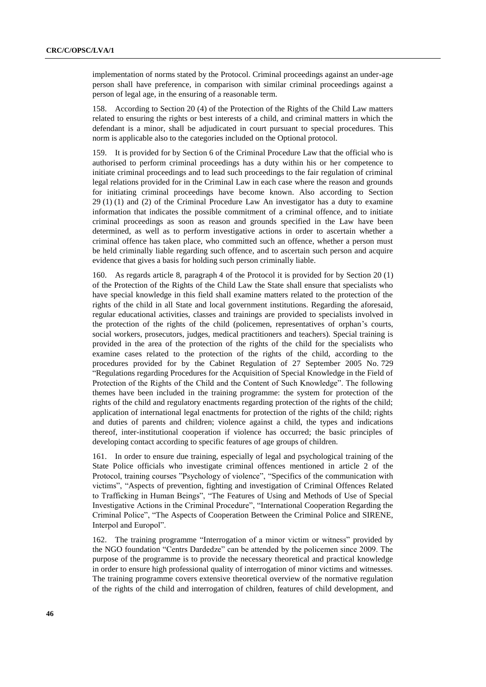implementation of norms stated by the Protocol. Criminal proceedings against an under-age person shall have preference, in comparison with similar criminal proceedings against a person of legal age, in the ensuring of a reasonable term.

158. According to Section 20 (4) of the Protection of the Rights of the Child Law matters related to ensuring the rights or best interests of a child, and criminal matters in which the defendant is a minor, shall be adjudicated in court pursuant to special procedures. This norm is applicable also to the categories included on the Optional protocol.

159. It is provided for by Section 6 of the Criminal Procedure Law that the official who is authorised to perform criminal proceedings has a duty within his or her competence to initiate criminal proceedings and to lead such proceedings to the fair regulation of criminal legal relations provided for in the Criminal Law in each case where the reason and grounds for initiating criminal proceedings have become known. Also according to Section 29 (1) (1) and (2) of the Criminal Procedure Law An investigator has a duty to examine information that indicates the possible commitment of a criminal offence, and to initiate criminal proceedings as soon as reason and grounds specified in the Law have been determined, as well as to perform investigative actions in order to ascertain whether a criminal offence has taken place, who committed such an offence, whether a person must be held criminally liable regarding such offence, and to ascertain such person and acquire evidence that gives a basis for holding such person criminally liable.

160. As regards article 8, paragraph 4 of the Protocol it is provided for by Section 20 (1) of the Protection of the Rights of the Child Law the State shall ensure that specialists who have special knowledge in this field shall examine matters related to the protection of the rights of the child in all State and local government institutions. Regarding the aforesaid, regular educational activities, classes and trainings are provided to specialists involved in the protection of the rights of the child (policemen, representatives of orphan's courts, social workers, prosecutors, judges, medical practitioners and teachers). Special training is provided in the area of the protection of the rights of the child for the specialists who examine cases related to the protection of the rights of the child, according to the procedures provided for by the Cabinet Regulation of 27 September 2005 No. 729 "Regulations regarding Procedures for the Acquisition of Special Knowledge in the Field of Protection of the Rights of the Child and the Content of Such Knowledge". The following themes have been included in the training programme: the system for protection of the rights of the child and regulatory enactments regarding protection of the rights of the child; application of international legal enactments for protection of the rights of the child; rights and duties of parents and children; violence against a child, the types and indications thereof, inter-institutional cooperation if violence has occurred; the basic principles of developing contact according to specific features of age groups of children.

161. In order to ensure due training, especially of legal and psychological training of the State Police officials who investigate criminal offences mentioned in article 2 of the Protocol, training courses "Psychology of violence", "Specifics of the communication with victims", "Aspects of prevention, fighting and investigation of Criminal Offences Related to Trafficking in Human Beings", "The Features of Using and Methods of Use of Special Investigative Actions in the Criminal Procedure", "International Cooperation Regarding the Criminal Police", "The Aspects of Cooperation Between the Criminal Police and SIRENE, Interpol and Europol".

162. The training programme "Interrogation of a minor victim or witness" provided by the NGO foundation "Centrs Dardedze" can be attended by the policemen since 2009. The purpose of the programme is to provide the necessary theoretical and practical knowledge in order to ensure high professional quality of interrogation of minor victims and witnesses. The training programme covers extensive theoretical overview of the normative regulation of the rights of the child and interrogation of children, features of child development, and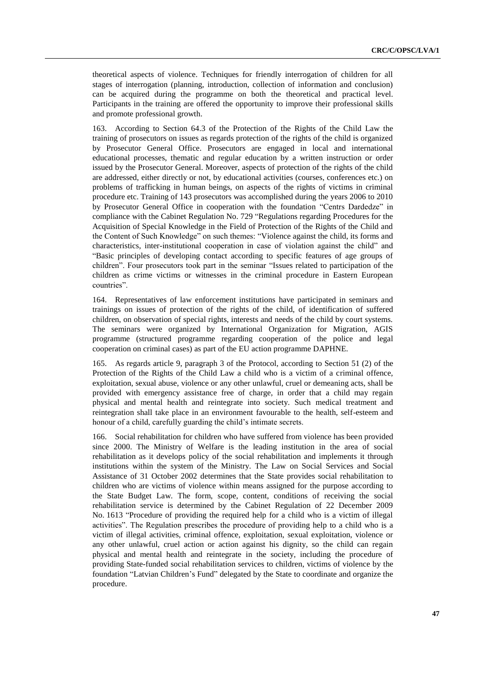theoretical aspects of violence. Techniques for friendly interrogation of children for all stages of interrogation (planning, introduction, collection of information and conclusion) can be acquired during the programme on both the theoretical and practical level. Participants in the training are offered the opportunity to improve their professional skills and promote professional growth.

163. According to Section 64.3 of the Protection of the Rights of the Child Law the training of prosecutors on issues as regards protection of the rights of the child is organized by Prosecutor General Office. Prosecutors are engaged in local and international educational processes, thematic and regular education by a written instruction or order issued by the Prosecutor General. Moreover, aspects of protection of the rights of the child are addressed, either directly or not, by educational activities (courses, conferences etc.) on problems of trafficking in human beings, on aspects of the rights of victims in criminal procedure etc. Training of 143 prosecutors was accomplished during the years 2006 to 2010 by Prosecutor General Office in cooperation with the foundation "Centrs Dardedze" in compliance with the Cabinet Regulation No. 729 "Regulations regarding Procedures for the Acquisition of Special Knowledge in the Field of Protection of the Rights of the Child and the Content of Such Knowledge" on such themes: "Violence against the child, its forms and characteristics, inter-institutional cooperation in case of violation against the child" and "Basic principles of developing contact according to specific features of age groups of children". Four prosecutors took part in the seminar "Issues related to participation of the children as crime victims or witnesses in the criminal procedure in Eastern European countries".

164. Representatives of law enforcement institutions have participated in seminars and trainings on issues of protection of the rights of the child, of identification of suffered children, on observation of special rights, interests and needs of the child by court systems. The seminars were organized by International Organization for Migration, AGIS programme (structured programme regarding cooperation of the police and legal cooperation on criminal cases) as part of the EU action programme DAPHNE.

165. As regards article 9, paragraph 3 of the Protocol, according to Section 51 (2) of the Protection of the Rights of the Child Law a child who is a victim of a criminal offence, exploitation, sexual abuse, violence or any other unlawful, cruel or demeaning acts, shall be provided with emergency assistance free of charge, in order that a child may regain physical and mental health and reintegrate into society. Such medical treatment and reintegration shall take place in an environment favourable to the health, self-esteem and honour of a child, carefully guarding the child's intimate secrets.

166. Social rehabilitation for children who have suffered from violence has been provided since 2000. The Ministry of Welfare is the leading institution in the area of social rehabilitation as it develops policy of the social rehabilitation and implements it through institutions within the system of the Ministry. The Law on Social Services and Social Assistance of 31 October 2002 determines that the State provides social rehabilitation to children who are victims of violence within means assigned for the purpose according to the State Budget Law. The form, scope, content, conditions of receiving the social rehabilitation service is determined by the Cabinet Regulation of 22 December 2009 No. 1613 "Procedure of providing the required help for a child who is a victim of illegal activities". The Regulation prescribes the procedure of providing help to a child who is a victim of illegal activities, criminal offence, exploitation, sexual exploitation, violence or any other unlawful, cruel action or action against his dignity, so the child can regain physical and mental health and reintegrate in the society, including the procedure of providing State-funded social rehabilitation services to children, victims of violence by the foundation "Latvian Children's Fund" delegated by the State to coordinate and organize the procedure.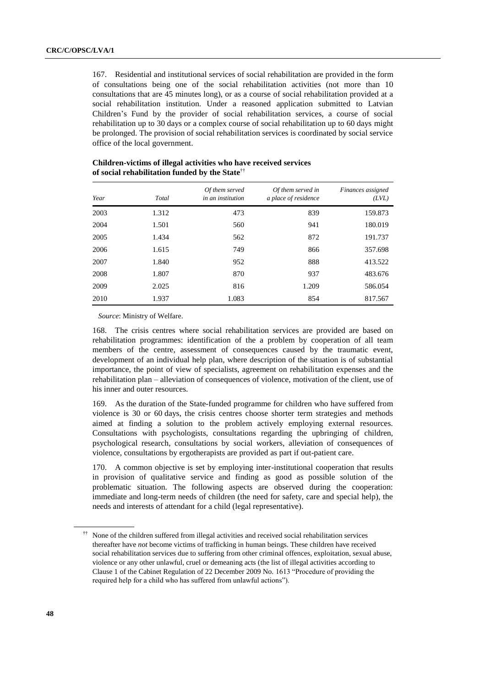167. Residential and institutional services of social rehabilitation are provided in the form of consultations being one of the social rehabilitation activities (not more than 10 consultations that are 45 minutes long), or as a course of social rehabilitation provided at a social rehabilitation institution. Under a reasoned application submitted to Latvian Children's Fund by the provider of social rehabilitation services, a course of social rehabilitation up to 30 days or a complex course of social rehabilitation up to 60 days might be prolonged. The provision of social rehabilitation services is coordinated by social service office of the local government.

| Year | Total | Of them served<br>in an institution | Of them served in<br>a place of residence | Finances assigned<br>(LVL) |
|------|-------|-------------------------------------|-------------------------------------------|----------------------------|
| 2003 | 1.312 | 473                                 | 839                                       | 159.873                    |
| 2004 | 1.501 | 560                                 | 941                                       | 180.019                    |
| 2005 | 1.434 | 562                                 | 872                                       | 191.737                    |
| 2006 | 1.615 | 749                                 | 866                                       | 357.698                    |
| 2007 | 1.840 | 952                                 | 888                                       | 413.522                    |
| 2008 | 1.807 | 870                                 | 937                                       | 483.676                    |
| 2009 | 2.025 | 816                                 | 1.209                                     | 586.054                    |
| 2010 | 1.937 | 1.083                               | 854                                       | 817.567                    |

#### **Children-victims of illegal activities who have received services of social rehabilitation funded by the State**††

*Source*: Ministry of Welfare.

168. The crisis centres where social rehabilitation services are provided are based on rehabilitation programmes: identification of the a problem by cooperation of all team members of the centre, assessment of consequences caused by the traumatic event, development of an individual help plan, where description of the situation is of substantial importance, the point of view of specialists, agreement on rehabilitation expenses and the rehabilitation plan – alleviation of consequences of violence, motivation of the client, use of his inner and outer resources.

169. As the duration of the State-funded programme for children who have suffered from violence is 30 or 60 days, the crisis centres choose shorter term strategies and methods aimed at finding a solution to the problem actively employing external resources. Consultations with psychologists, consultations regarding the upbringing of children, psychological research, consultations by social workers, alleviation of consequences of violence, consultations by ergotherapists are provided as part if out-patient care.

170. A common objective is set by employing inter-institutional cooperation that results in provision of qualitative service and finding as good as possible solution of the problematic situation. The following aspects are observed during the cooperation: immediate and long-term needs of children (the need for safety, care and special help), the needs and interests of attendant for a child (legal representative).

<sup>††</sup> None of the children suffered from illegal activities and received social rehabilitation services thereafter have *not* become victims of trafficking in human beings. These children have received social rehabilitation services due to suffering from other criminal offences, exploitation, sexual abuse, violence or any other unlawful, cruel or demeaning acts (the list of illegal activities according to Clause 1 of the Cabinet Regulation of 22 December 2009 No. 1613 "Procedure of providing the required help for a child who has suffered from unlawful actions").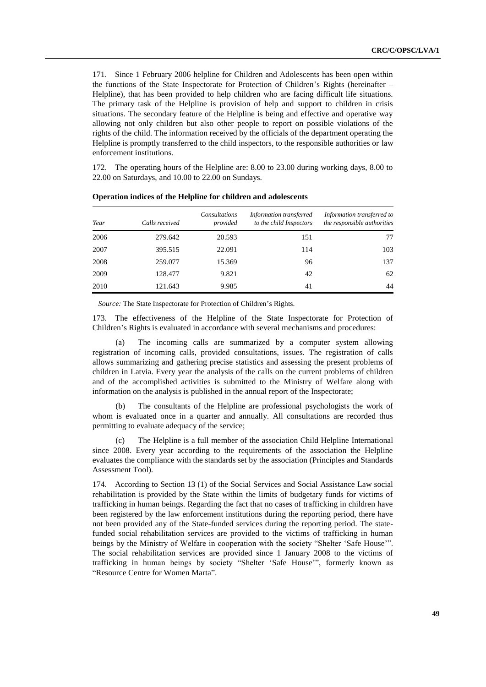171. Since 1 February 2006 helpline for Children and Adolescents has been open within the functions of the State Inspectorate for Protection of Children's Rights (hereinafter – Helpline), that has been provided to help children who are facing difficult life situations. The primary task of the Helpline is provision of help and support to children in crisis situations. The secondary feature of the Helpline is being and effective and operative way allowing not only children but also other people to report on possible violations of the rights of the child. The information received by the officials of the department operating the Helpline is promptly transferred to the child inspectors, to the responsible authorities or law enforcement institutions.

172. The operating hours of the Helpline are: 8.00 to 23.00 during working days, 8.00 to 22.00 on Saturdays, and 10.00 to 22.00 on Sundays.

| Year | Calls received | Consultations<br>provided | Information transferred<br>to the child Inspectors | Information transferred to<br>the responsible authorities |
|------|----------------|---------------------------|----------------------------------------------------|-----------------------------------------------------------|
| 2006 | 279.642        | 20.593                    | 151                                                | 77                                                        |
| 2007 | 395.515        | 22.091                    | 114                                                | 103                                                       |
| 2008 | 259.077        | 15.369                    | 96                                                 | 137                                                       |
| 2009 | 128.477        | 9.821                     | 42                                                 | 62                                                        |
| 2010 | 121.643        | 9.985                     | 41                                                 | 44                                                        |

**Operation indices of the Helpline for children and adolescents**

*Source:* The State Inspectorate for Protection of Children's Rights.

173. The effectiveness of the Helpline of the State Inspectorate for Protection of Children's Rights is evaluated in accordance with several mechanisms and procedures:

(a) The incoming calls are summarized by a computer system allowing registration of incoming calls, provided consultations, issues. The registration of calls allows summarizing and gathering precise statistics and assessing the present problems of children in Latvia. Every year the analysis of the calls on the current problems of children and of the accomplished activities is submitted to the Ministry of Welfare along with information on the analysis is published in the annual report of the Inspectorate;

(b) The consultants of the Helpline are professional psychologists the work of whom is evaluated once in a quarter and annually. All consultations are recorded thus permitting to evaluate adequacy of the service;

(c) The Helpline is a full member of the association Child Helpline International since 2008. Every year according to the requirements of the association the Helpline evaluates the compliance with the standards set by the association (Principles and Standards Assessment Tool).

174. According to Section 13 (1) of the Social Services and Social Assistance Law social rehabilitation is provided by the State within the limits of budgetary funds for victims of trafficking in human beings. Regarding the fact that no cases of trafficking in children have been registered by the law enforcement institutions during the reporting period, there have not been provided any of the State-funded services during the reporting period. The statefunded social rehabilitation services are provided to the victims of trafficking in human beings by the Ministry of Welfare in cooperation with the society "Shelter ʻSafe House'". The social rehabilitation services are provided since 1 January 2008 to the victims of trafficking in human beings by society "Shelter ʻSafe House'", formerly known as "Resource Centre for Women Marta".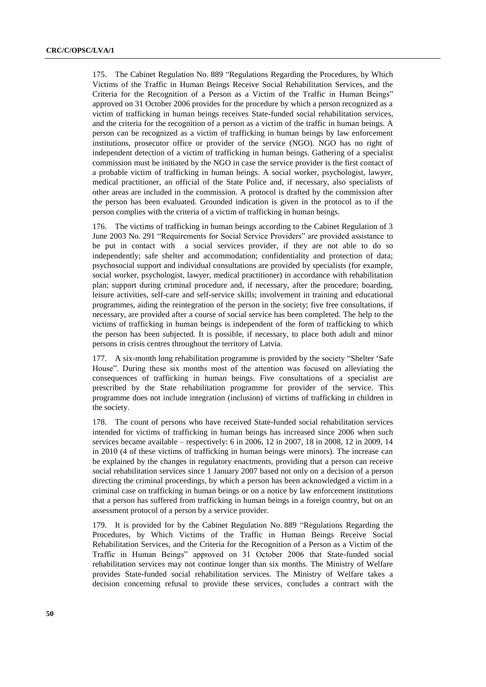175. The Cabinet Regulation No. 889 "Regulations Regarding the Procedures, by Which Victims of the Traffic in Human Beings Receive Social Rehabilitation Services, and the Criteria for the Recognition of a Person as a Victim of the Traffic in Human Beings" approved on 31 October 2006 provides for the procedure by which a person recognized as a victim of trafficking in human beings receives State-funded social rehabilitation services, and the criteria for the recognition of a person as a victim of the traffic in human beings. A person can be recognized as a victim of trafficking in human beings by law enforcement institutions, prosecutor office or provider of the service (NGO). NGO has no right of independent detection of a victim of trafficking in human beings. Gathering of a specialist commission must be initiated by the NGO in case the service provider is the first contact of a probable victim of trafficking in human beings. A social worker, psychologist, lawyer, medical practitioner, an official of the State Police and, if necessary, also specialists of other areas are included in the commission. A protocol is drafted by the commission after the person has been evaluated. Grounded indication is given in the protocol as to if the person complies with the criteria of a victim of trafficking in human beings.

176. The victims of trafficking in human beings according to the Cabinet Regulation of 3 June 2003 No. 291 "Requirements for Social Service Providers" are provided assistance to be put in contact with a social services provider, if they are not able to do so independently; safe shelter and accommodation; confidentiality and protection of data; psychosocial support and individual consultations are provided by specialists (for example, social worker, psychologist, lawyer, medical practitioner) in accordance with rehabilitation plan; support during criminal procedure and, if necessary, after the procedure; boarding, leisure activities, self-care and self-service skills; involvement in training and educational programmes, aiding the reintegration of the person in the society; five free consultations, if necessary, are provided after a course of social service has been completed. The help to the victims of trafficking in human beings is independent of the form of trafficking to which the person has been subjected. It is possible, if necessary, to place both adult and minor persons in crisis centres throughout the territory of Latvia.

177. A six-month long rehabilitation programme is provided by the society "Shelter ʻSafe House". During these six months most of the attention was focused on alleviating the consequences of trafficking in human beings. Five consultations of a specialist are prescribed by the State rehabilitation programme for provider of the service. This programme does not include integration (inclusion) of victims of trafficking in children in the society.

178. The count of persons who have received State-funded social rehabilitation services intended for victims of trafficking in human beings has increased since 2006 when such services became available – respectively: 6 in 2006, 12 in 2007, 18 in 2008, 12 in 2009, 14 in 2010 (4 of these victims of trafficking in human beings were minors). The increase can be explained by the changes in regulatory enactments, providing that a person can receive social rehabilitation services since 1 January 2007 based not only on a decision of a person directing the criminal proceedings, by which a person has been acknowledged a victim in a criminal case on trafficking in human beings or on a notice by law enforcement institutions that a person has suffered from trafficking in human beings in a foreign country, but on an assessment protocol of a person by a service provider.

179. It is provided for by the Cabinet Regulation No. 889 "Regulations Regarding the Procedures, by Which Victims of the Traffic in Human Beings Receive Social Rehabilitation Services, and the Criteria for the Recognition of a Person as a Victim of the Traffic in Human Beings" approved on 31 October 2006 that State-funded social rehabilitation services may not continue longer than six months. The Ministry of Welfare provides State-funded social rehabilitation services. The Ministry of Welfare takes a decision concerning refusal to provide these services, concludes a contract with the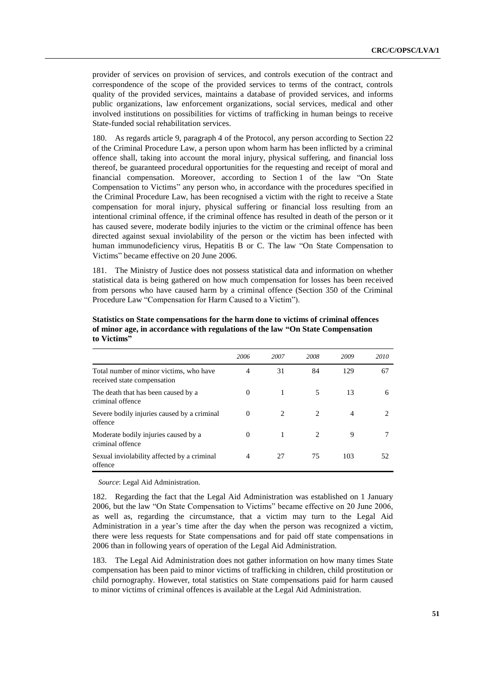provider of services on provision of services, and controls execution of the contract and correspondence of the scope of the provided services to terms of the contract, controls quality of the provided services, maintains a database of provided services, and informs public organizations, law enforcement organizations, social services, medical and other involved institutions on possibilities for victims of trafficking in human beings to receive State-funded social rehabilitation services.

180. As regards article 9, paragraph 4 of the Protocol, any person according to Section 22 of the Criminal Procedure Law, a person upon whom harm has been inflicted by a criminal offence shall, taking into account the moral injury, physical suffering, and financial loss thereof, be guaranteed procedural opportunities for the requesting and receipt of moral and financial compensation. Moreover, according to Section 1 of the law "On State Compensation to Victims" any person who, in accordance with the procedures specified in the Criminal Procedure Law, has been recognised a victim with the right to receive a State compensation for moral injury, physical suffering or financial loss resulting from an intentional criminal offence, if the criminal offence has resulted in death of the person or it has caused severe, moderate bodily injuries to the victim or the criminal offence has been directed against sexual inviolability of the person or the victim has been infected with human immunodeficiency virus, Hepatitis B or C. The law "On State Compensation to Victims" became effective on 20 June 2006.

181. The Ministry of Justice does not possess statistical data and information on whether statistical data is being gathered on how much compensation for losses has been received from persons who have caused harm by a criminal offence (Section 350 of the Criminal Procedure Law "Compensation for Harm Caused to a Victim").

|                                                                        | 2006           | 2007                          | 2008                          | 2009 | 2010 |
|------------------------------------------------------------------------|----------------|-------------------------------|-------------------------------|------|------|
| Total number of minor victims, who have<br>received state compensation | $\overline{4}$ | 31                            | 84                            | 129  | 67   |
| The death that has been caused by a<br>criminal offence                | $\Omega$       |                               | 5                             | 13   | 6    |
| Severe bodily injuries caused by a criminal<br>offence                 | $\Omega$       | $\mathfrak{D}_{\mathfrak{p}}$ | $\mathfrak{D}_{\mathfrak{p}}$ | 4    |      |
| Moderate bodily injuries caused by a<br>criminal offence               | $\Omega$       |                               | 2                             | 9    |      |
| Sexual inviolability affected by a criminal<br>offence                 | $\overline{4}$ | 27                            | 75                            | 103  | 52   |

**Statistics on State compensations for the harm done to victims of criminal offences of minor age, in accordance with regulations of the law "On State Compensation to Victims"**

*Source*: Legal Aid Administration.

182. Regarding the fact that the Legal Aid Administration was established on 1 January 2006, but the law "On State Compensation to Victims" became effective on 20 June 2006, as well as, regarding the circumstance, that a victim may turn to the Legal Aid Administration in a year's time after the day when the person was recognized a victim, there were less requests for State compensations and for paid off state compensations in 2006 than in following years of operation of the Legal Aid Administration.

183. The Legal Aid Administration does not gather information on how many times State compensation has been paid to minor victims of trafficking in children, child prostitution or child pornography. However, total statistics on State compensations paid for harm caused to minor victims of criminal offences is available at the Legal Aid Administration.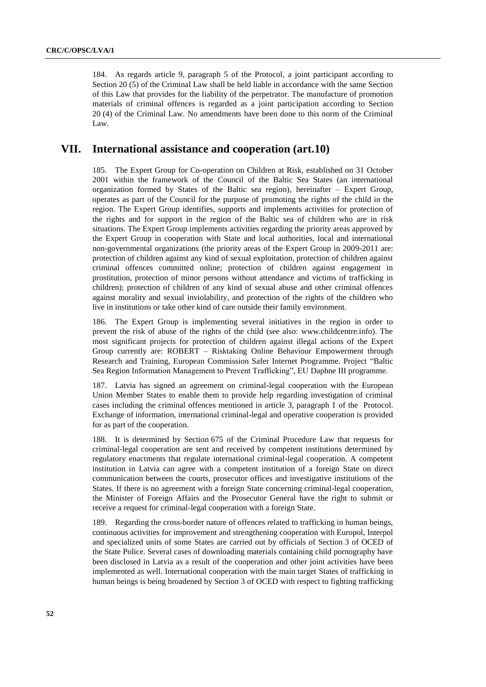184. As regards article 9, paragraph 5 of the Protocol, a joint participant according to Section 20 (5) of the Criminal Law shall be held liable in accordance with the same Section of this Law that provides for the liability of the perpetrator. The manufacture of promotion materials of criminal offences is regarded as a joint participation according to Section 20 (4) of the Criminal Law. No amendments have been done to this norm of the Criminal Law.

### **VII. International assistance and cooperation (art.10)**

185. The Expert Group for Co-operation on Children at Risk, established on 31 October 2001 within the framework of the Council of the Baltic Sea States (an international organization formed by States of the Baltic sea region), hereinafter – Expert Group, operates as part of the Council for the purpose of promoting the rights of the child in the region. The Expert Group identifies, supports and implements activities for protection of the rights and for support in the region of the Baltic sea of children who are in risk situations. The Expert Group implements activities regarding the priority areas approved by the Expert Group in cooperation with State and local authorities, local and international non-governmental organizations (the priority areas of the Expert Group in 2009-2011 are: protection of children against any kind of sexual exploitation, protection of children against criminal offences committed online; protection of children against engagement in prostitution, protection of minor persons without attendance and victims of trafficking in children); protection of children of any kind of sexual abuse and other criminal offences against morality and sexual inviolability, and protection of the rights of the children who live in institutions or take other kind of care outside their family environment.

186. The Expert Group is implementing several initiatives in the region in order to prevent the risk of abuse of the rights of the child (see also: www.childcentre.info). The most significant projects for protection of children against illegal actions of the Expert Group currently are: ROBERT – Risktaking Online Behaviour Empowerment through Research and Training, European Commission Safer Internet Programme. Project "Baltic Sea Region Information Management to Prevent Trafficking", EU Daphne III programme.

187. Latvia has signed an agreement on criminal-legal cooperation with the European Union Member States to enable them to provide help regarding investigation of criminal cases including the criminal offences mentioned in article 3, paragraph 1 of the Protocol. Exchange of information, international criminal-legal and operative cooperation is provided for as part of the cooperation.

188. It is determined by Section 675 of the Criminal Procedure Law that requests for criminal-legal cooperation are sent and received by competent institutions determined by regulatory enactments that regulate international criminal-legal cooperation. A competent institution in Latvia can agree with a competent institution of a foreign State on direct communication between the courts, prosecutor offices and investigative institutions of the States. If there is no agreement with a foreign State concerning criminal-legal cooperation, the Minister of Foreign Affairs and the Prosecutor General have the right to submit or receive a request for criminal-legal cooperation with a foreign State.

189. Regarding the cross-border nature of offences related to trafficking in human beings, continuous activities for improvement and strengthening cooperation with Europol, Interpol and specialized units of some States are carried out by officials of Section 3 of OCED of the State Police. Several cases of downloading materials containing child pornography have been disclosed in Latvia as a result of the cooperation and other joint activities have been implemented as well. International cooperation with the main target States of trafficking in human beings is being broadened by Section 3 of OCED with respect to fighting trafficking